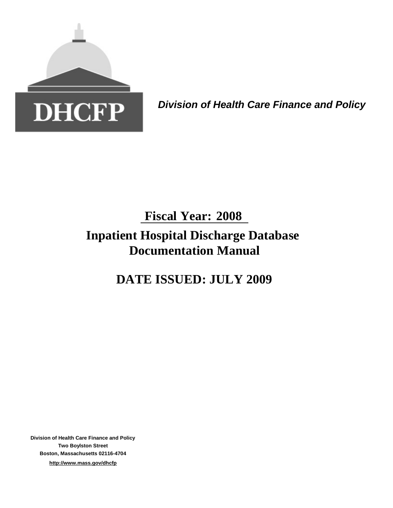

*Division of Health Care Finance and Policy*

# **Inpatient Hospital Discharge Database Documentation Manual Fiscal Year: 2008**

**DATE ISSUED: JULY 2009**

**Division of Health Care Finance and Policy Two Boylston Street Boston, Massachusetts 02116-4704 http://www.mass.gov/dhcfp**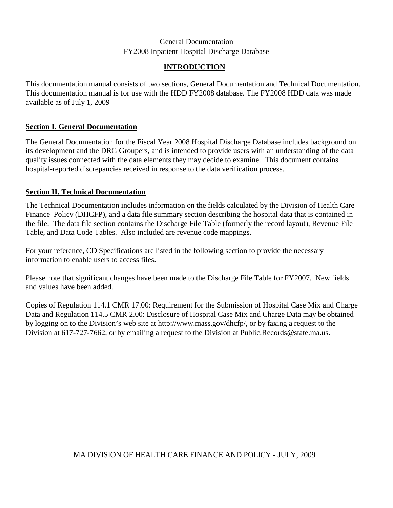# **INTRODUCTION**

This documentation manual consists of two sections, General Documentation and Technical Documentation. This documentation manual is for use with the HDD FY2008 database. The FY2008 HDD data was made available as of July 1, 2009

# **Section I. General Documentation**

The General Documentation for the Fiscal Year 2008 Hospital Discharge Database includes background on its development and the DRG Groupers, and is intended to provide users with an understanding of the data quality issues connected with the data elements they may decide to examine. This document contains hospital-reported discrepancies received in response to the data verification process.

# **Section II. Technical Documentation**

The Technical Documentation includes information on the fields calculated by the Division of Health Care Finance Policy (DHCFP), and a data file summary section describing the hospital data that is contained in the file. The data file section contains the Discharge File Table (formerly the record layout), Revenue File Table, and Data Code Tables. Also included are revenue code mappings.

For your reference, CD Specifications are listed in the following section to provide the necessary information to enable users to access files.

Please note that significant changes have been made to the Discharge File Table for FY2007. New fields and values have been added.

Copies of Regulation 114.1 CMR 17.00: Requirement for the Submission of Hospital Case Mix and Charge Data and Regulation 114.5 CMR 2.00: Disclosure of Hospital Case Mix and Charge Data may be obtained by logging on to the Division's web site at http://www.mass.gov/dhcfp/, or by faxing a request to the Division at 617-727-7662, or by emailing a request to the Division at Public.Records@state.ma.us.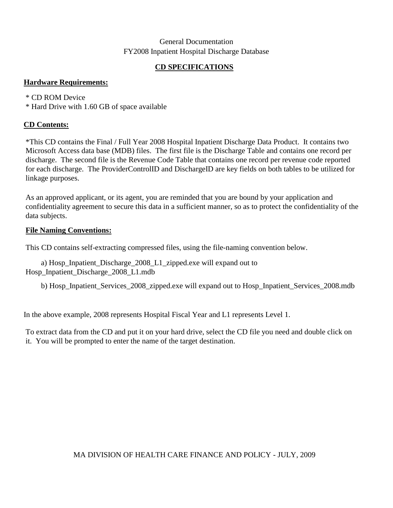# **CD SPECIFICATIONS**

# **Hardware Requirements:**

\* CD ROM Device

\* Hard Drive with 1.60 GB of space available

# **CD Contents:**

\*This CD contains the Final / Full Year 2008 Hospital Inpatient Discharge Data Product. It contains two Microsoft Access data base (MDB) files. The first file is the Discharge Table and contains one record per discharge. The second file is the Revenue Code Table that contains one record per revenue code reported for each discharge. The ProviderControlID and DischargeID are key fields on both tables to be utilized for linkage purposes.

As an approved applicant, or its agent, you are reminded that you are bound by your application and confidentiality agreement to secure this data in a sufficient manner, so as to protect the confidentiality of the data subjects.

# **File Naming Conventions:**

This CD contains self-extracting compressed files, using the file-naming convention below.

a) Hosp\_Inpatient\_Discharge\_2008\_L1\_zipped.exe will expand out to Hosp\_Inpatient\_Discharge\_2008\_L1.mdb

b) Hosp\_Inpatient\_Services\_2008\_zipped.exe will expand out to Hosp\_Inpatient\_Services\_2008.mdb

In the above example, 2008 represents Hospital Fiscal Year and L1 represents Level 1.

To extract data from the CD and put it on your hard drive, select the CD file you need and double click on it. You will be prompted to enter the name of the target destination.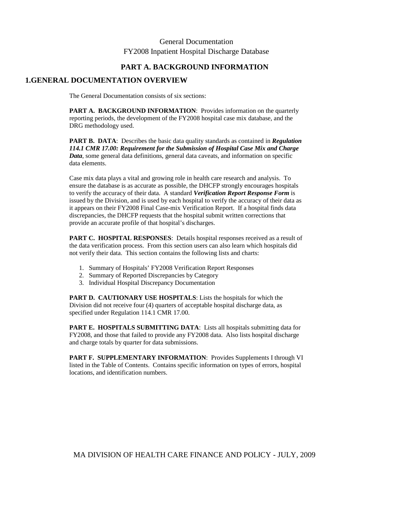### **PART A. BACKGROUND INFORMATION**

### **1.GENERAL DOCUMENTATION OVERVIEW**

The General Documentation consists of six sections:

**PART A. BACKGROUND INFORMATION**: Provides information on the quarterly reporting periods, the development of the FY2008 hospital case mix database, and the DRG methodology used.

**PART B. DATA**: Describes the basic data quality standards as contained in *Regulation 114.1 CMR 17.00: Requirement for the Submission of Hospital Case Mix and Charge Data*, some general data definitions, general data caveats, and information on specific data elements.

Case mix data plays a vital and growing role in health care research and analysis. To ensure the database is as accurate as possible, the DHCFP strongly encourages hospitals to verify the accuracy of their data. A standard *Verification Report Response Form* is issued by the Division, and is used by each hospital to verify the accuracy of their data as it appears on their FY2008 Final Case-mix Verification Report. If a hospital finds data discrepancies, the DHCFP requests that the hospital submit written corrections that provide an accurate profile of that hospital's discharges.

**PART C. HOSPITAL RESPONSES:** Details hospital responses received as a result of the data verification process. From this section users can also learn which hospitals did not verify their data. This section contains the following lists and charts:

- 1. Summary of Hospitals' FY2008 Verification Report Responses
- 2. Summary of Reported Discrepancies by Category
- 3. Individual Hospital Discrepancy Documentation

**PART D. CAUTIONARY USE HOSPITALS**: Lists the hospitals for which the Division did not receive four (4) quarters of acceptable hospital discharge data, as specified under Regulation 114.1 CMR 17.00.

PART E. HOSPITALS SUBMITTING DATA: Lists all hospitals submitting data for FY2008, and those that failed to provide any FY2008 data. Also lists hospital discharge and charge totals by quarter for data submissions.

**PART F. SUPPLEMENTARY INFORMATION**: Provides Supplements I through VI listed in the Table of Contents. Contains specific information on types of errors, hospital locations, and identification numbers.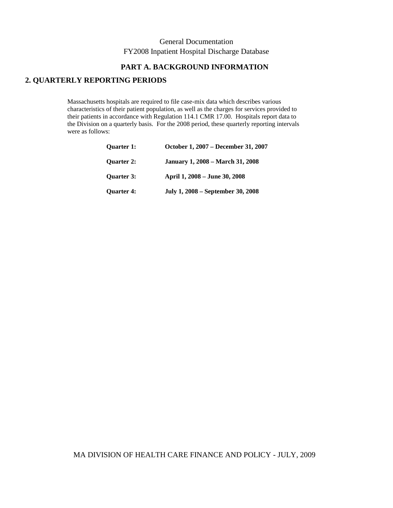### **PART A. BACKGROUND INFORMATION**

### **2. QUARTERLY REPORTING PERIODS**

Massachusetts hospitals are required to file case-mix data which describes various characteristics of their patient population, as well as the charges for services provided to their patients in accordance with Regulation 114.1 CMR 17.00. Hospitals report data to the Division on a quarterly basis. For the 2008 period, these quarterly reporting intervals were as follows:

| <b>Ouarter 1:</b> | October 1, 2007 – December 31, 2007     |
|-------------------|-----------------------------------------|
| <b>Ouarter 2:</b> | <b>January 1, 2008 – March 31, 2008</b> |
| <b>Ouarter 3:</b> | April 1, 2008 – June 30, 2008           |
| <b>Ouarter 4:</b> | July 1, 2008 – September 30, 2008       |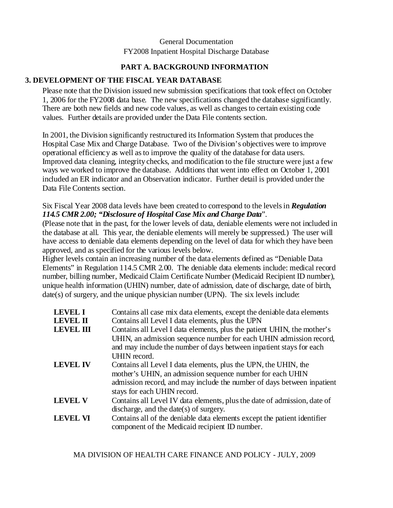# **PART A. BACKGROUND INFORMATION**

# **3. DEVELOPMENT OF THE FISCAL YEAR DATABASE**

Please note that the Division issued new submission specifications that took effect on October 1, 2006 for the FY2008 data base. The new specifications changed the database significantly. There are both new fields and new code values, as well as changes to certain existing code values. Further details are provided under the Data File contents section.

In 2001, the Division significantly restructured its Information System that produces the Hospital Case Mix and Charge Database. Two of the Division's objectives were to improve operational efficiency as well as to improve the quality of the database for data users. Improved data cleaning, integrity checks, and modification to the file structure were just a few ways we worked to improve the database. Additions that went into effect on October 1, 2001 included an ER indicator and an Observation indicator. Further detail is provided under the Data File Contents section.

### Six Fiscal Year 2008 data levels have been created to correspond to the levels in *Regulation 114.5 CMR 2.00; "Disclosure of Hospital Case Mix and Charge Data*".

(Please note that in the past, for the lower levels of data, deniable elements were not included in the database at all. This year, the deniable elements will merely be suppressed.) The user will have access to deniable data elements depending on the level of data for which they have been approved, and as specified for the various levels below.

Higher levels contain an increasing number of the data elements defined as "Deniable Data Elements" in Regulation 114.5 CMR 2.00. The deniable data elements include: medical record number, billing number, Medicaid Claim Certificate Number (Medicaid Recipient ID number), unique health information (UHIN) number, date of admission, date of discharge, date of birth, date(s) of surgery, and the unique physician number (UPN). The six levels include:

| <b>LEVEL I</b><br><b>LEVEL II</b> | Contains all case mix data elements, except the deniable data elements<br>Contains all Level I data elements, plus the UPN                |
|-----------------------------------|-------------------------------------------------------------------------------------------------------------------------------------------|
| <b>LEVEL III</b>                  | Contains all Level I data elements, plus the patient UHIN, the mother's                                                                   |
|                                   | UHIN, an admission sequence number for each UHIN admission record,<br>and may include the number of days between inpatient stays for each |
|                                   | UHIN record.                                                                                                                              |
| <b>LEVEL IV</b>                   | Contains all Level I data elements, plus the UPN, the UHIN, the                                                                           |
|                                   | mother's UHIN, an admission sequence number for each UHIN                                                                                 |
|                                   | admission record, and may include the number of days between inpatient                                                                    |
|                                   | stays for each UHIN record.                                                                                                               |
| <b>LEVEL V</b>                    | Contains all Level IV data elements, plus the date of admission, date of                                                                  |
|                                   | discharge, and the date(s) of surgery.                                                                                                    |
| <b>LEVEL VI</b>                   | Contains all of the deniable data elements except the patient identifier                                                                  |
|                                   | component of the Medicaid recipient ID number.                                                                                            |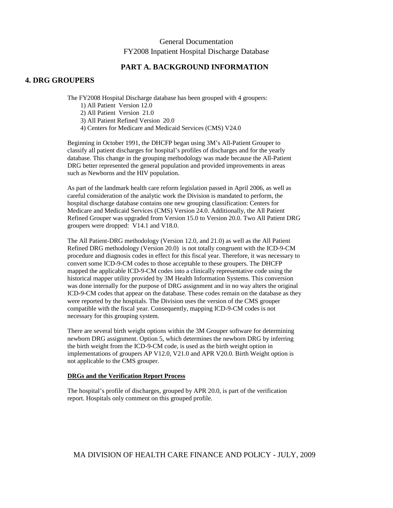### **PART A. BACKGROUND INFORMATION**

#### **4. DRG GROUPERS**

The FY2008 Hospital Discharge database has been grouped with 4 groupers:

- 1) All Patient Version 12.0
- 2) All Patient Version 21.0
- 3) All Patient Refined Version 20.0
- 4) Centers for Medicare and Medicaid Services (CMS) V24.0

Beginning in October 1991, the DHCFP began using 3M's All-Patient Grouper to classify all patient discharges for hospital's profiles of discharges and for the yearly database. This change in the grouping methodology was made because the All-Patient DRG better represented the general population and provided improvements in areas such as Newborns and the HIV population.

As part of the landmark health care reform legislation passed in April 2006, as well as careful consideration of the analytic work the Division is mandated to perform, the hospital discharge database contains one new grouping classification: Centers for Medicare and Medicaid Services (CMS) Version 24.0. Additionally, the All Patient Refined Grouper was upgraded from Version 15.0 to Version 20.0. Two All Patient DRG groupers were dropped: V14.1 and V18.0.

The All Patient-DRG methodology (Version 12.0, and 21.0) as well as the All Patient Refined DRG methodology (Version 20.0) is not totally congruent with the ICD-9-CM procedure and diagnosis codes in effect for this fiscal year. Therefore, it was necessary to convert some ICD-9-CM codes to those acceptable to these groupers. The DHCFP mapped the applicable ICD-9-CM codes into a clinically representative code using the historical mapper utility provided by 3M Health Information Systems. This conversion was done internally for the purpose of DRG assignment and in no way alters the original ICD-9-CM codes that appear on the database. These codes remain on the database as they were reported by the hospitals. The Division uses the version of the CMS grouper compatible with the fiscal year. Consequently, mapping ICD-9-CM codes is not necessary for this grouping system.

There are several birth weight options within the 3M Grouper software for determining newborn DRG assignment. Option 5, which determines the newborn DRG by inferring the birth weight from the ICD-9-CM code, is used as the birth weight option in implementations of groupers AP V12.0, V21.0 and APR V20.0. Birth Weight option is not applicable to the CMS grouper.

#### **DRGs and the Verification Report Process**

The hospital's profile of discharges, grouped by APR 20.0, is part of the verification report. Hospitals only comment on this grouped profile.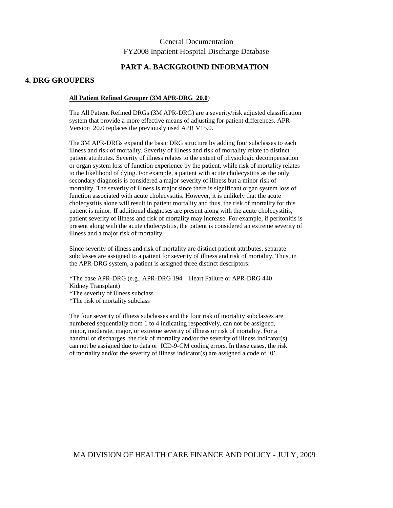### **PART A. BACKGROUND INFORMATION**

#### **4. DRG GROUPERS**

#### **All Patient Refined Grouper (3M APR-DRG 20.0**)

The All Patient Refined DRGs (3M APR-DRG) are a severity/risk adjusted classification system that provide a more effective means of adjusting for patient differences. APR-Version 20.0 replaces the previously used APR V15.0.

The 3M APR-DRGs expand the basic DRG structure by adding four subclasses to each illness and risk of mortality. Severity of illness and risk of mortality relate to distinct patient attributes. Severity of illness relates to the extent of physiologic decompensation or organ system loss of function experience by the patient, while risk of mortality relates to the likelihood of dying. For example, a patient with acute cholecystitis as the only secondary diagnosis is considered a major severity of illness but a minor risk of mortality. The severity of illness is major since there is significant organ system loss of function associated with acute cholecystitis. However, it is unlikely that the acute cholecystitis alone will result in patient mortality and thus, the risk of mortality for this patient is minor. If additional diagnoses are present along with the acute cholecystitis, patient severity of illness and risk of mortality may increase. For example, if peritonitis is present along with the acute cholecystitis, the patient is considered an extreme severity of illness and a major risk of mortality.

Since severity of illness and risk of mortality are distinct patient attributes, separate subclasses are assigned to a patient for severity of illness and risk of mortality. Thus, in the APR-DRG system, a patient is assigned three distinct descriptors:

\*The base APR-DRG (e.g., APR-DRG 194 – Heart Failure or APR-DRG 440 – Kidney Transplant) \*The severity of illness subclass \*The risk of mortality subclass

The four severity of illness subclasses and the four risk of mortality subclasses are numbered sequentially from 1 to 4 indicating respectively, can not be assigned, minor, moderate, major, or extreme severity of illness or risk of mortality. For a handful of discharges, the risk of mortality and/or the severity of illness indicator(s) can not be assigned due to data or ICD-9-CM coding errors. In these cases, the risk of mortality and/or the severity of illness indicator(s) are assigned a code of '0'.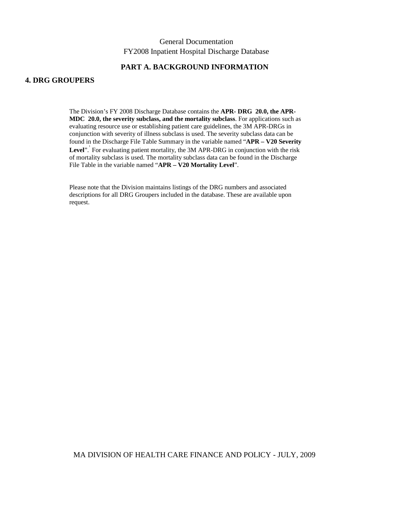### **PART A. BACKGROUND INFORMATION**

#### **4. DRG GROUPERS**

The Division's FY 2008 Discharge Database contains the **APR- DRG 20.0, the APR-MDC 20.0, the severity subclass, and the mortality subclass**. For applications such as evaluating resource use or establishing patient care guidelines, the 3M APR-DRGs in conjunction with severity of illness subclass is used. The severity subclass data can be found in the Discharge File Table Summary in the variable named "**APR – V20 Severity**  Level". For evaluating patient mortality, the 3M APR-DRG in conjunction with the risk of mortality subclass is used. The mortality subclass data can be found in the Discharge File Table in the variable named "**APR – V20 Mortality Level**".

Please note that the Division maintains listings of the DRG numbers and associated descriptions for all DRG Groupers included in the database. These are available upon request.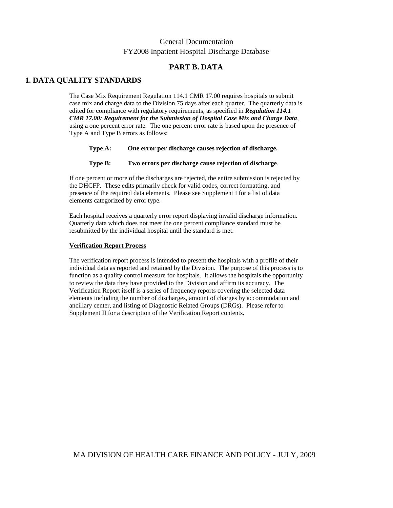### **PART B. DATA**

### **1. DATA QUALITY STANDARDS**

The Case Mix Requirement Regulation 114.1 CMR 17.00 requires hospitals to submit case mix and charge data to the Division 75 days after each quarter. The quarterly data is edited for compliance with regulatory requirements, as specified in *Regulation 114.1 CMR 17.00: Requirement for the Submission of Hospital Case Mix and Charge Data*, using a one percent error rate. The one percent error rate is based upon the presence of Type A and Type B errors as follows:

```
Type A: One error per discharge causes rejection of discharge.
```
 **Type B: Two errors per discharge cause rejection of discharge**.

If one percent or more of the discharges are rejected, the entire submission is rejected by the DHCFP. These edits primarily check for valid codes, correct formatting, and presence of the required data elements. Please see Supplement I for a list of data elements categorized by error type.

Each hospital receives a quarterly error report displaying invalid discharge information. Quarterly data which does not meet the one percent compliance standard must be resubmitted by the individual hospital until the standard is met.

#### **Verification Report Process**

The verification report process is intended to present the hospitals with a profile of their individual data as reported and retained by the Division. The purpose of this process is to function as a quality control measure for hospitals. It allows the hospitals the opportunity to review the data they have provided to the Division and affirm its accuracy. The Verification Report itself is a series of frequency reports covering the selected data elements including the number of discharges, amount of charges by accommodation and ancillary center, and listing of Diagnostic Related Groups (DRGs). Please refer to Supplement II for a description of the Verification Report contents.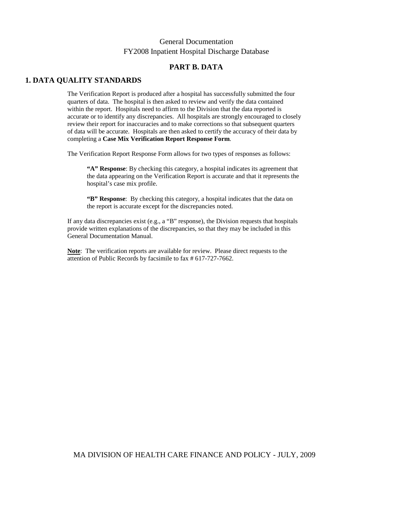### **PART B. DATA**

### **1. DATA QUALITY STANDARDS**

The Verification Report is produced after a hospital has successfully submitted the four quarters of data. The hospital is then asked to review and verify the data contained within the report. Hospitals need to affirm to the Division that the data reported is accurate or to identify any discrepancies. All hospitals are strongly encouraged to closely review their report for inaccuracies and to make corrections so that subsequent quarters of data will be accurate. Hospitals are then asked to certify the accuracy of their data by completing a **Case Mix Verification Report Response Form**.

The Verification Report Response Form allows for two types of responses as follows:

**"A" Response**: By checking this category, a hospital indicates its agreement that the data appearing on the Verification Report is accurate and that it represents the hospital's case mix profile.

**"B" Response**: By checking this category, a hospital indicates that the data on the report is accurate except for the discrepancies noted.

If any data discrepancies exist (e.g., a "B" response), the Division requests that hospitals provide written explanations of the discrepancies, so that they may be included in this General Documentation Manual.

**Note**: The verification reports are available for review. Please direct requests to the attention of Public Records by facsimile to fax # 617-727-7662.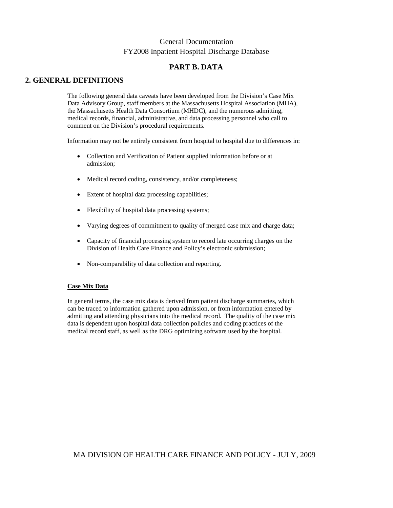### **PART B. DATA**

### **2. GENERAL DEFINITIONS**

The following general data caveats have been developed from the Division's Case Mix Data Advisory Group, staff members at the Massachusetts Hospital Association (MHA), the Massachusetts Health Data Consortium (MHDC), and the numerous admitting, medical records, financial, administrative, and data processing personnel who call to comment on the Division's procedural requirements.

Information may not be entirely consistent from hospital to hospital due to differences in:

- Collection and Verification of Patient supplied information before or at admission;
- Medical record coding, consistency, and/or completeness;
- Extent of hospital data processing capabilities;
- Flexibility of hospital data processing systems;
- Varying degrees of commitment to quality of merged case mix and charge data;
- Capacity of financial processing system to record late occurring charges on the Division of Health Care Finance and Policy's electronic submission;
- Non-comparability of data collection and reporting.

#### **Case Mix Data**

In general terms, the case mix data is derived from patient discharge summaries, which can be traced to information gathered upon admission, or from information entered by admitting and attending physicians into the medical record. The quality of the case mix data is dependent upon hospital data collection policies and coding practices of the medical record staff, as well as the DRG optimizing software used by the hospital.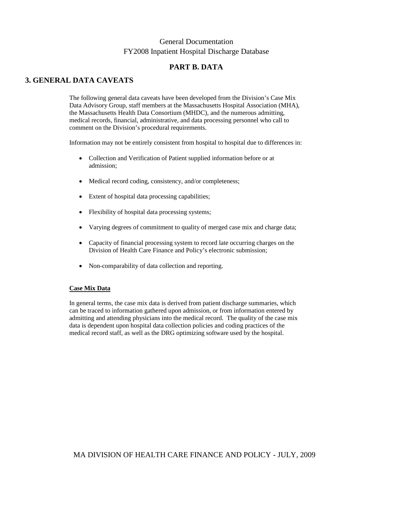### **PART B. DATA**

### **3. GENERAL DATA CAVEATS**

The following general data caveats have been developed from the Division's Case Mix Data Advisory Group, staff members at the Massachusetts Hospital Association (MHA), the Massachusetts Health Data Consortium (MHDC), and the numerous admitting, medical records, financial, administrative, and data processing personnel who call to comment on the Division's procedural requirements.

Information may not be entirely consistent from hospital to hospital due to differences in:

- Collection and Verification of Patient supplied information before or at admission;
- Medical record coding, consistency, and/or completeness;
- Extent of hospital data processing capabilities;
- Flexibility of hospital data processing systems;
- Varying degrees of commitment to quality of merged case mix and charge data;
- Capacity of financial processing system to record late occurring charges on the Division of Health Care Finance and Policy's electronic submission;
- Non-comparability of data collection and reporting.

#### **Case Mix Data**

In general terms, the case mix data is derived from patient discharge summaries, which can be traced to information gathered upon admission, or from information entered by admitting and attending physicians into the medical record. The quality of the case mix data is dependent upon hospital data collection policies and coding practices of the medical record staff, as well as the DRG optimizing software used by the hospital.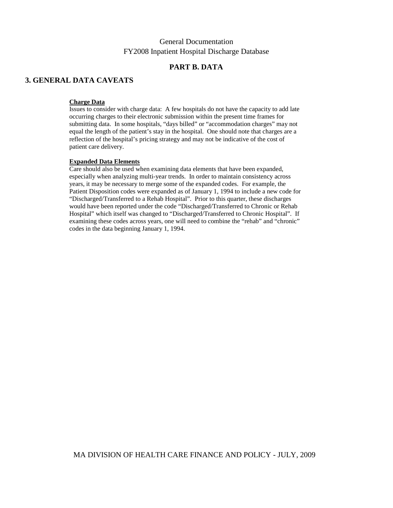### **PART B. DATA**

### **3. GENERAL DATA CAVEATS**

#### **Charge Data**

Issues to consider with charge data: A few hospitals do not have the capacity to add late occurring charges to their electronic submission within the present time frames for submitting data. In some hospitals, "days billed" or "accommodation charges" may not equal the length of the patient's stay in the hospital. One should note that charges are a reflection of the hospital's pricing strategy and may not be indicative of the cost of patient care delivery.

#### **Expanded Data Elements**

Care should also be used when examining data elements that have been expanded, especially when analyzing multi-year trends. In order to maintain consistency across years, it may be necessary to merge some of the expanded codes. For example, the Patient Disposition codes were expanded as of January 1, 1994 to include a new code for "Discharged/Transferred to a Rehab Hospital". Prior to this quarter, these discharges would have been reported under the code "Discharged/Transferred to Chronic or Rehab Hospital" which itself was changed to "Discharged/Transferred to Chronic Hospital". If examining these codes across years, one will need to combine the "rehab" and "chronic" codes in the data beginning January 1, 1994.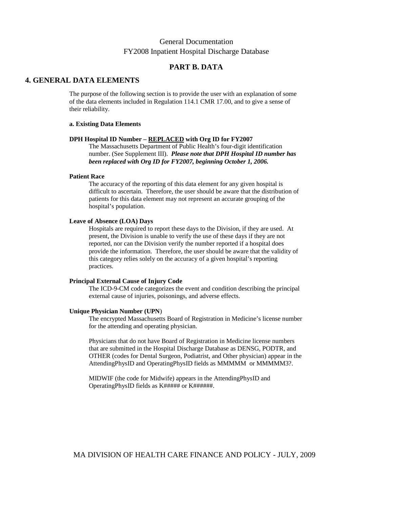### **PART B. DATA**

#### **4. GENERAL DATA ELEMENTS**

The purpose of the following section is to provide the user with an explanation of some of the data elements included in Regulation 114.1 CMR 17.00, and to give a sense of their reliability.

#### **a. Existing Data Elements**

#### **DPH Hospital ID Number – REPLACED with Org ID for FY2007**

The Massachusetts Department of Public Health's four-digit identification number. (See Supplement III). *Please note that DPH Hospital ID number has been replaced with Org ID for FY2007, beginning October 1, 2006.* 

#### **Patient Race**

The accuracy of the reporting of this data element for any given hospital is difficult to ascertain. Therefore, the user should be aware that the distribution of patients for this data element may not represent an accurate grouping of the hospital's population.

#### **Leave of Absence (LOA) Days**

Hospitals are required to report these days to the Division, if they are used. At present, the Division is unable to verify the use of these days if they are not reported, nor can the Division verify the number reported if a hospital does provide the information. Therefore, the user should be aware that the validity of this category relies solely on the accuracy of a given hospital's reporting practices.

#### **Principal External Cause of Injury Code**

The ICD-9-CM code categorizes the event and condition describing the principal external cause of injuries, poisonings, and adverse effects.

#### **Unique Physician Number (UPN**)

The encrypted Massachusetts Board of Registration in Medicine's license number for the attending and operating physician.

Physicians that do not have Board of Registration in Medicine license numbers that are submitted in the Hospital Discharge Database as DENSG, PODTR, and OTHER (codes for Dental Surgeon, Podiatrist, and Other physician) appear in the AttendingPhysID and OperatingPhysID fields as MMMMM or MMMMM3?.

MIDWIF (the code for Midwife) appears in the AttendingPhysID and OperatingPhysID fields as K##### or K######.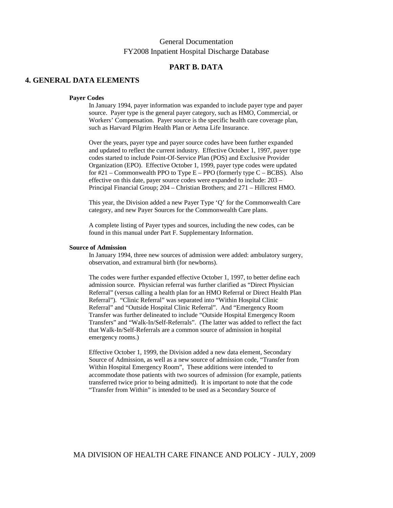### **PART B. DATA**

#### **4. GENERAL DATA ELEMENTS**

#### **Payer Codes**

In January 1994, payer information was expanded to include payer type and payer source. Payer type is the general payer category, such as HMO, Commercial, or Workers' Compensation. Payer source is the specific health care coverage plan, such as Harvard Pilgrim Health Plan or Aetna Life Insurance.

Over the years, payer type and payer source codes have been further expanded and updated to reflect the current industry. Effective October 1, 1997, payer type codes started to include Point-Of-Service Plan (POS) and Exclusive Provider Organization (EPO). Effective October 1, 1999, payer type codes were updated for  $\#21$  – Commonwealth PPO to Type E – PPO (formerly type C – BCBS). Also effective on this date, payer source codes were expanded to include: 203 – Principal Financial Group; 204 – Christian Brothers; and 271 – Hillcrest HMO.

This year, the Division added a new Payer Type 'Q' for the Commonwealth Care category, and new Payer Sources for the Commonwealth Care plans.

A complete listing of Payer types and sources, including the new codes, can be found in this manual under Part F. Supplementary Information.

#### **Source of Admission**

In January 1994, three new sources of admission were added: ambulatory surgery, observation, and extramural birth (for newborns).

The codes were further expanded effective October 1, 1997, to better define each admission source. Physician referral was further clarified as "Direct Physician Referral" (versus calling a health plan for an HMO Referral or Direct Health Plan Referral"). "Clinic Referral" was separated into "Within Hospital Clinic Referral" and "Outside Hospital Clinic Referral". And "Emergency Room Transfer was further delineated to include "Outside Hospital Emergency Room Transfers" and "Walk-In/Self-Referrals". (The latter was added to reflect the fact that Walk-In/Self-Referrals are a common source of admission in hospital emergency rooms.)

Effective October 1, 1999, the Division added a new data element, Secondary Source of Admission, as well as a new source of admission code, "Transfer from Within Hospital Emergency Room", These additions were intended to accommodate those patients with two sources of admission (for example, patients transferred twice prior to being admitted). It is important to note that the code "Transfer from Within" is intended to be used as a Secondary Source of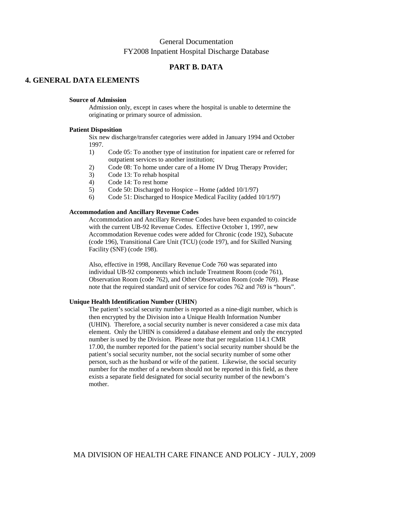### **PART B. DATA**

#### **4. GENERAL DATA ELEMENTS**

#### **Source of Admission**

Admission only, except in cases where the hospital is unable to determine the originating or primary source of admission.

#### **Patient Disposition**

Six new discharge/transfer categories were added in January 1994 and October 1997.

- 1) Code 05: To another type of institution for inpatient care or referred for outpatient services to another institution;
- 2) Code 08: To home under care of a Home IV Drug Therapy Provider;
- 3) Code 13: To rehab hospital
- 4) Code 14: To rest home
- 5) Code 50: Discharged to Hospice Home (added 10/1/97)
- 6) Code 51: Discharged to Hospice Medical Facility (added 10/1/97)

#### **Accommodation and Ancillary Revenue Codes**

Accommodation and Ancillary Revenue Codes have been expanded to coincide with the current UB-92 Revenue Codes. Effective October 1, 1997, new Accommodation Revenue codes were added for Chronic (code 192), Subacute (code 196), Transitional Care Unit (TCU) (code 197), and for Skilled Nursing Facility (SNF) (code 198).

Also, effective in 1998, Ancillary Revenue Code 760 was separated into individual UB-92 components which include Treatment Room (code 761), Observation Room (code 762), and Other Observation Room (code 769). Please note that the required standard unit of service for codes 762 and 769 is "hours".

#### **Unique Health Identification Number (UHIN**)

The patient's social security number is reported as a nine-digit number, which is then encrypted by the Division into a Unique Health Information Number (UHIN). Therefore, a social security number is never considered a case mix data element. Only the UHIN is considered a database element and only the encrypted number is used by the Division. Please note that per regulation 114.1 CMR 17.00, the number reported for the patient's social security number should be the patient's social security number, not the social security number of some other person, such as the husband or wife of the patient. Likewise, the social security number for the mother of a newborn should not be reported in this field, as there exists a separate field designated for social security number of the newborn's mother.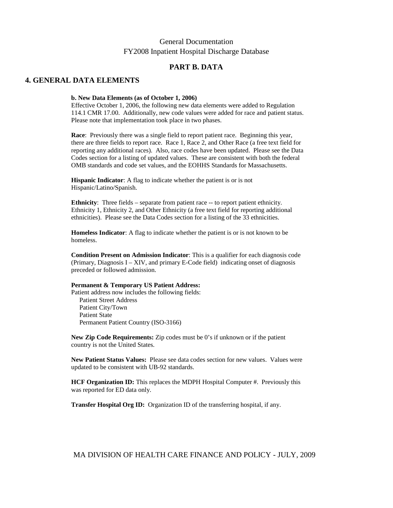### **PART B. DATA**

#### **4. GENERAL DATA ELEMENTS**

#### **b. New Data Elements (as of October 1, 2006)**

Effective October 1, 2006, the following new data elements were added to Regulation 114.1 CMR 17.00. Additionally, new code values were added for race and patient status. Please note that implementation took place in two phases.

**Race**: Previously there was a single field to report patient race. Beginning this year, there are three fields to report race. Race 1, Race 2, and Other Race (a free text field for reporting any additional races). Also, race codes have been updated. Please see the Data Codes section for a listing of updated values. These are consistent with both the federal OMB standards and code set values, and the EOHHS Standards for Massachusetts.

**Hispanic Indicator**: A flag to indicate whether the patient is or is not Hispanic/Latino/Spanish.

**Ethnicity**: Three fields – separate from patient race -- to report patient ethnicity. Ethnicity 1, Ethnicity 2, and Other Ethnicity (a free text field for reporting additional ethnicities). Please see the Data Codes section for a listing of the 33 ethnicities.

**Homeless Indicator**: A flag to indicate whether the patient is or is not known to be homeless.

**Condition Present on Admission Indicator**: This is a qualifier for each diagnosis code (Primary, Diagnosis  $I - XIV$ , and primary E-Code field) indicating onset of diagnosis preceded or followed admission.

#### **Permanent & Temporary US Patient Address:**

Patient address now includes the following fields: Patient Street Address Patient City/Town Patient State Permanent Patient Country (ISO-3166)

**New Zip Code Requirements:** Zip codes must be 0's if unknown or if the patient country is not the United States.

**New Patient Status Values:** Please see data codes section for new values. Values were updated to be consistent with UB-92 standards.

**HCF Organization ID:** This replaces the MDPH Hospital Computer #. Previously this was reported for ED data only.

**Transfer Hospital Org ID:** Organization ID of the transferring hospital, if any.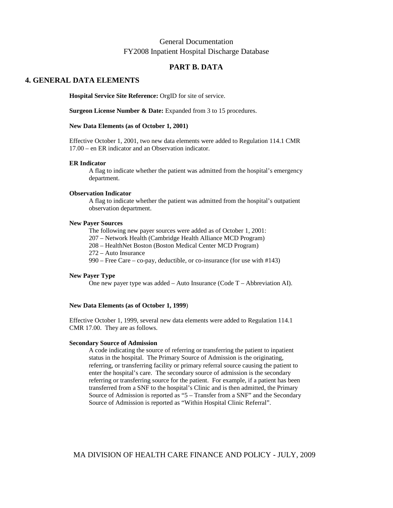### **PART B. DATA**

#### **4. GENERAL DATA ELEMENTS**

**Hospital Service Site Reference:** OrgID for site of service.

**Surgeon License Number & Date:** Expanded from 3 to 15 procedures.

#### **New Data Elements (as of October 1, 2001)**

Effective October 1, 2001, two new data elements were added to Regulation 114.1 CMR 17.00 – en ER indicator and an Observation indicator.

#### **ER Indicator**

A flag to indicate whether the patient was admitted from the hospital's emergency department.

#### **Observation Indicator**

A flag to indicate whether the patient was admitted from the hospital's outpatient observation department.

#### **New Payer Sources**

 The following new payer sources were added as of October 1, 2001: 207 – Network Health (Cambridge Health Alliance MCD Program) 208 – HealthNet Boston (Boston Medical Center MCD Program) 272 – Auto Insurance 990 – Free Care – co-pay, deductible, or co-insurance (for use with #143)

#### **New Payer Type**

One new payer type was added – Auto Insurance (Code T – Abbreviation AI).

#### **New Data Elements (as of October 1, 1999**)

Effective October 1, 1999, several new data elements were added to Regulation 114.1 CMR 17.00. They are as follows.

#### **Secondary Source of Admission**

A code indicating the source of referring or transferring the patient to inpatient status in the hospital. The Primary Source of Admission is the originating, referring, or transferring facility or primary referral source causing the patient to enter the hospital's care. The secondary source of admission is the secondary referring or transferring source for the patient. For example, if a patient has been transferred from a SNF to the hospital's Clinic and is then admitted, the Primary Source of Admission is reported as "5 – Transfer from a SNF" and the Secondary Source of Admission is reported as "Within Hospital Clinic Referral".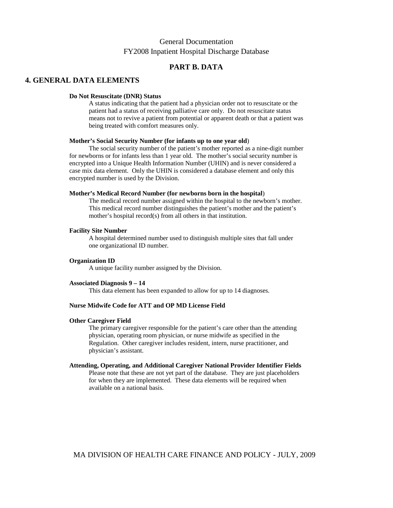### **PART B. DATA**

#### **4. GENERAL DATA ELEMENTS**

#### **Do Not Resuscitate (DNR) Status**

A status indicating that the patient had a physician order not to resuscitate or the patient had a status of receiving palliative care only. Do not resuscitate status means not to revive a patient from potential or apparent death or that a patient was being treated with comfort measures only.

#### **Mother's Social Security Number (for infants up to one year old**)

 The social security number of the patient's mother reported as a nine-digit number for newborns or for infants less than 1 year old. The mother's social security number is encrypted into a Unique Health Information Number (UHIN) and is never considered a case mix data element. Only the UHIN is considered a database element and only this encrypted number is used by the Division.

#### **Mother's Medical Record Number (for newborns born in the hospital**)

The medical record number assigned within the hospital to the newborn's mother. This medical record number distinguishes the patient's mother and the patient's mother's hospital record(s) from all others in that institution.

#### **Facility Site Number**

A hospital determined number used to distinguish multiple sites that fall under one organizational ID number.

#### **Organization ID**

A unique facility number assigned by the Division.

#### **Associated Diagnosis 9 – 14**

This data element has been expanded to allow for up to 14 diagnoses.

#### **Nurse Midwife Code for ATT and OP MD License Field**

#### **Other Caregiver Field**

The primary caregiver responsible for the patient's care other than the attending physician, operating room physician, or nurse midwife as specified in the Regulation. Other caregiver includes resident, intern, nurse practitioner, and physician's assistant.

#### **Attending, Operating, and Additional Caregiver National Provider Identifier Fields**

Please note that these are not yet part of the database. They are just placeholders for when they are implemented. These data elements will be required when available on a national basis.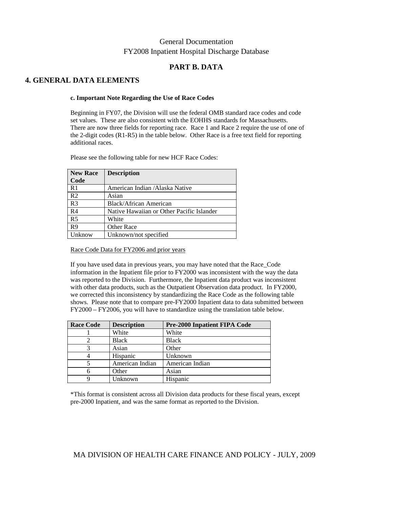### **PART B. DATA**

### **4. GENERAL DATA ELEMENTS**

#### **c. Important Note Regarding the Use of Race Codes**

Beginning in FY07, the Division will use the federal OMB standard race codes and code set values. These are also consistent with the EOHHS standards for Massachusetts. There are now three fields for reporting race. Race 1 and Race 2 require the use of one of the 2-digit codes (R1-R5) in the table below. Other Race is a free text field for reporting additional races.

Please see the following table for new HCF Race Codes:

| <b>New Race</b> | <b>Description</b>                        |
|-----------------|-------------------------------------------|
| Code            |                                           |
| R <sub>1</sub>  | American Indian /Alaska Native            |
| R <sub>2</sub>  | Asian                                     |
| R <sub>3</sub>  | Black/African American                    |
| R <sub>4</sub>  | Native Hawaiian or Other Pacific Islander |
| R <sub>5</sub>  | White                                     |
| R <sub>9</sub>  | <b>Other Race</b>                         |
| Unknow          | Unknown/not specified                     |

#### Race Code Data for FY2006 and prior years

If you have used data in previous years, you may have noted that the Race\_Code information in the Inpatient file prior to FY2000 was inconsistent with the way the data was reported to the Division. Furthermore, the Inpatient data product was inconsistent with other data products, such as the Outpatient Observation data product. In FY2000, we corrected this inconsistency by standardizing the Race Code as the following table shows. Please note that to compare pre-FY2000 Inpatient data to data submitted between FY2000 – FY2006, you will have to standardize using the translation table below.

| <b>Race Code</b> | <b>Description</b> | <b>Pre-2000 Inpatient FIPA Code</b> |
|------------------|--------------------|-------------------------------------|
|                  | White              | White                               |
|                  | <b>Black</b>       | <b>Black</b>                        |
|                  | Asian              | Other                               |
|                  | Hispanic           | Unknown                             |
|                  | American Indian    | American Indian                     |
|                  | Other              | Asian                               |
|                  | Unknown            | Hispanic                            |

\*This format is consistent across all Division data products for these fiscal years, except pre-2000 Inpatient, and was the same format as reported to the Division.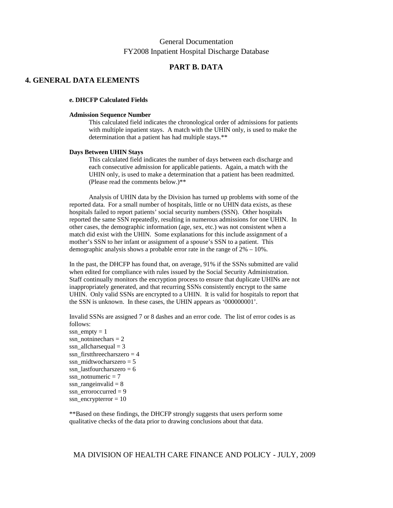### **PART B. DATA**

#### **4. GENERAL DATA ELEMENTS**

#### **e. DHCFP Calculated Fields**

#### **Admission Sequence Number**

This calculated field indicates the chronological order of admissions for patients with multiple inpatient stays. A match with the UHIN only, is used to make the determination that a patient has had multiple stays.\*\*

#### **Days Between UHIN Stays**

This calculated field indicates the number of days between each discharge and each consecutive admission for applicable patients. Again, a match with the UHIN only, is used to make a determination that a patient has been readmitted. (Please read the comments below.)\*\*

Analysis of UHIN data by the Division has turned up problems with some of the reported data. For a small number of hospitals, little or no UHIN data exists, as these hospitals failed to report patients' social security numbers (SSN). Other hospitals reported the same SSN repeatedly, resulting in numerous admissions for one UHIN. In other cases, the demographic information (age, sex, etc.) was not consistent when a match did exist with the UHIN. Some explanations for this include assignment of a mother's SSN to her infant or assignment of a spouse's SSN to a patient. This demographic analysis shows a probable error rate in the range of 2% – 10%.

In the past, the DHCFP has found that, on average, 91% if the SSNs submitted are valid when edited for compliance with rules issued by the Social Security Administration. Staff continually monitors the encryption process to ensure that duplicate UHINs are not inappropriately generated, and that recurring SSNs consistently encrypt to the same UHIN. Only valid SSNs are encrypted to a UHIN. It is valid for hospitals to report that the SSN is unknown. In these cases, the UHIN appears as '000000001'.

Invalid SSNs are assigned 7 or 8 dashes and an error code. The list of error codes is as follows:

ssn  $empty = 1$ ssn\_notninechars =  $2$ ssn allcharsequal  $= 3$ ssn firstthreecharszero  $= 4$ ssn\_midtwocharszero =  $5$ ssn\_lastfourcharszero =  $6$ ssn\_notnumeric  $= 7$ ssn\_range invalid  $= 8$ ssn\_erroroccurred =  $9$ ssn\_encrypterror = 10

\*\*Based on these findings, the DHCFP strongly suggests that users perform some qualitative checks of the data prior to drawing conclusions about that data.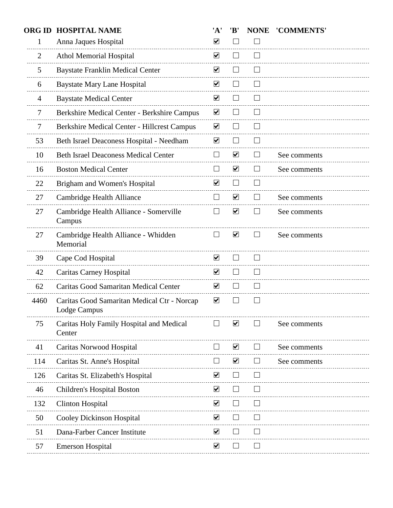| <b>ORG ID</b>  | <b>HOSPITAL NAME</b>                                             | 'A'                     | 'B'                      | <b>NONE</b>              | 'COMMENTS'   |
|----------------|------------------------------------------------------------------|-------------------------|--------------------------|--------------------------|--------------|
| 1              | Anna Jaques Hospital                                             | $\blacktriangledown$    |                          |                          |              |
| $\overline{2}$ | <b>Athol Memorial Hospital</b>                                   | $\blacktriangledown$    |                          |                          |              |
| 5              | <b>Baystate Franklin Medical Center</b>                          | $\blacktriangledown$    |                          |                          |              |
| 6              | <b>Baystate Mary Lane Hospital</b>                               | $\blacktriangledown$    |                          |                          |              |
| $\overline{4}$ | <b>Baystate Medical Center</b>                                   | $\blacktriangledown$    | $\overline{\phantom{a}}$ |                          |              |
| 7              | Berkshire Medical Center - Berkshire Campus                      | $\blacktriangledown$    |                          |                          |              |
| 7              | Berkshire Medical Center - Hillcrest Campus                      | $\blacktriangledown$    | $\overline{\phantom{a}}$ |                          |              |
| 53             | Beth Israel Deaconess Hospital - Needham                         | $\blacktriangledown$    | $\overline{\phantom{0}}$ | $\sim$                   |              |
| 10             | <b>Beth Israel Deaconess Medical Center</b>                      | L.                      | $\blacktriangledown$     |                          | See comments |
| 16             | <b>Boston Medical Center</b>                                     | $\sim$                  | $\blacktriangledown$     |                          | See comments |
| 22             | Brigham and Women's Hospital                                     | $\blacktriangledown$    |                          |                          |              |
| 27             | Cambridge Health Alliance                                        | ri i                    | $\blacktriangledown$     |                          | See comments |
| 27             | Cambridge Health Alliance - Somerville<br>Campus                 | $\sim$                  | $\blacktriangledown$     |                          | See comments |
| 27             | Cambridge Health Alliance - Whidden<br>Memorial                  | $\mathcal{L}$           | ☑                        | $\overline{\phantom{0}}$ | See comments |
| 39             | Cape Cod Hospital                                                | $\blacktriangledown$    |                          |                          |              |
| 42             | Caritas Carney Hospital                                          | $\overline{\mathbf{v}}$ |                          |                          |              |
| 62             | Caritas Good Samaritan Medical Center                            | $\blacktriangledown$    | $\Box$                   |                          |              |
| 4460           | Caritas Good Samaritan Medical Ctr - Norcap<br>Lodge Campus      | $\blacktriangledown$    |                          |                          |              |
| 75             | Caritas Holy Family Hospital and Medical<br>Center               | $\sim$                  | $\blacktriangledown$     |                          | See comments |
| 41             | Caritas Norwood Hospital                                         | $\Box$                  | $\blacktriangledown$     | $\Box$                   | See comments |
| 114            | Caritas St. Anne's Hospital                                      | $\Box$                  | $\blacktriangledown$     |                          | See comments |
| 126            | Caritas St. Elizabeth's Hospital                                 | $\blacktriangledown$    | $\Box$                   |                          |              |
| 46             | Children's Hospital Boston                                       | $\blacktriangledown$    |                          |                          |              |
| 132            | <b>Clinton Hospital</b><br>_____________________________________ | $\blacktriangledown$    |                          |                          |              |
| 50             | <b>Cooley Dickinson Hospital</b><br>---------------------------  | $\blacktriangledown$    | $\overline{\phantom{0}}$ |                          |              |
| 51             | Dana-Farber Cancer Institute                                     | $\blacktriangledown$    |                          |                          |              |
| 57             | <b>Emerson Hospital</b>                                          | $\blacktriangledown$    | $\blacksquare$           | $\blacksquare$           |              |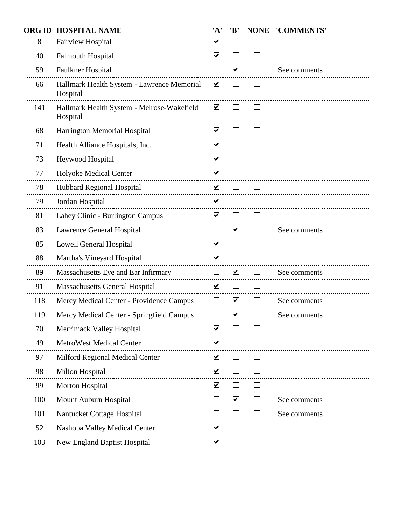| <b>ORG ID</b> | <b>HOSPITAL NAME</b>                                   | 'A'                         | 'B'                  | <b>NONE</b>    | 'COMMENTS'   |
|---------------|--------------------------------------------------------|-----------------------------|----------------------|----------------|--------------|
| 8             | Fairview Hospital                                      | $\blacktriangledown$        |                      |                |              |
| 40            | <b>Falmouth Hospital</b>                               | $\blacktriangledown$        |                      |                |              |
| 59            | Faulkner Hospital                                      | $\mathcal{L}$               | $\blacktriangledown$ |                | See comments |
| 66            | Hallmark Health System - Lawrence Memorial<br>Hospital | $\blacktriangledown$        |                      |                |              |
| 141           | Hallmark Health System - Melrose-Wakefield<br>Hospital | $\blacktriangledown$        |                      |                |              |
| 68            | Harrington Memorial Hospital                           | $\blacktriangledown$        |                      |                |              |
| 71            | Health Alliance Hospitals, Inc.                        | $\blacktriangledown$        |                      |                |              |
| 73            | Heywood Hospital                                       | $\blacktriangledown$        |                      |                |              |
| 77            | Holyoke Medical Center                                 | $\blacktriangledown$        |                      |                |              |
| 78            | Hubbard Regional Hospital                              | $\blacktriangledown$        | $\blacksquare$       | $\sim$         |              |
| 79            | Jordan Hospital                                        | $\overline{\mathbf{v}}$     |                      |                |              |
| 81            | Lahey Clinic - Burlington Campus                       | $\blacktriangledown$        |                      |                |              |
| 83            | Lawrence General Hospital                              | $\mathcal{L}_{\mathcal{A}}$ | $\blacktriangledown$ |                | See comments |
| 85            | <b>Lowell General Hospital</b>                         | $\blacktriangledown$        |                      |                |              |
| 88            | Martha's Vineyard Hospital                             | $\blacktriangledown$        |                      |                |              |
| 89            | Massachusetts Eye and Ear Infirmary                    | $\Box$                      | $\blacktriangledown$ | $\blacksquare$ | See comments |
| 91            | <b>Massachusetts General Hospital</b>                  | $\blacktriangledown$        | $\Box$               | $\sim$ 1       |              |
| 118           | Mercy Medical Center - Providence Campus               | $\sim$                      | $\blacktriangledown$ |                | See comments |
| 119           | Mercy Medical Center - Springfield Campus              |                             | ⊻                    |                | See comments |
| 70            | Merrimack Valley Hospital                              | $\blacktriangledown$        |                      |                |              |
| 49            | <b>MetroWest Medical Center</b>                        | $\blacktriangledown$        |                      |                |              |
| 97            | Milford Regional Medical Center                        | $\blacktriangledown$        |                      |                |              |
| 98            | Milton Hospital                                        | $\blacktriangledown$        |                      |                |              |
| 99            | Morton Hospital                                        | $\blacktriangledown$        |                      |                |              |
| 100           | Mount Auburn Hospital                                  | $\sim$                      | $\blacktriangledown$ |                | See comments |
| 101           | Nantucket Cottage Hospital                             | $\sim$                      |                      |                | See comments |
| 52            | Nashoba Valley Medical Center                          | $\blacktriangledown$        |                      |                |              |
| 103           | New England Baptist Hospital                           | $\blacktriangledown$        |                      |                |              |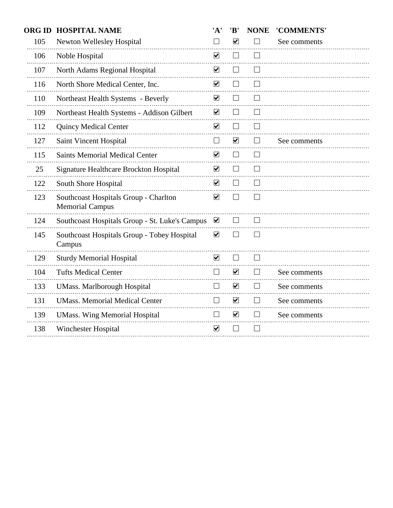| <b>ORGID</b> | <b>HOSPITAL NAME</b>                                            | 'A'                     | 'B'                      | <b>NONE</b>       | 'COMMENTS'   |
|--------------|-----------------------------------------------------------------|-------------------------|--------------------------|-------------------|--------------|
| 105          | Newton Wellesley Hospital                                       | $\Box$                  | $\blacktriangledown$     | $\vert \ \ \vert$ | See comments |
| 106          | Noble Hospital                                                  | $\blacktriangledown$    | $\Box$                   |                   |              |
| 107          | North Adams Regional Hospital                                   | $\blacktriangledown$    |                          |                   |              |
| 116          | North Shore Medical Center, Inc.                                | $\overline{\mathbf{v}}$ |                          |                   |              |
| 110          | Northeast Health Systems - Beverly                              | $\blacktriangledown$    |                          |                   |              |
| 109          | Northeast Health Systems - Addison Gilbert                      | $\overline{\mathbf{v}}$ |                          |                   |              |
| 112          | <b>Quincy Medical Center</b>                                    | $\overline{\mathbf{v}}$ | $\blacksquare$           | $\blacksquare$    |              |
| 127          | Saint Vincent Hospital                                          | $\Box$                  | $\blacktriangledown$     |                   | See comments |
| 115          | <b>Saints Memorial Medical Center</b>                           | $\blacktriangledown$    |                          |                   |              |
| 25           | Signature Healthcare Brockton Hospital                          | $\blacktriangledown$    |                          |                   |              |
| 122          | South Shore Hospital                                            | $\blacktriangledown$    | $\overline{\phantom{0}}$ |                   |              |
| 123          | Southcoast Hospitals Group - Charlton<br><b>Memorial Campus</b> | $\blacktriangledown$    |                          |                   |              |
| 124          | Southcoast Hospitals Group - St. Luke's Campus                  | $\blacktriangledown$    |                          |                   |              |
| 145          | Southcoast Hospitals Group - Tobey Hospital<br>Campus           | $\blacktriangledown$    |                          | $\blacksquare$    |              |
| 129          | <b>Sturdy Memorial Hospital</b>                                 | $\blacktriangledown$    | $\Box$                   |                   |              |
| 104          | <b>Tufts Medical Center</b>                                     | $\mathbb{R}^n$          | $\blacktriangledown$     |                   | See comments |
| 133          | <b>UMass. Marlborough Hospital</b>                              |                         | $\blacktriangledown$     |                   | See comments |
| 131          | <b>UMass. Memorial Medical Center</b>                           | $\Box$                  | $\blacktriangledown$     | $\Box$            | See comments |
| 139          | <b>UMass. Wing Memorial Hospital</b>                            | $\Box$                  | $\overline{\mathbf{v}}$  | $\blacksquare$    | See comments |
| 138          | Winchester Hospital                                             | $\blacktriangledown$    |                          |                   |              |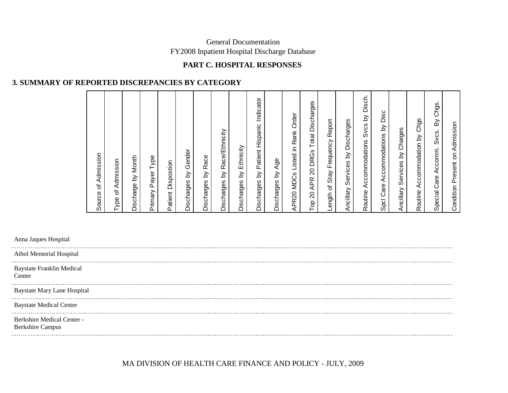# **PART C. HOSPITAL RESPONSES**

# **3. SUMMARY OF REPORTED DISCREPANCIES BY CATEGORY**

| Source of Admission                                                 |  |
|---------------------------------------------------------------------|--|
| Admission<br>$\overline{\sigma}$<br>Type                            |  |
| Month<br>$\gtrsim$<br>Discharge                                     |  |
| Type<br>Payer <sup>-</sup><br>Primary                               |  |
| Patient Dispostion                                                  |  |
| Discharges by Gender                                                |  |
| Race<br>$\gtrsim$<br>Discharges                                     |  |
| Race/Ethnicity<br>$\gtrsim$<br>Discharges                           |  |
| Ethnicity<br>$\gtrsim$<br>Discharges                                |  |
| Patient Hispanic Indicator<br>$\delta$<br>Discharges                |  |
| Age<br>Discharges by                                                |  |
| Order<br>Listed in Rank<br>APR20 MDCs                               |  |
| <b>Total Discharges</b><br>20 DRGs<br><b>APR</b><br>$\Omega$<br>Гoр |  |
| Report<br>Stay Frequency<br>৳<br>ength                              |  |
| Ancillary Services by Discharges                                    |  |
| by Disch.<br>Svcs<br>Accommodations<br>Routine                      |  |
| Disc<br>$\overline{\mathsf{S}}$<br>Accommodations<br>Spol Care      |  |
| Charges<br>$\gtrsim$<br>Services<br>Ancillary                       |  |
| Chgs<br>Accommodation by<br>Routine                                 |  |
| By Chgs<br>Accomm. Svcs.<br>Special Care                            |  |
| Condition Present on Admission                                      |  |

| Anna Jaques Hospital                                  |  |
|-------------------------------------------------------|--|
| Athol Memorial Hospital                               |  |
| Baystate Franklin Medical<br>Center                   |  |
| Baystate Mary Lane Hospital                           |  |
| <b>Baystate Medical Center</b>                        |  |
| Berkshire Medical Center -<br><b>Berkshire Campus</b> |  |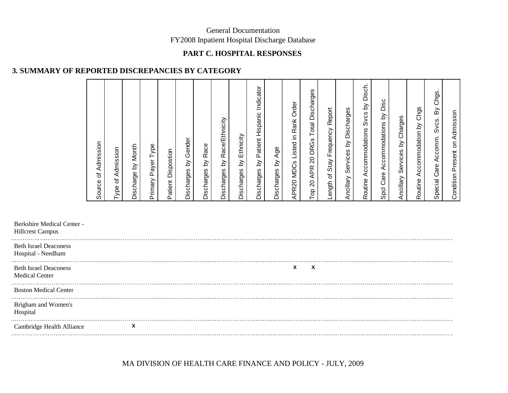## **PART C. HOSPITAL RESPONSES**

# **3. SUMMARY OF REPORTED DISCREPANCIES BY CATEGORY**

| Source of Admission                                                            |
|--------------------------------------------------------------------------------|
| Admission<br>Type of                                                           |
| Discharge by Month                                                             |
| Payer Type<br>Primary                                                          |
| Patient Dispostion                                                             |
| Gender<br>Discharges by                                                        |
| Discharges by Race                                                             |
| Race/Ethnicity<br>Discharges by                                                |
| Ethnicity<br>Discharges by                                                     |
| Indicator<br>Patient Hispanic<br>ď<br>Discharges                               |
| Discharges by Age                                                              |
| Rank Order<br>APR20 MDCs Listed in                                             |
| <b>Total Discharges</b><br>20 DRGs<br><b>APR</b><br>$\Omega$<br>$\overline{P}$ |
| Report<br>Stay Frequency<br>ength of                                           |
| Ancillary Services by Discharges                                               |
| Svcs by Disch.<br>Routine Accommodations                                       |
| Disc<br>Spcl Care Accommodations by                                            |
| by Charges<br>Services<br>Ancillary                                            |
| Accommodation by Chgs<br>Routine                                               |
| By Chgs.<br>Svcs.<br>Accomm.<br>Care<br>Special                                |
| Condition Present on Admission                                                 |

| Berkshire Medical Center -<br><b>Hillcrest Campus</b> |           |         |
|-------------------------------------------------------|-----------|---------|
| <b>Beth Israel Deaconess</b><br>Hospital - Needham    |           |         |
| <b>Beth Israel Deaconess</b><br><b>Medical Center</b> |           | X.<br>X |
| <b>Boston Medical Center</b>                          |           |         |
| Brigham and Women's<br>Hospital                       |           |         |
| Cambridge Health Alliance                             | $\lambda$ |         |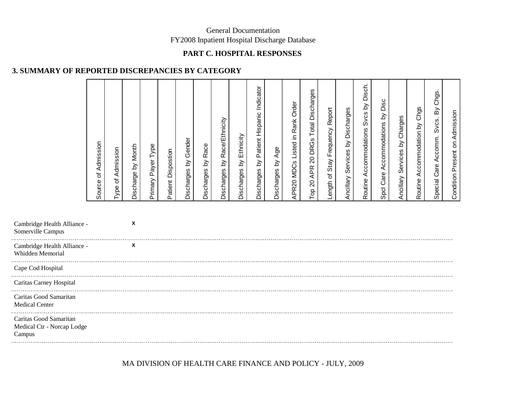# **PART C. HOSPITAL RESPONSES**

# **3. SUMMARY OF REPORTED DISCREPANCIES BY CATEGORY**

|                                                      | of Admission<br>Source | of Admission<br>Type | Discharge by Month | Primary Payer Type | Patient Dispostion | Gender<br>Discharges by | Race<br>Σ<br>Discharges | Race/Ethnicity<br>Δ<br>Discharges | Ethnicity<br>Discharges by | Indicator<br>Hispanic<br>Patient I<br><u>ই</u><br>Discharges | Age<br>Discharges by | Order<br>Rank<br>Listed in<br>APR20 MDCs | APR 20 DRGs Total Discharges<br>Тор 20, | Frequency Report<br>Stay<br>Length of | Ancillary Services by Discharges | Disch.<br>Svcs by<br>Accommodations<br>Routine | Spcl Care Accommodations by Disc | Charges<br>$\delta$<br>Services<br>Ancillary | Chgs<br>Routine Accommodation by | Chgs<br>Δ<br>Svcs.<br>Accomm.<br>Special Care | Condition Present on Admission |
|------------------------------------------------------|------------------------|----------------------|--------------------|--------------------|--------------------|-------------------------|-------------------------|-----------------------------------|----------------------------|--------------------------------------------------------------|----------------------|------------------------------------------|-----------------------------------------|---------------------------------------|----------------------------------|------------------------------------------------|----------------------------------|----------------------------------------------|----------------------------------|-----------------------------------------------|--------------------------------|
| Cambridge Health Alliance -<br>Somerville Campus     |                        |                      | $\mathbf{x}$       |                    |                    |                         |                         |                                   |                            |                                                              |                      |                                          |                                         |                                       |                                  |                                                |                                  |                                              |                                  |                                               |                                |
| Cambridge Health Alliance -<br>Whidden Memorial      |                        |                      | $\pmb{\chi}$       |                    |                    |                         |                         |                                   |                            |                                                              |                      |                                          |                                         |                                       |                                  |                                                |                                  |                                              |                                  |                                               |                                |
| Cape Cod Hospital                                    |                        |                      |                    |                    |                    |                         |                         |                                   |                            |                                                              |                      |                                          |                                         |                                       |                                  |                                                |                                  |                                              |                                  |                                               |                                |
| Caritas Carney Hospital                              |                        |                      |                    |                    |                    |                         |                         |                                   |                            |                                                              |                      |                                          |                                         |                                       |                                  |                                                |                                  |                                              |                                  |                                               |                                |
| Caritas Good Samaritan<br><b>Medical Center</b>      |                        |                      |                    |                    |                    |                         |                         |                                   |                            |                                                              |                      |                                          |                                         |                                       |                                  |                                                |                                  |                                              |                                  |                                               |                                |
| Caritas Good Samaritan<br>Medical Ctr - Norcap Lodge |                        |                      |                    |                    |                    |                         |                         |                                   |                            |                                                              |                      |                                          |                                         |                                       |                                  |                                                |                                  |                                              |                                  |                                               |                                |

Campus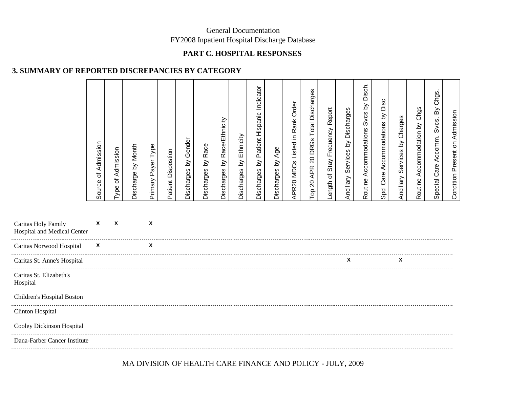## **PART C. HOSPITAL RESPONSES**

# **3. SUMMARY OF REPORTED DISCREPANCIES BY CATEGORY**

|                                                    | Source of Admission       | Type of Admission | Discharge by Month | Primary Payer Type        | Patient Dispostion | Gender<br>Discharges by | Discharges by Race | Discharges by Race/Ethnicity | Discharges by Ethnicity | Discharges by Patient Hispanic Indicator | Discharges by Age | Order<br>APR20 MDCs Listed in Rank | <b>Total Discharges</b><br>20 DRGs<br>APR :<br>Top 20 | Frequency Report<br>Stay<br>Length of | Services by Discharges<br>Ancillary | Svcs by Disch<br>Routine Accommodations | Disc<br>Spcl Care Accommodations by | Charges<br>Services by<br>Ancillary | Chgs<br>Routine Accommodation by | Chgs.<br>Βy<br>Svcs.<br>Accomm.<br>Care<br>Special | Condition Present on Admission |
|----------------------------------------------------|---------------------------|-------------------|--------------------|---------------------------|--------------------|-------------------------|--------------------|------------------------------|-------------------------|------------------------------------------|-------------------|------------------------------------|-------------------------------------------------------|---------------------------------------|-------------------------------------|-----------------------------------------|-------------------------------------|-------------------------------------|----------------------------------|----------------------------------------------------|--------------------------------|
| Caritas Holy Family<br>Hospital and Medical Center | $\mathbf{x}$              | X                 |                    | $\boldsymbol{\mathsf{x}}$ |                    |                         |                    |                              |                         |                                          |                   |                                    |                                                       |                                       |                                     |                                         |                                     |                                     |                                  |                                                    |                                |
| Caritas Norwood Hospital                           | $\boldsymbol{\mathsf{x}}$ |                   |                    | X                         |                    |                         |                    |                              |                         |                                          |                   |                                    |                                                       |                                       |                                     |                                         |                                     |                                     |                                  |                                                    |                                |
| Caritas St. Anne's Hospital                        |                           |                   |                    |                           |                    |                         |                    |                              |                         |                                          |                   |                                    |                                                       |                                       | X                                   |                                         |                                     | Χ                                   |                                  |                                                    |                                |
| Caritas St. Elizabeth's<br>Hospital                |                           |                   |                    |                           |                    |                         |                    |                              |                         |                                          |                   |                                    |                                                       |                                       |                                     |                                         |                                     |                                     |                                  |                                                    |                                |
| Children's Hospital Boston                         |                           |                   |                    |                           |                    |                         |                    |                              |                         |                                          |                   |                                    |                                                       |                                       |                                     |                                         |                                     |                                     |                                  |                                                    |                                |
| <b>Clinton Hospital</b>                            |                           |                   |                    |                           |                    |                         |                    |                              |                         |                                          |                   |                                    |                                                       |                                       |                                     |                                         |                                     |                                     |                                  |                                                    |                                |
| Cooley Dickinson Hospital                          |                           |                   |                    |                           |                    |                         |                    |                              |                         |                                          |                   |                                    |                                                       |                                       |                                     |                                         |                                     |                                     |                                  |                                                    |                                |
| Dana-Farber Cancer Institute                       |                           |                   |                    |                           |                    |                         |                    |                              |                         |                                          |                   |                                    |                                                       |                                       |                                     |                                         |                                     |                                     |                                  |                                                    |                                |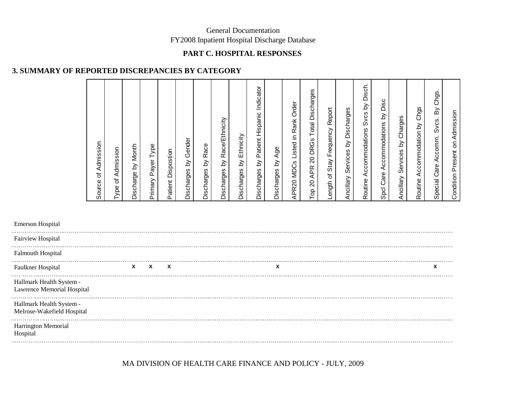## **PART C. HOSPITAL RESPONSES**

# **3. SUMMARY OF REPORTED DISCREPANCIES BY CATEGORY**

| Admission<br>Source of                                              |
|---------------------------------------------------------------------|
| Admission<br>Type of                                                |
| Discharge by Month                                                  |
| Primary Payer Type                                                  |
| Dispostion<br>Patient                                               |
| Gender<br>Discharges by                                             |
| Race<br>$\gtrsim$<br>Discharges                                     |
| Race/Ethnicity<br>$\delta$<br>Discharges                            |
| Ethnicity<br>$\gtrsim$<br>Discharges                                |
| Indicator<br>Patient Hispanic<br>$\gtrsim$<br>Discharges            |
| Discharges by Age                                                   |
| Order<br>Rank<br>MDCs Listed in<br>APR20                            |
| <b>Total Discharges</b><br>20 DRGs<br><b>APR</b><br>$\Omega$<br>Top |
| Report<br>Stay Frequency<br>Length of                               |
| Ancillary Services by Discharges                                    |
| Disch.<br>$\gtrsim$<br>Svcs<br>Accommodations<br>Routine            |
| Disc<br>$\gtrsim$<br>Accommodations<br>Spcl Care                    |
| Charges<br>$\delta$<br>Services<br>Ancillary                        |
| Routine Accommodation by Chgs                                       |
| By Chgs<br>Special Care Accomm. Svcs.                               |
| Condition Present on Admission                                      |
|                                                                     |

| <b>Emerson Hospital</b>                                           |             |           |   |
|-------------------------------------------------------------------|-------------|-----------|---|
| <b>Fairview Hospital</b>                                          |             |           |   |
| <b>Falmouth Hospital</b>                                          |             |           |   |
| <b>Faulkner Hospital</b><br>------------------------------------- | $X$ $X$ $X$ | $\lambda$ | £ |
| Hallmark Health System -<br>Lawrence Memorial Hospital            |             |           |   |
| Hallmark Health System -<br>Melrose-Wakefield Hospital            |             |           |   |
| Harrington Memorial<br>Hospital                                   |             |           |   |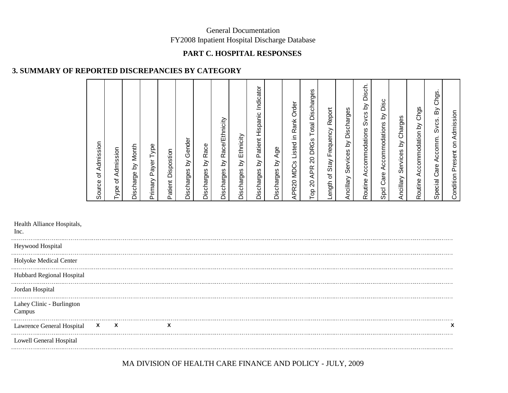## **PART C. HOSPITAL RESPONSES**

# **3. SUMMARY OF REPORTED DISCREPANCIES BY CATEGORY**

| Admission<br>Source of                                          |
|-----------------------------------------------------------------|
| Type of Admission                                               |
| Month<br>$\gtrsim$<br>Discharge                                 |
| Type<br>Payer<br>Primary                                        |
| Dispostion<br>Patient                                           |
| by Gender<br>Discharges                                         |
| Race<br>$\gtrsim$<br>Discharges                                 |
| Race/Ethnicity<br>$\gtrsim$<br>Discharges                       |
| Ethnicity<br>$\gtrsim$<br>Discharges                            |
| Patient Hispanic Indicator<br>Δ<br>Discharges                   |
| Age<br>$\gtrsim$<br>Discharges                                  |
| Order<br>Rank<br>으.<br>Listed<br><b>MDCs</b><br>APR20           |
| Discharges<br>Total<br>20 DRGs<br><b>APR</b><br>$\Omega$<br>Top |
| Report<br>Stay Frequency<br>$\mathbf{\tilde{o}}$<br>ength<br>┙  |
| Services by Discharges<br>Ancillary                             |
| Disch.<br>$\delta$<br>Svcs<br>Accommodations<br>Routine         |
| Disc<br>$\gtrsim$<br>Accommodations<br>Spol Care                |
| Charges<br>$\delta$<br>Services<br>Ancillary                    |
| Routine Accommodation by Chgs                                   |
| Chgs.<br>$\mathbb S$<br>Svcs.<br>Accomm.<br>Care<br>Special     |
| Condition Present on Admission                                  |

| Health Alliance Hospitals,<br>Inc.  |  |   |  |
|-------------------------------------|--|---|--|
| Heywood Hospital                    |  |   |  |
| Holyoke Medical Center              |  |   |  |
| Hubbard Regional Hospital           |  |   |  |
| Jordan Hospital                     |  |   |  |
| Lahey Clinic - Burlington<br>Campus |  |   |  |
| Lawrence General Hospital X X       |  | X |  |
| Lowell General Hospital             |  |   |  |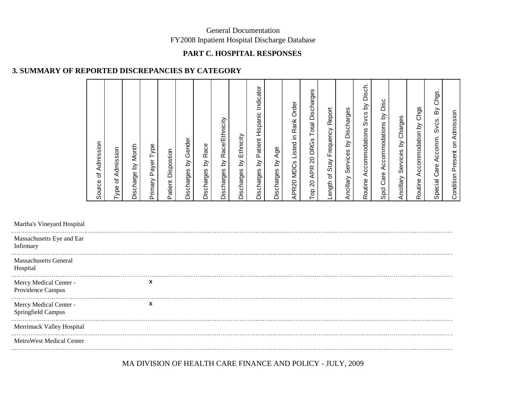## **PART C. HOSPITAL RESPONSES**

# **3. SUMMARY OF REPORTED DISCREPANCIES BY CATEGORY**

| Source of Admission                                                             |
|---------------------------------------------------------------------------------|
| Admission<br>Type of                                                            |
| Month<br>Discharge by                                                           |
| Payer Type<br>Primary                                                           |
| Dispostion<br>Patient                                                           |
| Discharges by Gender                                                            |
| Race<br>$\gtrsim$<br>Discharges                                                 |
| Race/Ethnicity<br>$\gtrapprox$<br>Discharges                                    |
| Ethnicity<br>$\gtrsim$<br>Discharges                                            |
| Discharges by Patient Hispanic Indicator                                        |
| Discharges by Age                                                               |
| APR20 MDCs Listed in Rank Order                                                 |
| Discharges<br>Total<br><b>DRGs</b><br>$\overline{c}$<br><b>APR</b><br>20<br>Top |
| Report<br>Length of Stay Frequency                                              |
| Ancillary Services by Discharges                                                |
| Disch.<br>$\gtrsim$<br>Svcs<br>Accommodations<br>Routine                        |
| Disc<br>Accommodations by<br>Spcl Care                                          |
| Charges<br>$\delta$<br>Services<br>Ancillary                                    |
| Accommodation by Chgs<br>Routine                                                |
| By Chgs<br>Svcs.<br>Care Accomm.<br>Special                                     |
| Admission<br>Condition Present on                                               |

### Martha's Vineyard Hospital

| Massachusetts Eye and Ear<br>Infirmary                                          |           |  |
|---------------------------------------------------------------------------------|-----------|--|
| <b>Massachusetts General</b><br>Hospital                                        |           |  |
| Mercy Medical Center -<br>Providence Campus                                     | $\lambda$ |  |
| -------------------------------<br>Mercy Medical Center -<br>Springfield Campus | $\lambda$ |  |
| Merrimack Valley Hospital                                                       |           |  |
| <b>MetroWest Medical Center</b>                                                 |           |  |
|                                                                                 |           |  |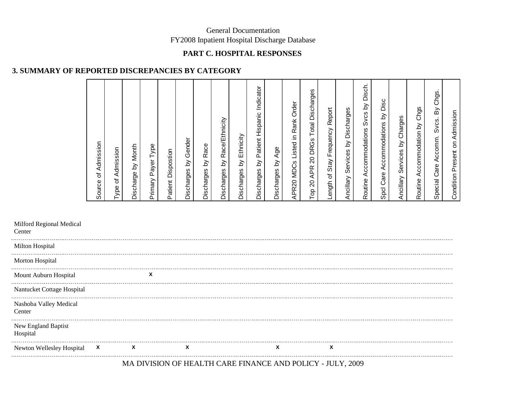## **PART C. HOSPITAL RESPONSES**

# **3. SUMMARY OF REPORTED DISCREPANCIES BY CATEGORY**

| Source of Admission                                                                    |
|----------------------------------------------------------------------------------------|
| Admission<br>Type of                                                                   |
| Discharge by Month                                                                     |
| Payer Type<br>Primary                                                                  |
| Dispostion<br>Patient                                                                  |
| Gender<br>Discharges by                                                                |
| Race<br>$\gtrsim$<br>Discharges                                                        |
| Race/Ethnicity<br>$\delta$<br>Discharges                                               |
| Ethnicity<br>$\gtrsim$<br>Discharges                                                   |
| Indicator<br>Patient Hispanic<br>$\gtrsim$<br>Discharges                               |
| Discharges by Age                                                                      |
| Order<br>Rank<br>Listed in<br><b>MDCs</b><br>APR20                                     |
| Discharges<br>Total<br><b>DRGs</b><br>$\overline{20}$<br><b>APR</b><br>$\Omega$<br>Top |
| Report<br>Frequency<br>Stay<br>৳<br>Length                                             |
| Ancillary Services by Discharges                                                       |
| Disch.<br>$\gtrsim$<br>Svcs<br>Accommodations<br>Routine                               |
| Disc<br>$\gtrsim$<br>Accommodations<br>Care.<br>Spci                                   |
| Charges<br>Σ<br>Services<br>Ancillary                                                  |
| Accommodation by Chgs<br>Routine                                                       |
| By Chgs<br>Svcs.<br>Care Accomm.<br>Special                                            |
| Admission<br>Condition Present on                                                      |

| Milford Regional Medical<br>Center |   |   |   |                                                          |   |  |
|------------------------------------|---|---|---|----------------------------------------------------------|---|--|
| <b>Milton Hospital</b>             |   |   |   |                                                          |   |  |
| <b>Morton Hospital</b>             |   |   |   |                                                          |   |  |
| Mount Auburn Hospital              |   | X |   |                                                          |   |  |
| Nantucket Cottage Hospital         |   |   |   |                                                          |   |  |
| Nashoba Valley Medical<br>Center   |   |   |   |                                                          |   |  |
| New England Baptist<br>Hospital    |   |   |   |                                                          |   |  |
| Newton Wellesley Hospital          | X | X | X | X                                                        | х |  |
|                                    |   |   |   | MA DIVICION OF HEAI TH CADE FINANCE AND DOLICY HH V 2000 |   |  |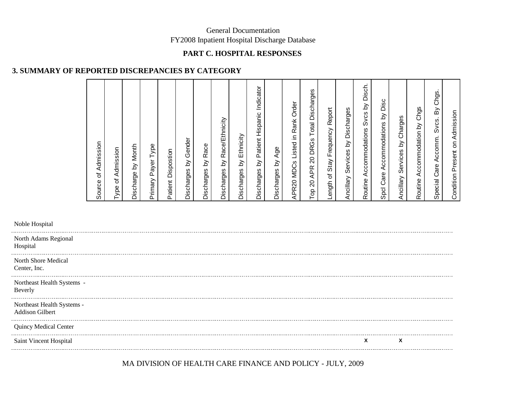## **PART C. HOSPITAL RESPONSES**

# **3. SUMMARY OF REPORTED DISCREPANCIES BY CATEGORY**

| Admission<br>Source of                                              |
|---------------------------------------------------------------------|
| Type of Admission                                                   |
| Discharge by Month                                                  |
| Payer Type<br>Primary                                               |
| Dispostion<br>Patient                                               |
| Gender<br>$\gtrsim$<br>Discharges                                   |
| Race<br>$\gtrsim$<br>Discharges                                     |
| Race/Ethnicity<br>$\gtrsim$<br>Discharges                           |
| Ethnicity<br>$\gtrsim$<br>Discharges                                |
| Indicator<br>Patient Hispanic<br>$\gtrsim$<br>Discharges            |
| Discharges by Age                                                   |
| Order<br>Rank<br>MDCs Listed in<br>APR20                            |
| <b>Total Discharges</b><br>20 DRGs<br><b>APR</b><br>$\Omega$<br>Гoр |
| Report<br>Frequency<br>Stay<br>$\mathcal{P}$<br>ength<br>┙          |
| Ancillary Services by Discharges                                    |
| by Disch.<br>Svcs<br>Routine Accommodations                         |
| Disc<br>Spcl Care Accommodations by                                 |
| Charges<br>$\gtrsim$<br>Services<br>Ancillary                       |
| Accommodation by Chgs<br>Routine                                    |
| By Chgs<br>Svcs.<br>Special Care Accomm.                            |
| Condition Present on Admission                                      |

| Noble Hospital                                |   |   |
|-----------------------------------------------|---|---|
| North Adams Regional<br>Hospital              |   |   |
| North Shore Medical<br>Center, Inc.           |   |   |
| Northeast Health Systems -<br>Beverly         |   |   |
| Northeast Health Systems -<br>Addison Gilbert |   |   |
| <b>Quincy Medical Center</b>                  |   |   |
| Saint Vincent Hospital                        | X | X |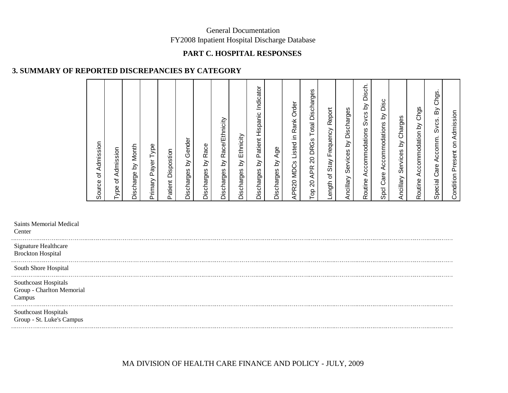## **PART C. HOSPITAL RESPONSES**

# **3. SUMMARY OF REPORTED DISCREPANCIES BY CATEGORY**

| Admission<br>Source of                                              |
|---------------------------------------------------------------------|
| Admission<br>$\overleftrightarrow{\circ}$<br>Type                   |
| Discharge by Month                                                  |
| Type<br>Payer<br>Primary                                            |
| Dispostion<br>Patient                                               |
| Gender<br>$\gtrsim$<br>Discharges                                   |
| Race<br>$\gtrsim$<br>Discharges                                     |
| Race/Ethnicity<br>$\gtrsim$<br>Discharges                           |
| Ethnicity<br>$\gtrsim$<br>Discharges                                |
| Indicator<br>Patient Hispanic<br>$\gtrsim$<br>Discharges            |
| Discharges by Age                                                   |
| Order<br>Rank<br>Listed in<br>APR20 MDCs                            |
| <b>Total Discharges</b><br>20 DRGs<br><b>APR</b><br>$\Omega$<br>Top |
| Report<br>Stay Frequency<br>$\mathcal{P}$<br>ength                  |
| Ancillary Services by Discharges                                    |
| by Disch.<br>Svcs<br>Accommodations<br>Routine                      |
| Disc<br>$\gtrsim$<br>Accommodations<br>Spcl Care                    |
| Charges<br>$\gtrsim$<br>Services<br>Ancillary                       |
| Accommodation by Chgs<br>Routine                                    |
| By Chgs<br>Svcs.<br>Accomm.<br>Care.<br>Special                     |
| Condition Present on Admission                                      |

Saints Memorial Medical

**Center** 

<u>. . . . . . . . . . .</u>

Signature Healthcare Brockton Hospital

South Shore Hospital

-----------------------

Southcoast Hospitals Group - Charlton Memorial Campus

Southcoast Hospitals Group - St. Luke's Campus

MA DIVISION OF HEALTH CARE FINANCE AND POLICY - JULY, 2009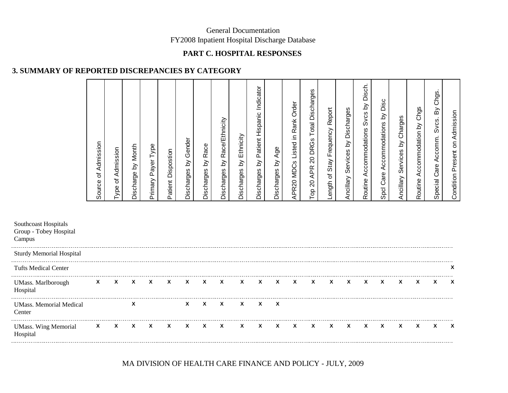## **PART C. HOSPITAL RESPONSES**

# **3. SUMMARY OF REPORTED DISCREPANCIES BY CATEGORY**

| Admission<br>Source of                                                                       |
|----------------------------------------------------------------------------------------------|
| Type of Admission                                                                            |
| Discharge by Month                                                                           |
| Payer Type<br>Primary                                                                        |
| Dispostion<br>Patient                                                                        |
| Discharges by Gender                                                                         |
| Race<br>$\gtrsim$<br>Discharges                                                              |
| Race/Ethnicity<br>$\gtrsim$<br>Discharges                                                    |
| Ethnicity<br>$\delta$<br>Discharges                                                          |
| Discharges by Patient Hispanic Indicator                                                     |
| Discharges by Age                                                                            |
| Order<br>Rank<br>Listed in<br><b>APR20 MDCs</b>                                              |
| Discharges<br>Total<br><b>DRGs</b><br>$\overline{20}$<br><b>APR</b><br>$\overline{c}$<br>Top |
| Report<br>Stay Frequency<br>$\mathbf{\tilde{o}}$<br>Length                                   |
| Services by Discharges<br>Ancillary                                                          |
| Disch.<br>$\delta$<br>Svcs<br>Accommodations<br>Routine                                      |
| Disc<br>$\gtrsim$<br>Accommodations<br>Care.<br>Spcl                                         |
| Charges<br>Δ<br>Services<br>Ancillary                                                        |
| Accommodation by Chgs<br>Routine                                                             |
| Chgs.<br>δ<br>Svcs.<br>Accomm.<br>Care.<br>Special                                           |
| Condition Present on Admission                                                               |

| Southcoast Hospitals<br>Group - Tobey Hospital<br>Campus |   |                 |   |   |    |              |              |              |              |              |          |              |              |              |              |   |    |   |   |   |   |
|----------------------------------------------------------|---|-----------------|---|---|----|--------------|--------------|--------------|--------------|--------------|----------|--------------|--------------|--------------|--------------|---|----|---|---|---|---|
| <b>Sturdy Memorial Hospital</b>                          |   |                 |   |   |    |              |              |              |              |              |          |              |              |              |              |   |    |   |   |   |   |
| <b>Tufts Medical Center</b>                              |   |                 |   |   |    |              |              |              |              |              |          |              |              |              |              |   |    |   |   |   | x |
| <b>UMass. Marlborough</b><br>Hospital                    | X | $\mathsf{x}$    | X | X | X  | X            | X            | X            | X            | X            | X        | X            | X            | X            | X            | X | x  | X | X | x | X |
| <b>UMass. Memorial Medical</b><br>Center                 |   |                 | χ |   |    | X            | X            | X            | $\mathsf{x}$ | X            | X        |              |              |              |              |   |    |   |   |   |   |
| <b>UMass. Wing Memorial</b><br>Hospital                  |   | $X$ $X$ $X$ $X$ |   |   | X. | $\mathsf{x}$ | $\mathsf{X}$ | $\mathsf{X}$ | $\mathsf{x}$ | $\mathsf{x}$ | <b>X</b> | $\mathsf{x}$ | $\mathsf{x}$ | $\mathsf{X}$ | $\mathsf{x}$ | X | X. | X | x | x | X |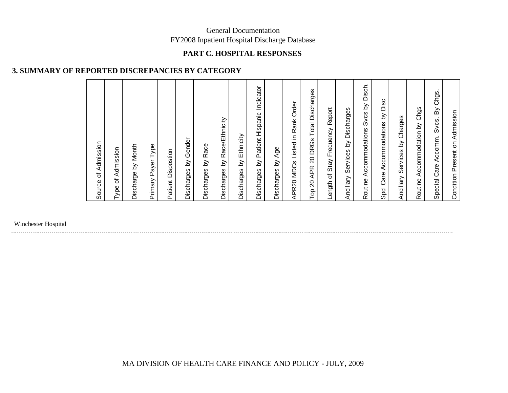#### **PART C. HOSPITAL RESPONSES**

#### **3. SUMMARY OF REPORTED DISCREPANCIES BY CATEGORY**

| Admission<br>Source of                                              |
|---------------------------------------------------------------------|
| Type of Admission                                                   |
| Discharge by Month                                                  |
| Type<br>Payer<br>Primary                                            |
| Dispostion<br>Patient                                               |
| Discharges by Gender                                                |
| Race<br>$\gtrsim$<br>Discharges                                     |
| Race/Ethnicity<br>$\gtrsim$<br>Discharges                           |
| Ethnicity<br>$\gtrsim$<br>Discharges                                |
| Indicator<br>Patient Hispanic<br>$\gtrsim$<br>Discharges            |
| Age<br>Discharges by                                                |
| Order<br>Rank<br>Listed in<br>APR20 MDCs                            |
| <b>Total Discharges</b><br>20 DRGs<br><b>APR</b><br>$\Omega$<br>Top |
| Report<br>Frequency<br>Stay<br>ength of                             |
| Ancillary Services by Discharges                                    |
| by Disch.<br>Svcs<br>Accommodations<br>Routine                      |
| Disc<br>$\gtrsim$<br>Spcl Care Accommodations                       |
| by Charges<br>Services<br>Ancillary                                 |
| Accommodation by Chgs<br>Routine                                    |
| By Chgs<br>Svcs.<br>Accomm.<br>Care<br>Special                      |
| Condition Present on Admission                                      |

Winchester Hospital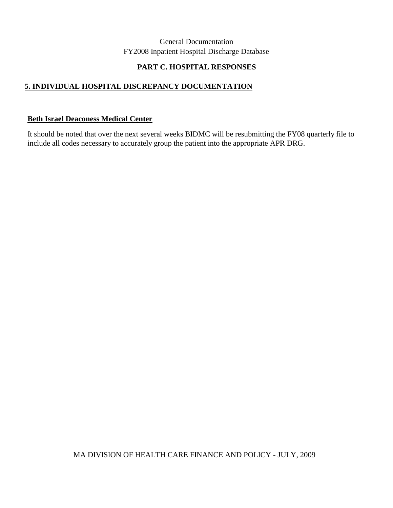## **PART C. HOSPITAL RESPONSES**

# **5. INDIVIDUAL HOSPITAL DISCREPANCY DOCUMENTATION**

#### **Beth Israel Deaconess Medical Center**

It should be noted that over the next several weeks BIDMC will be resubmitting the FY08 quarterly file to include all codes necessary to accurately group the patient into the appropriate APR DRG.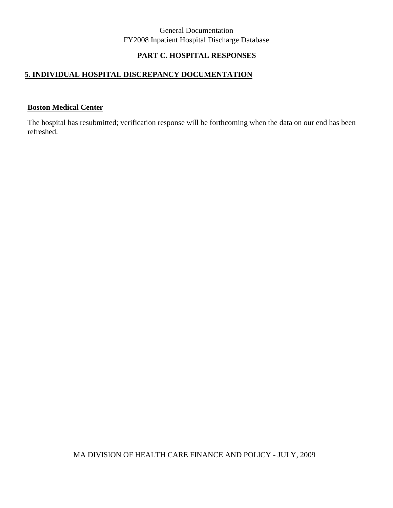# **PART C. HOSPITAL RESPONSES**

## **5. INDIVIDUAL HOSPITAL DISCREPANCY DOCUMENTATION**

#### **Boston Medical Center**

The hospital has resubmitted; verification response will be forthcoming when the data on our end has been refreshed.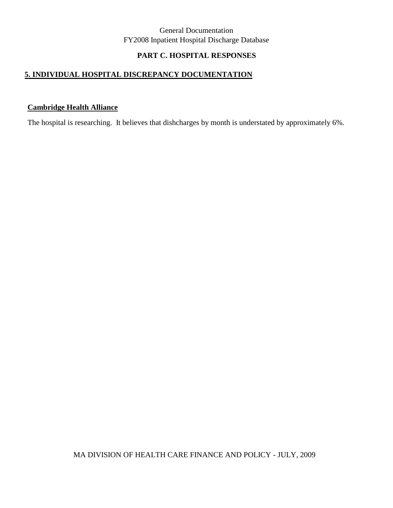# **PART C. HOSPITAL RESPONSES**

## **5. INDIVIDUAL HOSPITAL DISCREPANCY DOCUMENTATION**

#### **Cambridge Health Alliance**

The hospital is researching. It believes that dishcharges by month is understated by approximately 6%.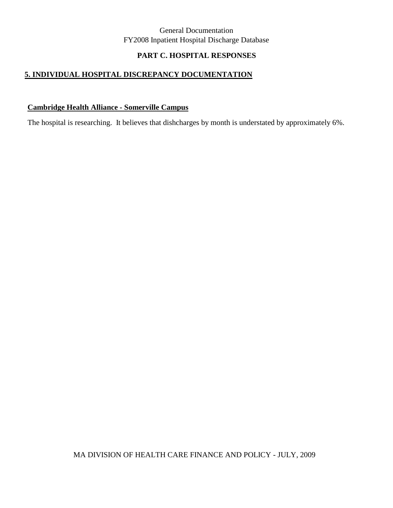# **PART C. HOSPITAL RESPONSES**

## **5. INDIVIDUAL HOSPITAL DISCREPANCY DOCUMENTATION**

## **Cambridge Health Alliance - Somerville Campus**

The hospital is researching. It believes that dishcharges by month is understated by approximately 6%.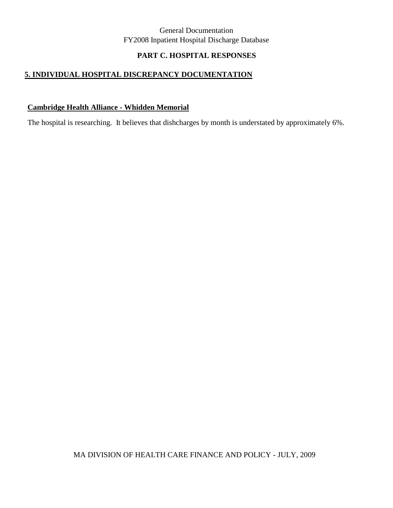# **PART C. HOSPITAL RESPONSES**

## **5. INDIVIDUAL HOSPITAL DISCREPANCY DOCUMENTATION**

## **Cambridge Health Alliance - Whidden Memorial**

The hospital is researching. It believes that dishcharges by month is understated by approximately 6%.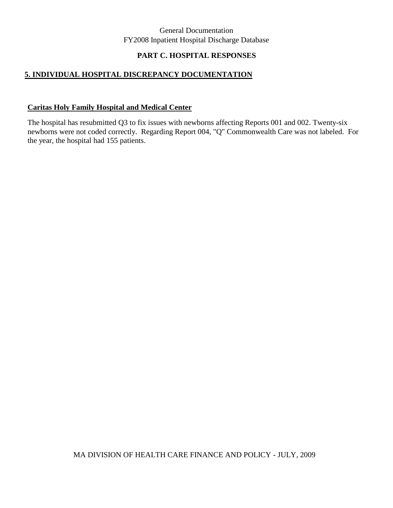## **PART C. HOSPITAL RESPONSES**

## **5. INDIVIDUAL HOSPITAL DISCREPANCY DOCUMENTATION**

#### **Caritas Holy Family Hospital and Medical Center**

The hospital has resubmitted Q3 to fix issues with newborns affecting Reports 001 and 002. Twenty-six newborns were not coded correctly. Regarding Report 004, "Q" Commonwealth Care was not labeled. For the year, the hospital had 155 patients.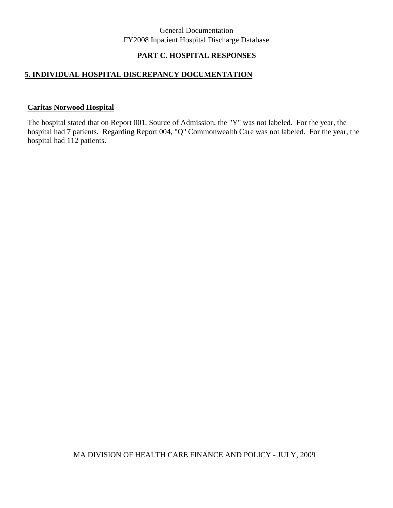#### **PART C. HOSPITAL RESPONSES**

#### **5. INDIVIDUAL HOSPITAL DISCREPANCY DOCUMENTATION**

#### **Caritas Norwood Hospital**

The hospital stated that on Report 001, Source of Admission, the "Y" was not labeled. For the year, the hospital had 7 patients. Regarding Report 004, "Q" Commonwealth Care was not labeled. For the year, the hospital had 112 patients.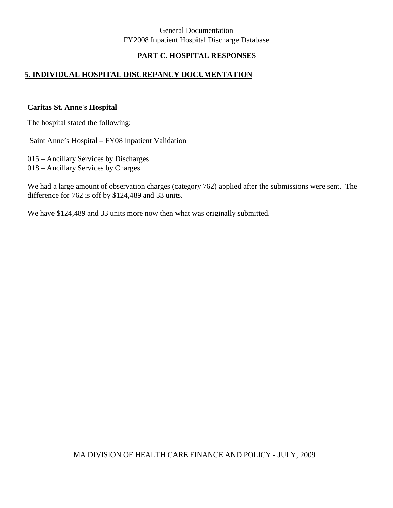## **PART C. HOSPITAL RESPONSES**

#### **5. INDIVIDUAL HOSPITAL DISCREPANCY DOCUMENTATION**

#### **Caritas St. Anne's Hospital**

The hospital stated the following:

Saint Anne's Hospital – FY08 Inpatient Validation

015 – Ancillary Services by Discharges

018 – Ancillary Services by Charges

We had a large amount of observation charges (category 762) applied after the submissions were sent. The difference for 762 is off by \$124,489 and 33 units.

We have \$124,489 and 33 units more now then what was originally submitted.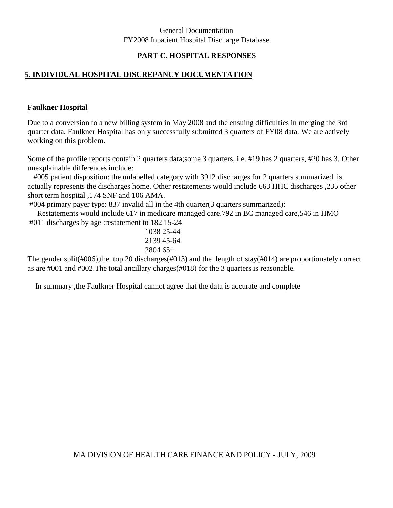## **PART C. HOSPITAL RESPONSES**

#### **5. INDIVIDUAL HOSPITAL DISCREPANCY DOCUMENTATION**

#### **Faulkner Hospital**

Due to a conversion to a new billing system in May 2008 and the ensuing difficulties in merging the 3rd quarter data, Faulkner Hospital has only successfully submitted 3 quarters of FY08 data. We are actively working on this problem.

Some of the profile reports contain 2 quarters data;some 3 quarters, i.e. #19 has 2 quarters, #20 has 3. Other unexplainable differences include:

 #005 patient disposition: the unlabelled category with 3912 discharges for 2 quarters summarized is actually represents the discharges home. Other restatements would include 663 HHC discharges ,235 other short term hospital ,174 SNF and 106 AMA.

#004 primary payer type: 837 invalid all in the 4th quarter(3 quarters summarized):

 Restatements would include 617 in medicare managed care.792 in BC managed care,546 in HMO #011 discharges by age :restatement to 182 15-24

> 1038 25-44 2139 45-64 2804 65+

The gender split(#006),the top 20 discharges(#013) and the length of stay(#014) are proportionately correct as are #001 and #002.The total ancillary charges(#018) for the 3 quarters is reasonable.

In summary ,the Faulkner Hospital cannot agree that the data is accurate and complete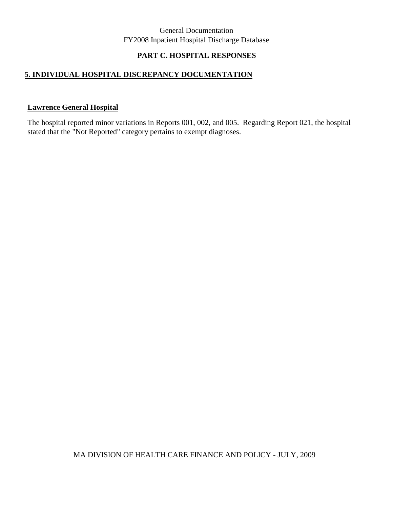## **PART C. HOSPITAL RESPONSES**

# **5. INDIVIDUAL HOSPITAL DISCREPANCY DOCUMENTATION**

#### **Lawrence General Hospital**

The hospital reported minor variations in Reports 001, 002, and 005. Regarding Report 021, the hospital stated that the "Not Reported" category pertains to exempt diagnoses.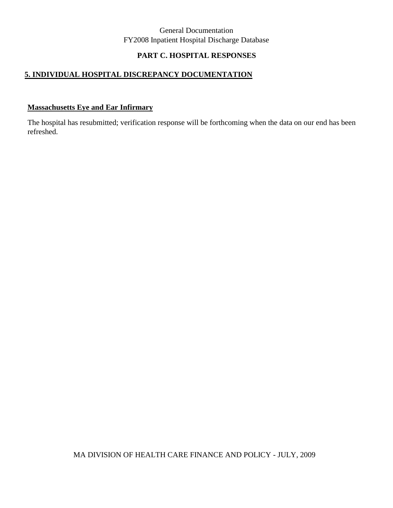## **PART C. HOSPITAL RESPONSES**

### **5. INDIVIDUAL HOSPITAL DISCREPANCY DOCUMENTATION**

#### **Massachusetts Eye and Ear Infirmary**

The hospital has resubmitted; verification response will be forthcoming when the data on our end has been refreshed.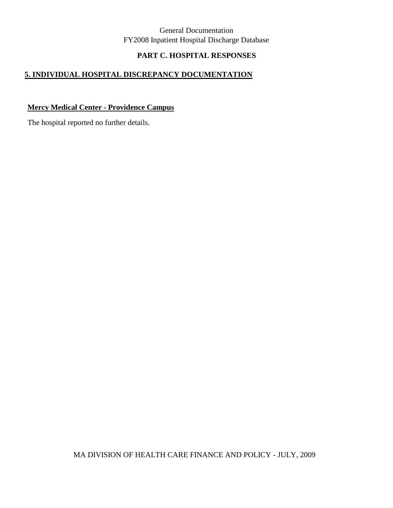## **PART C. HOSPITAL RESPONSES**

## **5. INDIVIDUAL HOSPITAL DISCREPANCY DOCUMENTATION**

## **Mercy Medical Center - Providence Campus**

The hospital reported no further details.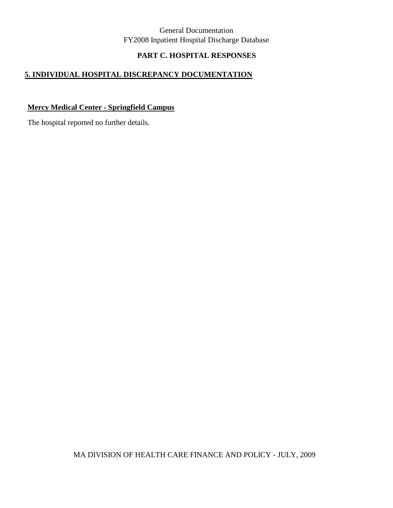## **PART C. HOSPITAL RESPONSES**

## **5. INDIVIDUAL HOSPITAL DISCREPANCY DOCUMENTATION**

## **Mercy Medical Center - Springfield Campus**

The hospital reported no further details.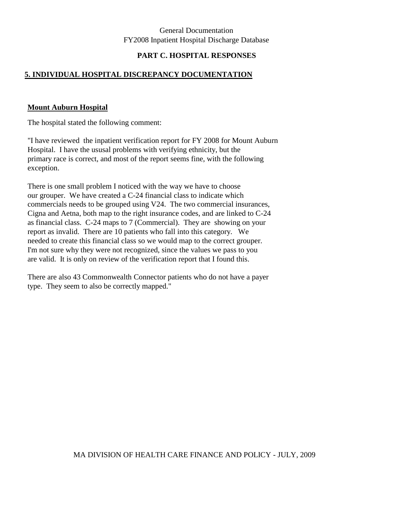## **PART C. HOSPITAL RESPONSES**

## **5. INDIVIDUAL HOSPITAL DISCREPANCY DOCUMENTATION**

#### **Mount Auburn Hospital**

The hospital stated the following comment:

"I have reviewed the inpatient verification report for FY 2008 for Mount Auburn Hospital. I have the ususal problems with verifying ethnicity, but the primary race is correct, and most of the report seems fine, with the following exception.

There is one small problem I noticed with the way we have to choose our grouper. We have created a C-24 financial class to indicate which commercials needs to be grouped using V24. The two commercial insurances, Cigna and Aetna, both map to the right insurance codes, and are linked to C-24 as financial class. C-24 maps to 7 (Commercial). They are showing on your report as invalid. There are 10 patients who fall into this category. We needed to create this financial class so we would map to the correct grouper. I'm not sure why they were not recognized, since the values we pass to you are valid. It is only on review of the verification report that I found this.

There are also 43 Commonwealth Connector patients who do not have a payer type. They seem to also be correctly mapped."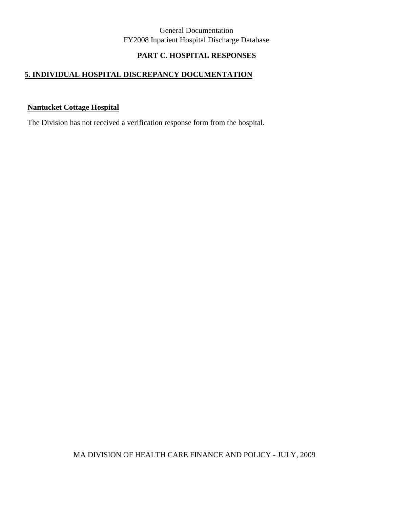# **PART C. HOSPITAL RESPONSES**

## **5. INDIVIDUAL HOSPITAL DISCREPANCY DOCUMENTATION**

#### **Nantucket Cottage Hospital**

The Division has not received a verification response form from the hospital.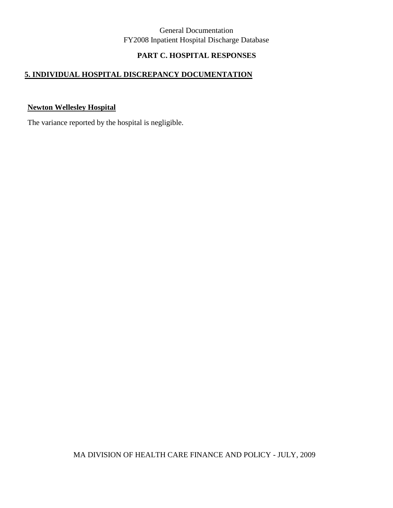# **PART C. HOSPITAL RESPONSES**

## **5. INDIVIDUAL HOSPITAL DISCREPANCY DOCUMENTATION**

#### **Newton Wellesley Hospital**

The variance reported by the hospital is negligible.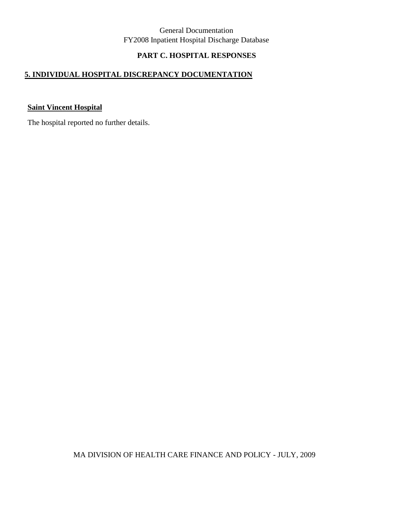# **PART C. HOSPITAL RESPONSES**

## **5. INDIVIDUAL HOSPITAL DISCREPANCY DOCUMENTATION**

# **Saint Vincent Hospital**

The hospital reported no further details.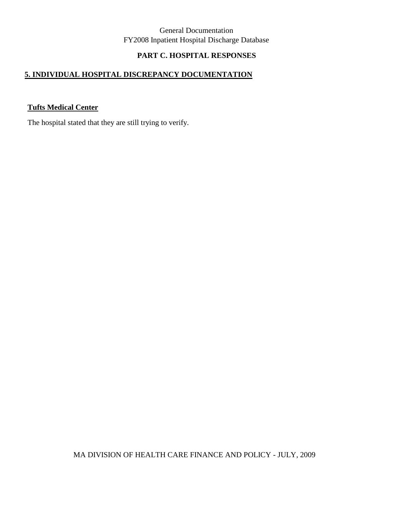# **PART C. HOSPITAL RESPONSES**

#### **5. INDIVIDUAL HOSPITAL DISCREPANCY DOCUMENTATION**

## **Tufts Medical Center**

The hospital stated that they are still trying to verify.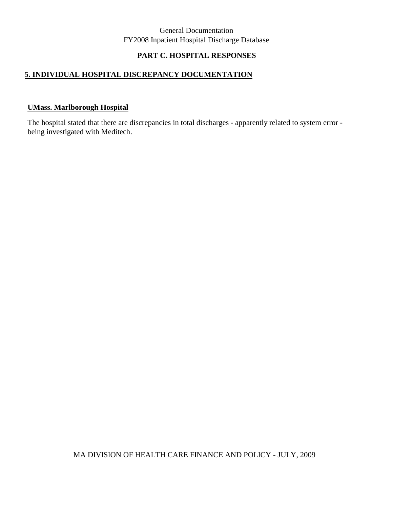## **PART C. HOSPITAL RESPONSES**

## **5. INDIVIDUAL HOSPITAL DISCREPANCY DOCUMENTATION**

#### **UMass. Marlborough Hospital**

The hospital stated that there are discrepancies in total discharges - apparently related to system error being investigated with Meditech.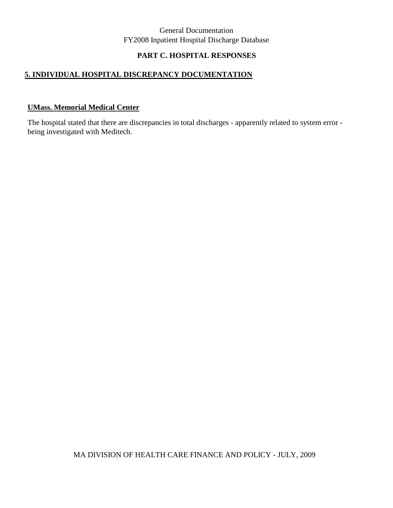## **PART C. HOSPITAL RESPONSES**

## **5. INDIVIDUAL HOSPITAL DISCREPANCY DOCUMENTATION**

#### **UMass. Memorial Medical Center**

The hospital stated that there are discrepancies in total discharges - apparently related to system error being investigated with Meditech.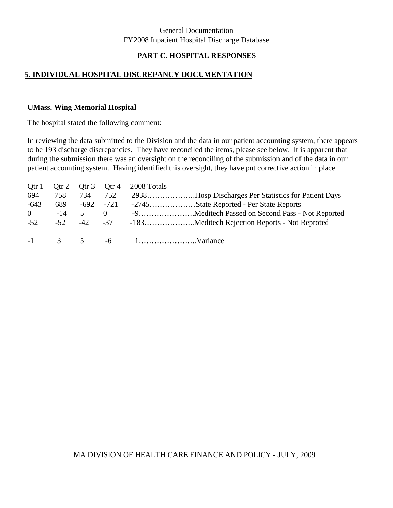### **PART C. HOSPITAL RESPONSES**

#### **5. INDIVIDUAL HOSPITAL DISCREPANCY DOCUMENTATION**

#### **UMass. Wing Memorial Hospital**

The hospital stated the following comment:

In reviewing the data submitted to the Division and the data in our patient accounting system, there appears to be 193 discharge discrepancies. They have reconciled the items, please see below. It is apparent that during the submission there was an oversight on the reconciling of the submission and of the data in our patient accounting system. Having identified this oversight, they have put corrective action in place.

|      |     |     | Qtr 1 Qtr 2 Qtr 3 Qtr 4 | 2008 Totals                                             |
|------|-----|-----|-------------------------|---------------------------------------------------------|
| 694  | 758 | 734 |                         | 752 2938Hosp Discharges Per Statistics for Patient Days |
| -643 | 689 |     |                         |                                                         |
|      |     |     | $0 \t -14 \t 5 \t 0$    |                                                         |
|      |     |     |                         |                                                         |
|      |     |     |                         |                                                         |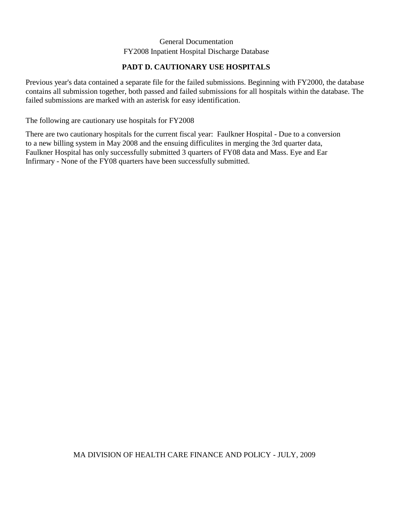#### **PADT D. CAUTIONARY USE HOSPITALS**

Previous year's data contained a separate file for the failed submissions. Beginning with FY2000, the database contains all submission together, both passed and failed submissions for all hospitals within the database. The failed submissions are marked with an asterisk for easy identification.

The following are cautionary use hospitals for FY2008

There are two cautionary hospitals for the current fiscal year: Faulkner Hospital - Due to a conversion to a new billing system in May 2008 and the ensuing difficulites in merging the 3rd quarter data, Faulkner Hospital has only successfully submitted 3 quarters of FY08 data and Mass. Eye and Ear Infirmary - None of the FY08 quarters have been successfully submitted.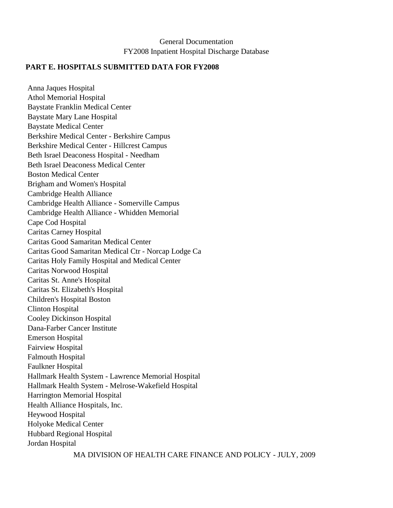#### **PART E. HOSPITALS SUBMITTED DATA FOR FY2008**

Anna Jaques Hospital Athol Memorial Hospital Baystate Franklin Medical Center Baystate Mary Lane Hospital Baystate Medical Center Berkshire Medical Center - Berkshire Campus Berkshire Medical Center - Hillcrest Campus Beth Israel Deaconess Hospital - Needham Beth Israel Deaconess Medical Center Boston Medical Center Brigham and Women's Hospital Cambridge Health Alliance Cambridge Health Alliance - Somerville Campus Cambridge Health Alliance - Whidden Memorial Cape Cod Hospital Caritas Carney Hospital Caritas Good Samaritan Medical Center Caritas Good Samaritan Medical Ctr - Norcap Lodge Ca Caritas Holy Family Hospital and Medical Center Caritas Norwood Hospital Caritas St. Anne's Hospital Caritas St. Elizabeth's Hospital Children's Hospital Boston Clinton Hospital Cooley Dickinson Hospital Dana-Farber Cancer Institute Emerson Hospital Fairview Hospital Falmouth Hospital Faulkner Hospital Hallmark Health System - Lawrence Memorial Hospital Hallmark Health System - Melrose-Wakefield Hospital Harrington Memorial Hospital Health Alliance Hospitals, Inc. Heywood Hospital Holyoke Medical Center Hubbard Regional Hospital Jordan Hospital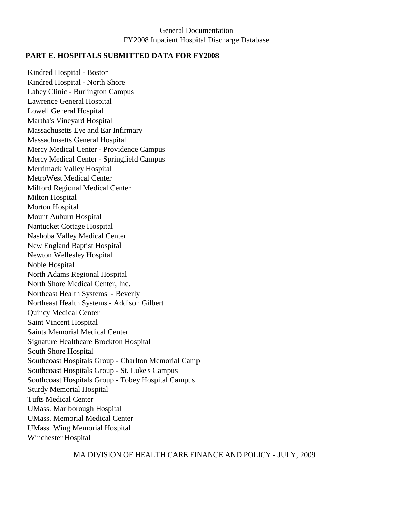#### **PART E. HOSPITALS SUBMITTED DATA FOR FY2008**

Kindred Hospital - Boston Kindred Hospital - North Shore Lahey Clinic - Burlington Campus Lawrence General Hospital Lowell General Hospital Martha's Vineyard Hospital Massachusetts Eye and Ear Infirmary Massachusetts General Hospital Mercy Medical Center - Providence Campus Mercy Medical Center - Springfield Campus Merrimack Valley Hospital MetroWest Medical Center Milford Regional Medical Center Milton Hospital Morton Hospital Mount Auburn Hospital Nantucket Cottage Hospital Nashoba Valley Medical Center New England Baptist Hospital Newton Wellesley Hospital Noble Hospital North Adams Regional Hospital North Shore Medical Center, Inc. Northeast Health Systems - Beverly Northeast Health Systems - Addison Gilbert Quincy Medical Center Saint Vincent Hospital Saints Memorial Medical Center Signature Healthcare Brockton Hospital South Shore Hospital Southcoast Hospitals Group - Charlton Memorial Camp Southcoast Hospitals Group - St. Luke's Campus Southcoast Hospitals Group - Tobey Hospital Campus Sturdy Memorial Hospital Tufts Medical Center UMass. Marlborough Hospital UMass. Memorial Medical Center UMass. Wing Memorial Hospital Winchester Hospital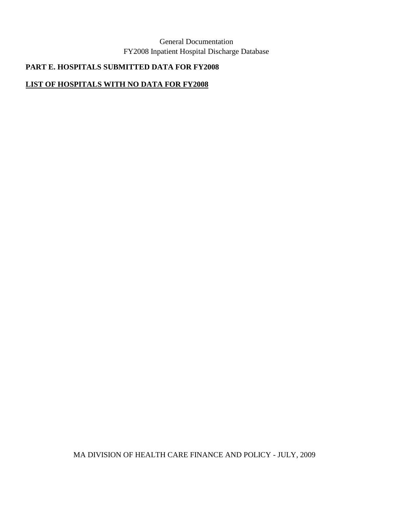# **PART E. HOSPITALS SUBMITTED DATA FOR FY2008**

## **LIST OF HOSPITALS WITH NO DATA FOR FY2008**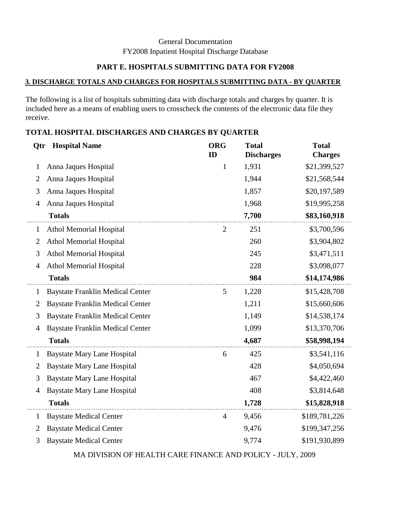#### **PART E. HOSPITALS SUBMITTING DATA FOR FY2008**

#### **3. DISCHARGE TOTALS AND CHARGES FOR HOSPITALS SUBMITTING DATA - BY QUARTER**

The following is a list of hospitals submitting data with discharge totals and charges by quarter. It is included here as a means of enabling users to crosscheck the contents of the electronic data file they receive.

| Qtr            | <b>Hospital Name</b>                    | <b>ORG</b><br>ID | <b>Total</b><br><b>Discharges</b> | <b>Total</b><br><b>Charges</b> |
|----------------|-----------------------------------------|------------------|-----------------------------------|--------------------------------|
| $\mathbf{1}$   | Anna Jaques Hospital                    | $\mathbf{1}$     | 1,931                             | \$21,399,527                   |
| $\overline{2}$ | Anna Jaques Hospital                    |                  | 1,944                             | \$21,568,544                   |
| 3              | Anna Jaques Hospital                    |                  | 1,857                             | \$20,197,589                   |
| $\overline{4}$ | Anna Jaques Hospital                    |                  | 1,968                             | \$19,995,258                   |
|                | <b>Totals</b>                           |                  | 7,700                             | \$83,160,918                   |
| $\mathbf{1}$   | <b>Athol Memorial Hospital</b>          | $\overline{2}$   | 251                               | \$3,700,596                    |
| $\mathbf{2}$   | <b>Athol Memorial Hospital</b>          |                  | 260                               | \$3,904,802                    |
| 3              | <b>Athol Memorial Hospital</b>          |                  | 245                               | \$3,471,511                    |
| $\overline{4}$ | <b>Athol Memorial Hospital</b>          |                  | 228                               | \$3,098,077                    |
|                | <b>Totals</b>                           |                  | 984                               | \$14,174,986                   |
| $\mathbf{1}$   | <b>Baystate Franklin Medical Center</b> | 5                | 1,228                             | \$15,428,708                   |
| $\mathbf{2}$   | <b>Baystate Franklin Medical Center</b> |                  | 1,211                             | \$15,660,606                   |
| 3              | <b>Baystate Franklin Medical Center</b> |                  | 1,149                             | \$14,538,174                   |
| $\overline{4}$ | <b>Baystate Franklin Medical Center</b> |                  | 1,099                             | \$13,370,706                   |
|                | <b>Totals</b>                           |                  | 4,687                             | \$58,998,194                   |
| $\mathbf{1}$   | <b>Baystate Mary Lane Hospital</b>      | 6                | 425                               | \$3,541,116                    |
| $\overline{2}$ | <b>Baystate Mary Lane Hospital</b>      |                  | 428                               | \$4,050,694                    |
| 3              | <b>Baystate Mary Lane Hospital</b>      |                  | 467                               | \$4,422,460                    |
| $\overline{4}$ | <b>Baystate Mary Lane Hospital</b>      |                  | 408                               | \$3,814,648                    |
|                | <b>Totals</b>                           |                  | 1,728                             | \$15,828,918                   |
| $\mathbf{1}$   | <b>Baystate Medical Center</b>          | $\overline{4}$   | 9,456                             | \$189,781,226                  |
| $\overline{2}$ | <b>Baystate Medical Center</b>          |                  | 9,476                             | \$199,347,256                  |
| 3              | <b>Baystate Medical Center</b>          |                  | 9,774                             | \$191,930,899                  |

#### **TOTAL HOSPITAL DISCHARGES AND CHARGES BY QUARTER**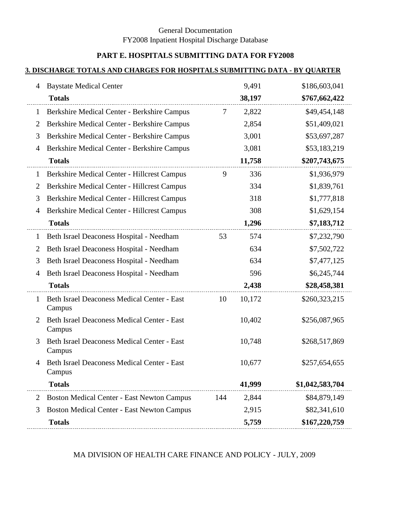## **PART E. HOSPITALS SUBMITTING DATA FOR FY2008**

#### **3. DISCHARGE TOTALS AND CHARGES FOR HOSPITALS SUBMITTING DATA - BY QUARTER**

| 4              | <b>Baystate Medical Center</b>                        |        | 9,491  | \$186,603,041   |
|----------------|-------------------------------------------------------|--------|--------|-----------------|
|                | <b>Totals</b>                                         |        | 38,197 | \$767,662,422   |
| $\mathbf{1}$   | Berkshire Medical Center - Berkshire Campus           | $\tau$ | 2,822  | \$49,454,148    |
| 2              | Berkshire Medical Center - Berkshire Campus           |        | 2,854  | \$51,409,021    |
| 3              | Berkshire Medical Center - Berkshire Campus           |        | 3,001  | \$53,697,287    |
| 4              | Berkshire Medical Center - Berkshire Campus           |        | 3,081  | \$53,183,219    |
|                | <b>Totals</b>                                         |        | 11,758 | \$207,743,675   |
| 1              | Berkshire Medical Center - Hillcrest Campus           | 9      | 336    | \$1,936,979     |
| $\overline{2}$ | Berkshire Medical Center - Hillcrest Campus           |        | 334    | \$1,839,761     |
| 3              | Berkshire Medical Center - Hillcrest Campus           |        | 318    | \$1,777,818     |
| 4              | Berkshire Medical Center - Hillcrest Campus           |        | 308    | \$1,629,154     |
|                | <b>Totals</b>                                         |        | 1,296  | \$7,183,712     |
| $\mathbf{1}$   | Beth Israel Deaconess Hospital - Needham              | 53     | 574    | \$7,232,790     |
| $\overline{2}$ | Beth Israel Deaconess Hospital - Needham              |        | 634    | \$7,502,722     |
| 3              | Beth Israel Deaconess Hospital - Needham              |        | 634    | \$7,477,125     |
| 4              | Beth Israel Deaconess Hospital - Needham              |        | 596    | \$6,245,744     |
|                | <b>Totals</b>                                         |        | 2,438  | \$28,458,381    |
| $\mathbf{1}$   | Beth Israel Deaconess Medical Center - East<br>Campus | 10     | 10,172 | \$260,323,215   |
| 2              | Beth Israel Deaconess Medical Center - East<br>Campus |        | 10,402 | \$256,087,965   |
| 3              | Beth Israel Deaconess Medical Center - East<br>Campus |        | 10,748 | \$268,517,869   |
| 4              | Beth Israel Deaconess Medical Center - East<br>Campus |        | 10,677 | \$257,654,655   |
|                | <b>Totals</b>                                         |        | 41,999 | \$1,042,583,704 |
| $\overline{2}$ | <b>Boston Medical Center - East Newton Campus</b>     | 144    | 2,844  | \$84,879,149    |
| 3              | <b>Boston Medical Center - East Newton Campus</b>     |        | 2,915  | \$82,341,610    |
|                | <b>Totals</b>                                         |        | 5,759  | \$167,220,759   |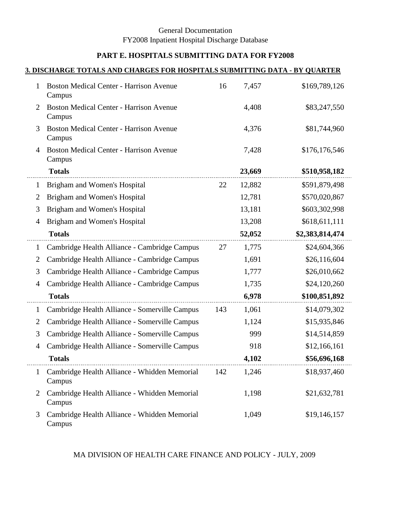# **PART E. HOSPITALS SUBMITTING DATA FOR FY2008**

#### **3. DISCHARGE TOTALS AND CHARGES FOR HOSPITALS SUBMITTING DATA - BY QUARTER**

| 1              | <b>Boston Medical Center - Harrison Avenue</b><br>Campus | 16  | 7,457  | \$169,789,126   |
|----------------|----------------------------------------------------------|-----|--------|-----------------|
| 2              | <b>Boston Medical Center - Harrison Avenue</b><br>Campus |     | 4,408  | \$83,247,550    |
| 3              | <b>Boston Medical Center - Harrison Avenue</b><br>Campus |     | 4,376  | \$81,744,960    |
| 4              | <b>Boston Medical Center - Harrison Avenue</b><br>Campus |     | 7,428  | \$176,176,546   |
|                | <b>Totals</b>                                            |     | 23,669 | \$510,958,182   |
| $\mathbf{1}$   | Brigham and Women's Hospital                             | 22  | 12,882 | \$591,879,498   |
| 2              | Brigham and Women's Hospital                             |     | 12,781 | \$570,020,867   |
| 3              | Brigham and Women's Hospital                             |     | 13,181 | \$603,302,998   |
| 4              | Brigham and Women's Hospital                             |     | 13,208 | \$618,611,111   |
|                | <b>Totals</b>                                            |     | 52,052 | \$2,383,814,474 |
| $\mathbf{1}$   | Cambridge Health Alliance - Cambridge Campus             | 27  | 1,775  | \$24,604,366    |
| $\overline{2}$ | Cambridge Health Alliance - Cambridge Campus             |     | 1,691  | \$26,116,604    |
| 3              | Cambridge Health Alliance - Cambridge Campus             |     | 1,777  | \$26,010,662    |
| 4              | Cambridge Health Alliance - Cambridge Campus             |     | 1,735  | \$24,120,260    |
|                | <b>Totals</b>                                            |     | 6,978  | \$100,851,892   |
| $\mathbf{1}$   | Cambridge Health Alliance - Somerville Campus            | 143 | 1,061  | \$14,079,302    |
| $\overline{2}$ | Cambridge Health Alliance - Somerville Campus            |     | 1,124  | \$15,935,846    |
| 3              | Cambridge Health Alliance - Somerville Campus            |     | 999    | \$14,514,859    |
| 4              | Cambridge Health Alliance - Somerville Campus            |     | 918    | \$12,166,161    |
|                | <b>Totals</b>                                            |     | 4,102  | \$56,696,168    |
|                | Cambridge Health Alliance - Whidden Memorial<br>Campus   | 142 | 1,246  | \$18,937,460    |
| 2              | Cambridge Health Alliance - Whidden Memorial<br>Campus   |     | 1,198  | \$21,632,781    |
| 3              | Cambridge Health Alliance - Whidden Memorial<br>Campus   |     | 1,049  | \$19,146,157    |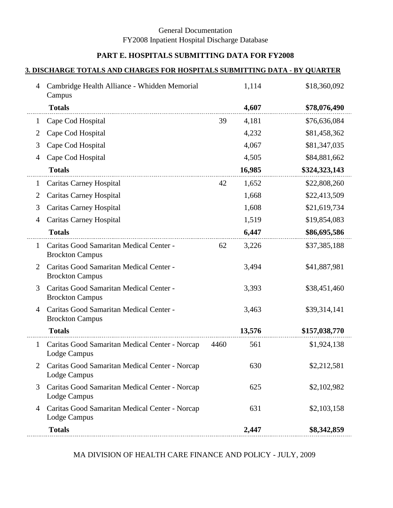# **PART E. HOSPITALS SUBMITTING DATA FOR FY2008**

#### **3. DISCHARGE TOTALS AND CHARGES FOR HOSPITALS SUBMITTING DATA - BY QUARTER**

| 4              | Cambridge Health Alliance - Whidden Memorial<br>Campus            |      | 1,114  | \$18,360,092  |
|----------------|-------------------------------------------------------------------|------|--------|---------------|
|                | <b>Totals</b>                                                     |      | 4,607  | \$78,076,490  |
| $\mathbf{1}$   | Cape Cod Hospital                                                 | 39   | 4,181  | \$76,636,084  |
| $\overline{2}$ | Cape Cod Hospital                                                 |      | 4,232  | \$81,458,362  |
| 3              | Cape Cod Hospital                                                 |      | 4,067  | \$81,347,035  |
| 4              | Cape Cod Hospital                                                 |      | 4,505  | \$84,881,662  |
|                | <b>Totals</b>                                                     |      | 16,985 | \$324,323,143 |
| $\mathbf{1}$   | <b>Caritas Carney Hospital</b>                                    | 42   | 1,652  | \$22,808,260  |
| $\overline{2}$ | <b>Caritas Carney Hospital</b>                                    |      | 1,668  | \$22,413,509  |
| 3              | <b>Caritas Carney Hospital</b>                                    |      | 1,608  | \$21,619,734  |
| 4              | <b>Caritas Carney Hospital</b>                                    |      | 1,519  | \$19,854,083  |
|                | <b>Totals</b>                                                     |      | 6,447  | \$86,695,586  |
| $\mathbf{1}$   | Caritas Good Samaritan Medical Center -<br><b>Brockton Campus</b> | 62   | 3,226  | \$37,385,188  |
| $\overline{2}$ | Caritas Good Samaritan Medical Center -<br><b>Brockton Campus</b> |      | 3,494  | \$41,887,981  |
| 3              | Caritas Good Samaritan Medical Center -<br><b>Brockton Campus</b> |      | 3,393  | \$38,451,460  |
| 4              | Caritas Good Samaritan Medical Center -<br><b>Brockton Campus</b> |      | 3,463  | \$39,314,141  |
|                | <b>Totals</b>                                                     |      | 13,576 | \$157,038,770 |
| $\mathbf{1}$   | Caritas Good Samaritan Medical Center - Norcap<br>Lodge Campus    | 4460 | 561    | \$1,924,138   |
| 2              | Caritas Good Samaritan Medical Center - Norcap<br>Lodge Campus    |      | 630    | \$2,212,581   |
| 3              | Caritas Good Samaritan Medical Center - Norcap<br>Lodge Campus    |      | 625    | \$2,102,982   |
| 4              | Caritas Good Samaritan Medical Center - Norcap<br>Lodge Campus    |      | 631    | \$2,103,158   |
|                | <b>Totals</b>                                                     |      | 2,447  | \$8,342,859   |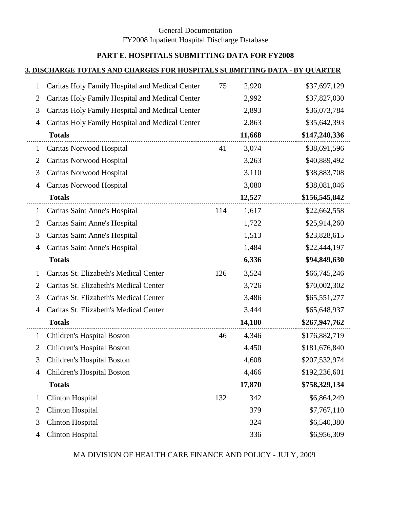# **PART E. HOSPITALS SUBMITTING DATA FOR FY2008**

#### **3. DISCHARGE TOTALS AND CHARGES FOR HOSPITALS SUBMITTING DATA - BY QUARTER**

| 1              | Caritas Holy Family Hospital and Medical Center | 75  | 2,920  | \$37,697,129  |
|----------------|-------------------------------------------------|-----|--------|---------------|
| $\overline{2}$ | Caritas Holy Family Hospital and Medical Center |     | 2,992  | \$37,827,030  |
| 3              | Caritas Holy Family Hospital and Medical Center |     | 2,893  | \$36,073,784  |
| 4              | Caritas Holy Family Hospital and Medical Center |     | 2,863  | \$35,642,393  |
|                | <b>Totals</b>                                   |     | 11,668 | \$147,240,336 |
| 1              | Caritas Norwood Hospital                        | 41  | 3,074  | \$38,691,596  |
| $\overline{2}$ | Caritas Norwood Hospital                        |     | 3,263  | \$40,889,492  |
| 3              | Caritas Norwood Hospital                        |     | 3,110  | \$38,883,708  |
| 4              | Caritas Norwood Hospital                        |     | 3,080  | \$38,081,046  |
|                | <b>Totals</b>                                   |     | 12,527 | \$156,545,842 |
| $\mathbf{1}$   | Caritas Saint Anne's Hospital                   | 114 | 1,617  | \$22,662,558  |
| $\overline{2}$ | Caritas Saint Anne's Hospital                   |     | 1,722  | \$25,914,260  |
| 3              | Caritas Saint Anne's Hospital                   |     | 1,513  | \$23,828,615  |
| $\overline{4}$ | Caritas Saint Anne's Hospital                   |     | 1,484  | \$22,444,197  |
|                | <b>Totals</b>                                   |     | 6,336  | \$94,849,630  |
| $\mathbf{1}$   | Caritas St. Elizabeth's Medical Center          | 126 | 3,524  | \$66,745,246  |
| 2              | Caritas St. Elizabeth's Medical Center          |     | 3,726  | \$70,002,302  |
| 3              | Caritas St. Elizabeth's Medical Center          |     | 3,486  | \$65,551,277  |
| 4              | Caritas St. Elizabeth's Medical Center          |     | 3,444  | \$65,648,937  |
|                | <b>Totals</b>                                   |     | 14,180 | \$267,947,762 |
| $\mathbf{1}$   | <b>Children's Hospital Boston</b>               | 46  | 4,346  | \$176,882,719 |
| 2              | Children's Hospital Boston                      |     | 4,450  | \$181,676,840 |
| 3              | Children's Hospital Boston                      |     | 4,608  | \$207,532,974 |
| 4              | Children's Hospital Boston                      |     | 4,466  | \$192,236,601 |
|                | <b>Totals</b>                                   |     | 17,870 | \$758,329,134 |
| $\mathbf{1}$   |                                                 |     |        |               |
|                | <b>Clinton Hospital</b>                         | 132 | 342    | \$6,864,249   |
| $\overline{2}$ | <b>Clinton Hospital</b>                         |     | 379    | \$7,767,110   |
| 3              | <b>Clinton Hospital</b>                         |     | 324    | \$6,540,380   |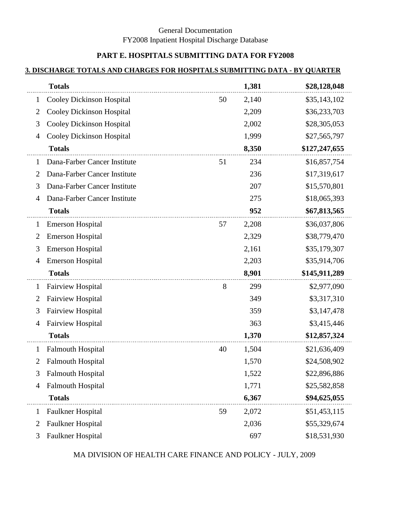## **PART E. HOSPITALS SUBMITTING DATA FOR FY2008**

#### **3. DISCHARGE TOTALS AND CHARGES FOR HOSPITALS SUBMITTING DATA - BY QUARTER**

|                | <b>Totals</b>                    |    | 1,381 | \$28,128,048  |
|----------------|----------------------------------|----|-------|---------------|
| 1              | <b>Cooley Dickinson Hospital</b> | 50 | 2,140 | \$35,143,102  |
| $\overline{2}$ | <b>Cooley Dickinson Hospital</b> |    | 2,209 | \$36,233,703  |
| 3              | <b>Cooley Dickinson Hospital</b> |    | 2,002 | \$28,305,053  |
| 4              | <b>Cooley Dickinson Hospital</b> |    | 1,999 | \$27,565,797  |
|                | <b>Totals</b>                    |    | 8,350 | \$127,247,655 |
| 1              | Dana-Farber Cancer Institute     | 51 | 234   | \$16,857,754  |
| 2              | Dana-Farber Cancer Institute     |    | 236   | \$17,319,617  |
| 3              | Dana-Farber Cancer Institute     |    | 207   | \$15,570,801  |
| 4              | Dana-Farber Cancer Institute     |    | 275   | \$18,065,393  |
|                | <b>Totals</b>                    |    | 952   | \$67,813,565  |
| $\mathbf{1}$   | <b>Emerson Hospital</b>          | 57 | 2,208 | \$36,037,806  |
| 2              | <b>Emerson Hospital</b>          |    | 2,329 | \$38,779,470  |
| 3              | <b>Emerson Hospital</b>          |    | 2,161 | \$35,179,307  |
| 4              | <b>Emerson Hospital</b>          |    | 2,203 | \$35,914,706  |
|                | <b>Totals</b>                    |    | 8,901 | \$145,911,289 |
| $\mathbf{1}$   | Fairview Hospital                | 8  | 299   | \$2,977,090   |
| $\overline{2}$ | <b>Fairview Hospital</b>         |    | 349   | \$3,317,310   |
| 3              | <b>Fairview Hospital</b>         |    | 359   | \$3,147,478   |
| 4              | <b>Fairview Hospital</b>         |    | 363   | \$3,415,446   |
|                | <b>Totals</b>                    |    | 1,370 | \$12,857,324  |
| $\mathbf{1}$   | <b>Falmouth Hospital</b>         | 40 | 1,504 | \$21,636,409  |
| 2              | <b>Falmouth Hospital</b>         |    | 1,570 | \$24,508,902  |
| 3              | <b>Falmouth Hospital</b>         |    | 1,522 | \$22,896,886  |
| 4              | <b>Falmouth Hospital</b>         |    | 1,771 | \$25,582,858  |
|                | <b>Totals</b>                    |    | 6,367 | \$94,625,055  |
| 1              | Faulkner Hospital                | 59 | 2,072 | \$51,453,115  |
| $\overline{2}$ | Faulkner Hospital                |    | 2,036 | \$55,329,674  |
| 3              | Faulkner Hospital                |    | 697   | \$18,531,930  |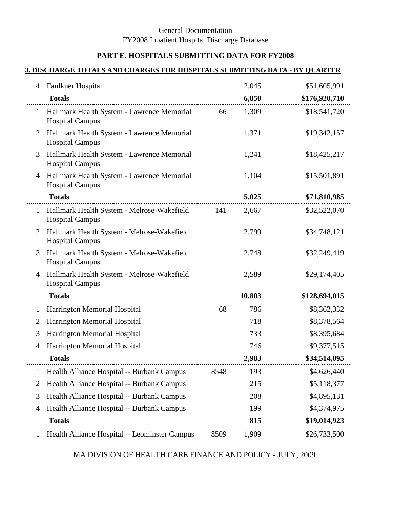# **PART E. HOSPITALS SUBMITTING DATA FOR FY2008**

#### **3. DISCHARGE TOTALS AND CHARGES FOR HOSPITALS SUBMITTING DATA - BY QUARTER**

| 4              | Faulkner Hospital                                                    |      | 2,045  | \$51,605,991  |
|----------------|----------------------------------------------------------------------|------|--------|---------------|
|                | <b>Totals</b>                                                        |      | 6,850  | \$176,920,710 |
| $\mathbf{1}$   | Hallmark Health System - Lawrence Memorial<br><b>Hospital Campus</b> | 66   | 1,309  | \$18,541,720  |
| 2              | Hallmark Health System - Lawrence Memorial<br><b>Hospital Campus</b> |      | 1,371  | \$19,342,157  |
| 3              | Hallmark Health System - Lawrence Memorial<br><b>Hospital Campus</b> |      | 1,241  | \$18,425,217  |
| 4              | Hallmark Health System - Lawrence Memorial<br><b>Hospital Campus</b> |      | 1,104  | \$15,501,891  |
|                | <b>Totals</b>                                                        |      | 5,025  | \$71,810,985  |
| 1              | Hallmark Health System - Melrose-Wakefield<br><b>Hospital Campus</b> | 141  | 2,667  | \$32,522,070  |
| $\overline{2}$ | Hallmark Health System - Melrose-Wakefield<br><b>Hospital Campus</b> |      | 2,799  | \$34,748,121  |
| 3              | Hallmark Health System - Melrose-Wakefield<br><b>Hospital Campus</b> |      | 2,748  | \$32,249,419  |
| 4              | Hallmark Health System - Melrose-Wakefield<br><b>Hospital Campus</b> |      | 2,589  | \$29,174,405  |
|                | <b>Totals</b>                                                        |      | 10,803 | \$128,694,015 |
| $\bf{l}$       | Harrington Memorial Hospital                                         | 68   | 786    | \$8,362,332   |
| 2              | Harrington Memorial Hospital                                         |      | 718    | \$8,378,564   |
| 3              | Harrington Memorial Hospital                                         |      | 733    | \$8,395,684   |
| 4              | Harrington Memorial Hospital                                         |      | 746    | \$9,377,515   |
|                | <b>Totals</b>                                                        |      | 2,983  | \$34,514,095  |
| 1              | Health Alliance Hospital -- Burbank Campus                           | 8548 | 193    | \$4,626,440   |
| $\overline{2}$ | Health Alliance Hospital -- Burbank Campus                           |      | 215    | \$5,118,377   |
| 3              | Health Alliance Hospital -- Burbank Campus                           |      | 208    | \$4,895,131   |
| 4              | Health Alliance Hospital -- Burbank Campus                           |      | 199    | \$4,374,975   |
|                | <b>Totals</b>                                                        |      | 815    | \$19,014,923  |
| $\mathbf{1}$   | Health Alliance Hospital -- Leominster Campus                        | 8509 | 1,909  | \$26,733,500  |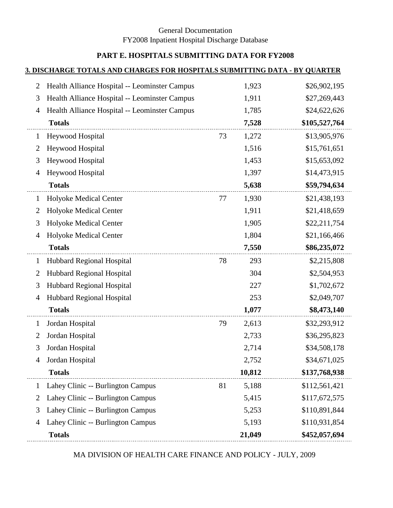# **PART E. HOSPITALS SUBMITTING DATA FOR FY2008**

#### **3. DISCHARGE TOTALS AND CHARGES FOR HOSPITALS SUBMITTING DATA - BY QUARTER**

| $\overline{2}$ | Health Alliance Hospital -- Leominster Campus |    | 1,923  | \$26,902,195  |
|----------------|-----------------------------------------------|----|--------|---------------|
| 3              | Health Alliance Hospital -- Leominster Campus |    | 1,911  | \$27,269,443  |
| 4              | Health Alliance Hospital -- Leominster Campus |    | 1,785  | \$24,622,626  |
|                | <b>Totals</b>                                 |    | 7,528  | \$105,527,764 |
| $\mathbf{1}$   | Heywood Hospital                              | 73 | 1,272  | \$13,905,976  |
| 2              | Heywood Hospital                              |    | 1,516  | \$15,761,651  |
| 3              | Heywood Hospital                              |    | 1,453  | \$15,653,092  |
| 4              | Heywood Hospital                              |    | 1,397  | \$14,473,915  |
|                | <b>Totals</b>                                 |    | 5,638  | \$59,794,634  |
| $\mathbf{1}$   | Holyoke Medical Center                        | 77 | 1,930  | \$21,438,193  |
| 2              | Holyoke Medical Center                        |    | 1,911  | \$21,418,659  |
| 3              | Holyoke Medical Center                        |    | 1,905  | \$22,211,754  |
| 4              | Holyoke Medical Center                        |    | 1,804  | \$21,166,466  |
|                | <b>Totals</b>                                 |    | 7,550  | \$86,235,072  |
| $\mathbf{1}$   | Hubbard Regional Hospital                     | 78 | 293    | \$2,215,808   |
| $\overline{2}$ | Hubbard Regional Hospital                     |    | 304    | \$2,504,953   |
| 3              | Hubbard Regional Hospital                     |    | 227    | \$1,702,672   |
| 4              | Hubbard Regional Hospital                     |    | 253    | \$2,049,707   |
|                | <b>Totals</b>                                 |    | 1,077  | \$8,473,140   |
| 1              | Jordan Hospital                               | 79 | 2,613  | \$32,293,912  |
| $\overline{2}$ | Jordan Hospital                               |    | 2,733  | \$36,295,823  |
| 3              | Jordan Hospital                               |    | 2,714  | \$34,508,178  |
| 4              | Jordan Hospital                               |    | 2,752  | \$34,671,025  |
|                | <b>Totals</b>                                 |    | 10,812 | \$137,768,938 |
| $\mathbf{1}$   | Lahey Clinic -- Burlington Campus             | 81 | 5,188  | \$112,561,421 |
| 2              | Lahey Clinic -- Burlington Campus             |    | 5,415  | \$117,672,575 |
| 3              | Lahey Clinic -- Burlington Campus             |    | 5,253  | \$110,891,844 |
| 4              | Lahey Clinic -- Burlington Campus             |    | 5,193  | \$110,931,854 |
|                | <b>Totals</b>                                 |    | 21,049 | \$452,057,694 |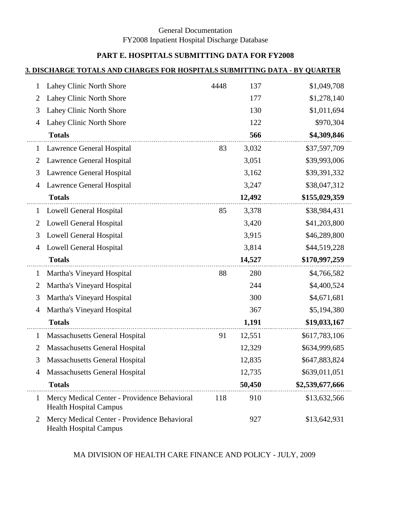## **PART E. HOSPITALS SUBMITTING DATA FOR FY2008**

#### **3. DISCHARGE TOTALS AND CHARGES FOR HOSPITALS SUBMITTING DATA - BY QUARTER**

| 1              | Lahey Clinic North Shore                                                      | 4448 | 137    | \$1,049,708     |
|----------------|-------------------------------------------------------------------------------|------|--------|-----------------|
| 2              | Lahey Clinic North Shore                                                      |      | 177    | \$1,278,140     |
| 3              | Lahey Clinic North Shore                                                      |      | 130    | \$1,011,694     |
| 4              | Lahey Clinic North Shore                                                      |      | 122    | \$970,304       |
|                | <b>Totals</b>                                                                 |      | 566    | \$4,309,846     |
| $\mathbf{1}$   | Lawrence General Hospital                                                     | 83   | 3,032  | \$37,597,709    |
| 2              | Lawrence General Hospital                                                     |      | 3,051  | \$39,993,006    |
| 3              | Lawrence General Hospital                                                     |      | 3,162  | \$39,391,332    |
| 4              | Lawrence General Hospital                                                     |      | 3,247  | \$38,047,312    |
|                | <b>Totals</b>                                                                 |      | 12,492 | \$155,029,359   |
| $\mathbf{1}$   | Lowell General Hospital                                                       | 85   | 3,378  | \$38,984,431    |
| $\overline{2}$ | <b>Lowell General Hospital</b>                                                |      | 3,420  | \$41,203,800    |
| 3              | <b>Lowell General Hospital</b>                                                |      | 3,915  | \$46,289,800    |
| 4              | <b>Lowell General Hospital</b>                                                |      | 3,814  | \$44,519,228    |
|                | <b>Totals</b>                                                                 |      | 14,527 | \$170,997,259   |
| $\mathbf{1}$   | Martha's Vineyard Hospital                                                    | 88   | 280    | \$4,766,582     |
| $\overline{2}$ |                                                                               |      |        | \$4,400,524     |
|                | Martha's Vineyard Hospital                                                    |      | 244    |                 |
| 3              | Martha's Vineyard Hospital                                                    |      | 300    | \$4,671,681     |
| 4              | Martha's Vineyard Hospital                                                    |      | 367    | \$5,194,380     |
|                | <b>Totals</b>                                                                 |      | 1,191  | \$19,033,167    |
| $\mathbf{1}$   | <b>Massachusetts General Hospital</b>                                         | 91   | 12,551 | \$617,783,106   |
| $\overline{2}$ | <b>Massachusetts General Hospital</b>                                         |      | 12,329 | \$634,999,685   |
| 3              | <b>Massachusetts General Hospital</b>                                         |      | 12,835 | \$647,883,824   |
| 4              | <b>Massachusetts General Hospital</b>                                         |      | 12,735 | \$639,011,051   |
|                | <b>Totals</b>                                                                 |      | 50,450 | \$2,539,677,666 |
| 1              | Mercy Medical Center - Providence Behavioral<br><b>Health Hospital Campus</b> | 118  | 910    | \$13,632,566    |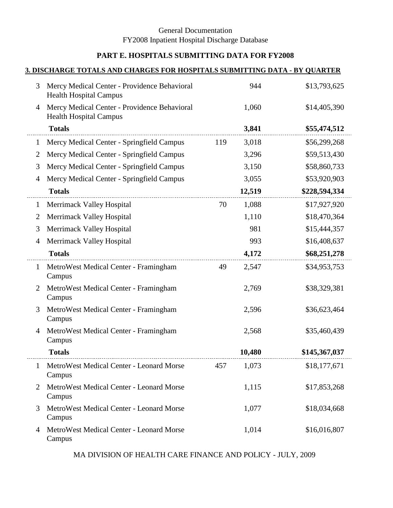# **PART E. HOSPITALS SUBMITTING DATA FOR FY2008**

#### **3. DISCHARGE TOTALS AND CHARGES FOR HOSPITALS SUBMITTING DATA - BY QUARTER**

| 3              | Mercy Medical Center - Providence Behavioral<br><b>Health Hospital Campus</b> |     | 944    | \$13,793,625  |
|----------------|-------------------------------------------------------------------------------|-----|--------|---------------|
| 4              | Mercy Medical Center - Providence Behavioral<br><b>Health Hospital Campus</b> |     | 1,060  | \$14,405,390  |
|                | <b>Totals</b>                                                                 |     | 3,841  | \$55,474,512  |
| $\mathbf{1}$   | Mercy Medical Center - Springfield Campus                                     | 119 | 3,018  | \$56,299,268  |
| $\overline{2}$ | Mercy Medical Center - Springfield Campus                                     |     | 3,296  | \$59,513,430  |
| 3              | Mercy Medical Center - Springfield Campus                                     |     | 3,150  | \$58,860,733  |
| 4              | Mercy Medical Center - Springfield Campus                                     |     | 3,055  | \$53,920,903  |
|                | <b>Totals</b>                                                                 |     | 12,519 | \$228,594,334 |
| $\mathbf{1}$   | Merrimack Valley Hospital                                                     | 70  | 1,088  | \$17,927,920  |
| $\overline{2}$ | Merrimack Valley Hospital                                                     |     | 1,110  | \$18,470,364  |
| 3              | Merrimack Valley Hospital                                                     |     | 981    | \$15,444,357  |
| 4              | Merrimack Valley Hospital                                                     |     | 993    | \$16,408,637  |
|                | <b>Totals</b>                                                                 |     | 4,172  | \$68,251,278  |
| $\mathbf{1}$   | MetroWest Medical Center - Framingham<br>Campus                               | 49  | 2,547  | \$34,953,753  |
| $\overline{2}$ | MetroWest Medical Center - Framingham<br>Campus                               |     | 2,769  | \$38,329,381  |
| 3              | MetroWest Medical Center - Framingham<br>Campus                               |     | 2,596  | \$36,623,464  |
| 4              | MetroWest Medical Center - Framingham<br>Campus                               |     | 2,568  | \$35,460,439  |
|                | <b>Totals</b>                                                                 |     | 10,480 | \$145,367,037 |
|                | MetroWest Medical Center - Leonard Morse<br>Campus                            | 457 | 1,073  | \$18,177,671  |
| $\overline{2}$ | MetroWest Medical Center - Leonard Morse<br>Campus                            |     | 1,115  | \$17,853,268  |
| 3              | MetroWest Medical Center - Leonard Morse<br>Campus                            |     | 1,077  | \$18,034,668  |
| 4              | MetroWest Medical Center - Leonard Morse<br>Campus                            |     | 1,014  | \$16,016,807  |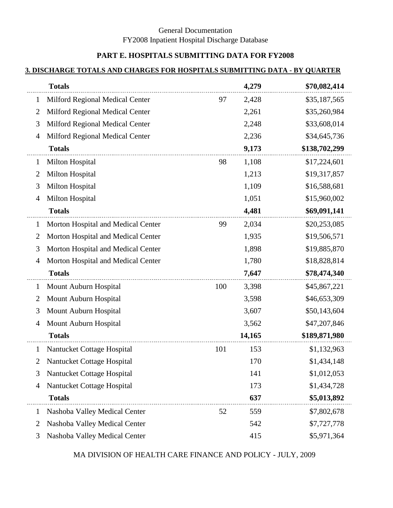# **PART E. HOSPITALS SUBMITTING DATA FOR FY2008**

### **3. DISCHARGE TOTALS AND CHARGES FOR HOSPITALS SUBMITTING DATA - BY QUARTER**

|                | <b>Totals</b>                      |     | 4,279  | \$70,082,414  |
|----------------|------------------------------------|-----|--------|---------------|
| 1              | Milford Regional Medical Center    | 97  | 2,428  | \$35,187,565  |
| $\overline{2}$ | Milford Regional Medical Center    |     | 2,261  | \$35,260,984  |
| 3              | Milford Regional Medical Center    |     | 2,248  | \$33,608,014  |
| 4              | Milford Regional Medical Center    |     | 2,236  | \$34,645,736  |
|                | <b>Totals</b>                      |     | 9,173  | \$138,702,299 |
| 1              | Milton Hospital                    | 98  | 1,108  | \$17,224,601  |
| $\overline{2}$ | <b>Milton Hospital</b>             |     | 1,213  | \$19,317,857  |
| 3              | <b>Milton Hospital</b>             |     | 1,109  | \$16,588,681  |
| 4              | <b>Milton Hospital</b>             |     | 1,051  | \$15,960,002  |
|                | <b>Totals</b>                      |     | 4,481  | \$69,091,141  |
| $\mathbf{1}$   | Morton Hospital and Medical Center | 99  | 2,034  | \$20,253,085  |
| $\overline{2}$ | Morton Hospital and Medical Center |     | 1,935  | \$19,506,571  |
| 3              | Morton Hospital and Medical Center |     | 1,898  | \$19,885,870  |
| 4              | Morton Hospital and Medical Center |     | 1,780  | \$18,828,814  |
|                | <b>Totals</b>                      |     | 7,647  | \$78,474,340  |
| $\mathbf{1}$   | Mount Auburn Hospital              | 100 | 3,398  | \$45,867,221  |
| $\overline{2}$ | Mount Auburn Hospital              |     | 3,598  | \$46,653,309  |
| 3              | Mount Auburn Hospital              |     | 3,607  | \$50,143,604  |
| 4              | Mount Auburn Hospital              |     | 3,562  | \$47,207,846  |
|                | <b>Totals</b>                      |     | 14,165 | \$189,871,980 |
| $\mathbf{1}$   | Nantucket Cottage Hospital         | 101 | 153    | \$1,132,963   |
| 2              | Nantucket Cottage Hospital         |     | 170    | \$1,434,148   |
| 3              | Nantucket Cottage Hospital         |     | 141    | \$1,012,053   |
| 4              | Nantucket Cottage Hospital         |     | 173    | \$1,434,728   |
|                | <b>Totals</b>                      |     | 637    | \$5,013,892   |
| 1              | Nashoba Valley Medical Center      | 52  | 559    | \$7,802,678   |
| $\overline{2}$ | Nashoba Valley Medical Center      |     | 542    | \$7,727,778   |
| 3              | Nashoba Valley Medical Center      |     | 415    | \$5,971,364   |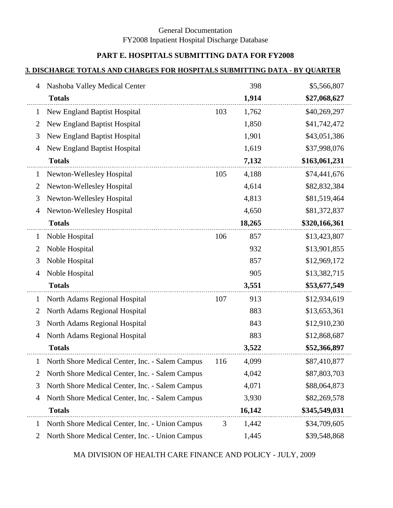# **PART E. HOSPITALS SUBMITTING DATA FOR FY2008**

### **3. DISCHARGE TOTALS AND CHARGES FOR HOSPITALS SUBMITTING DATA - BY QUARTER**

| 4            | Nashoba Valley Medical Center                   |     | 398    | \$5,566,807   |
|--------------|-------------------------------------------------|-----|--------|---------------|
|              | <b>Totals</b>                                   |     | 1,914  | \$27,068,627  |
| 1            | New England Baptist Hospital                    | 103 | 1,762  | \$40,269,297  |
| 2            | <b>New England Baptist Hospital</b>             |     | 1,850  | \$41,742,472  |
| 3            | New England Baptist Hospital                    |     | 1,901  | \$43,051,386  |
| 4            | New England Baptist Hospital                    |     | 1,619  | \$37,998,076  |
|              | <b>Totals</b>                                   |     | 7,132  | \$163,061,231 |
| $\mathbf{1}$ | Newton-Wellesley Hospital                       | 105 | 4,188  | \$74,441,676  |
| 2            | Newton-Wellesley Hospital                       |     | 4,614  | \$82,832,384  |
| 3            | Newton-Wellesley Hospital                       |     | 4,813  | \$81,519,464  |
| 4            | Newton-Wellesley Hospital                       |     | 4,650  | \$81,372,837  |
|              | <b>Totals</b>                                   |     | 18,265 | \$320,166,361 |
| $\mathbf{1}$ | Noble Hospital                                  | 106 | 857    | \$13,423,807  |
| 2            | Noble Hospital                                  |     | 932    | \$13,901,855  |
| 3            | Noble Hospital                                  |     | 857    | \$12,969,172  |
| 4            | Noble Hospital                                  |     | 905    | \$13,382,715  |
|              | <b>Totals</b>                                   |     | 3,551  | \$53,677,549  |
| $\mathbf{1}$ | North Adams Regional Hospital                   | 107 | 913    | \$12,934,619  |
| 2            | North Adams Regional Hospital                   |     | 883    | \$13,653,361  |
| 3            | North Adams Regional Hospital                   |     | 843    | \$12,910,230  |
| 4            | North Adams Regional Hospital                   |     | 883    | \$12,868,687  |
|              | <b>Totals</b>                                   |     | 3,522  | \$52,366,897  |
| $\mathbf{1}$ | North Shore Medical Center, Inc. - Salem Campus | 116 | 4,099  | \$87,410,877  |
| 2            | North Shore Medical Center, Inc. - Salem Campus |     | 4,042  | \$87,803,703  |
| 3            | North Shore Medical Center, Inc. - Salem Campus |     | 4,071  | \$88,064,873  |
| 4            | North Shore Medical Center, Inc. - Salem Campus |     | 3,930  | \$82,269,578  |
|              | <b>Totals</b>                                   |     | 16,142 | \$345,549,031 |
| 1            | North Shore Medical Center, Inc. - Union Campus | 3   | 1,442  | \$34,709,605  |
| 2            | North Shore Medical Center, Inc. - Union Campus |     | 1,445  | \$39,548,868  |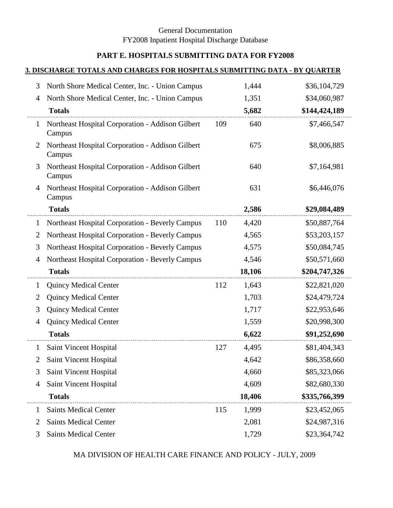# **PART E. HOSPITALS SUBMITTING DATA FOR FY2008**

### **3. DISCHARGE TOTALS AND CHARGES FOR HOSPITALS SUBMITTING DATA - BY QUARTER**

| 3              | North Shore Medical Center, Inc. - Union Campus            |     | 1,444  | \$36,104,729  |
|----------------|------------------------------------------------------------|-----|--------|---------------|
| 4              | North Shore Medical Center, Inc. - Union Campus            |     | 1,351  | \$34,060,987  |
|                | <b>Totals</b>                                              |     | 5,682  | \$144,424,189 |
| 1              | Northeast Hospital Corporation - Addison Gilbert<br>Campus | 109 | 640    | \$7,466,547   |
| 2              | Northeast Hospital Corporation - Addison Gilbert<br>Campus |     | 675    | \$8,006,885   |
| 3              | Northeast Hospital Corporation - Addison Gilbert<br>Campus |     | 640    | \$7,164,981   |
| 4              | Northeast Hospital Corporation - Addison Gilbert<br>Campus |     | 631    | \$6,446,076   |
|                | <b>Totals</b>                                              |     | 2,586  | \$29,084,489  |
| $\mathbf{1}$   | Northeast Hospital Corporation - Beverly Campus            | 110 | 4,420  | \$50,887,764  |
| $\overline{2}$ | Northeast Hospital Corporation - Beverly Campus            |     | 4,565  | \$53,203,157  |
| 3              | <b>Northeast Hospital Corporation - Beverly Campus</b>     |     | 4,575  | \$50,084,745  |
| 4              | Northeast Hospital Corporation - Beverly Campus            |     | 4,546  | \$50,571,660  |
|                | <b>Totals</b>                                              |     | 18,106 | \$204,747,326 |
| 1              | <b>Quincy Medical Center</b>                               | 112 | 1,643  | \$22,821,020  |
| 2              | <b>Quincy Medical Center</b>                               |     | 1,703  | \$24,479,724  |
| 3              | <b>Quincy Medical Center</b>                               |     | 1,717  | \$22,953,646  |
| 4              | <b>Quincy Medical Center</b>                               |     | 1,559  | \$20,998,300  |
|                | <b>Totals</b>                                              |     | 6,622  | \$91,252,690  |
| 1              | Saint Vincent Hospital                                     | 127 | 4,495  | \$81,404,343  |
| $\overline{2}$ | <b>Saint Vincent Hospital</b>                              |     | 4,642  | \$86,358,660  |
| 3              | Saint Vincent Hospital                                     |     | 4,660  | \$85,323,066  |
| 4              | Saint Vincent Hospital                                     |     | 4,609  | \$82,680,330  |
|                | <b>Totals</b>                                              |     | 18,406 | \$335,766,399 |
| $\mathbf{1}$   | <b>Saints Medical Center</b>                               | 115 | 1,999  | \$23,452,065  |
| 2              | <b>Saints Medical Center</b>                               |     | 2,081  | \$24,987,316  |
| 3              | <b>Saints Medical Center</b>                               |     | 1,729  | \$23,364,742  |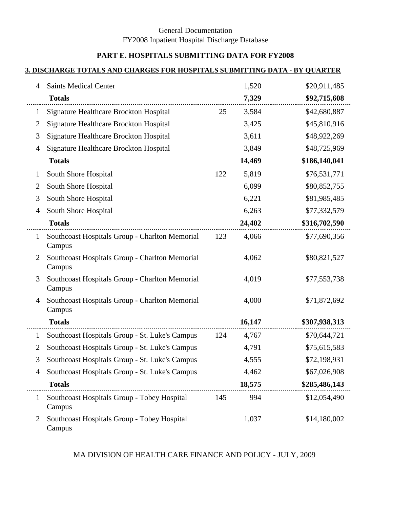# **PART E. HOSPITALS SUBMITTING DATA FOR FY2008**

### **3. DISCHARGE TOTALS AND CHARGES FOR HOSPITALS SUBMITTING DATA - BY QUARTER**

| 4              | <b>Saints Medical Center</b>                             |     | 1,520  | \$20,911,485  |
|----------------|----------------------------------------------------------|-----|--------|---------------|
|                | <b>Totals</b>                                            |     | 7,329  | \$92,715,608  |
| $\mathbf 1$    | Signature Healthcare Brockton Hospital                   | 25  | 3,584  | \$42,680,887  |
| $\overline{2}$ | Signature Healthcare Brockton Hospital                   |     | 3,425  | \$45,810,916  |
| 3              | Signature Healthcare Brockton Hospital                   |     | 3,611  | \$48,922,269  |
| $\overline{4}$ | Signature Healthcare Brockton Hospital                   |     | 3,849  | \$48,725,969  |
|                | <b>Totals</b>                                            |     | 14,469 | \$186,140,041 |
| $\mathbf 1$    | South Shore Hospital                                     | 122 | 5,819  | \$76,531,771  |
| $\overline{2}$ | South Shore Hospital                                     |     | 6,099  | \$80,852,755  |
| 3              | South Shore Hospital                                     |     | 6,221  | \$81,985,485  |
| 4              | South Shore Hospital                                     |     | 6,263  | \$77,332,579  |
|                | <b>Totals</b>                                            |     | 24,402 | \$316,702,590 |
| $\mathbf 1$    | Southcoast Hospitals Group - Charlton Memorial<br>Campus | 123 | 4,066  | \$77,690,356  |
| $\overline{2}$ | Southcoast Hospitals Group - Charlton Memorial<br>Campus |     | 4,062  | \$80,821,527  |
| 3              | Southcoast Hospitals Group - Charlton Memorial<br>Campus |     | 4,019  | \$77,553,738  |
| 4              | Southcoast Hospitals Group - Charlton Memorial<br>Campus |     | 4,000  | \$71,872,692  |
|                | <b>Totals</b>                                            |     | 16,147 | \$307,938,313 |
| $\mathbf 1$    | Southcoast Hospitals Group - St. Luke's Campus           | 124 | 4,767  | \$70,644,721  |
| $\overline{2}$ | Southcoast Hospitals Group - St. Luke's Campus           |     | 4,791  | \$75,615,583  |
| 3              | Southcoast Hospitals Group - St. Luke's Campus           |     | 4,555  | \$72,198,931  |
| 4              | Southcoast Hospitals Group - St. Luke's Campus           |     | 4,462  | \$67,026,908  |
|                | <b>Totals</b>                                            |     | 18,575 | \$285,486,143 |
| 1              | Southcoast Hospitals Group - Tobey Hospital<br>Campus    | 145 | 994    | \$12,054,490  |
| $\overline{2}$ | Southcoast Hospitals Group - Tobey Hospital<br>Campus    |     | 1,037  | \$14,180,002  |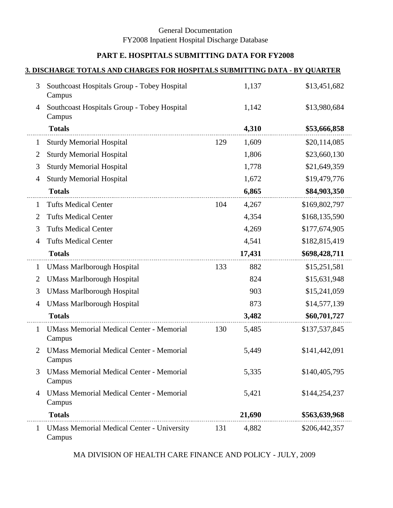# **PART E. HOSPITALS SUBMITTING DATA FOR FY2008**

### **3. DISCHARGE TOTALS AND CHARGES FOR HOSPITALS SUBMITTING DATA - BY QUARTER**

| 3              | Southcoast Hospitals Group - Tobey Hospital<br>Campus       |     | 1,137  | \$13,451,682  |
|----------------|-------------------------------------------------------------|-----|--------|---------------|
| 4              | Southcoast Hospitals Group - Tobey Hospital<br>Campus       |     | 1,142  | \$13,980,684  |
|                | <b>Totals</b>                                               |     | 4,310  | \$53,666,858  |
| $\mathbf{1}$   | <b>Sturdy Memorial Hospital</b>                             | 129 | 1,609  | \$20,114,085  |
| $\overline{2}$ | <b>Sturdy Memorial Hospital</b>                             |     | 1,806  | \$23,660,130  |
| 3              | <b>Sturdy Memorial Hospital</b>                             |     | 1,778  | \$21,649,359  |
| 4              | <b>Sturdy Memorial Hospital</b>                             |     | 1,672  | \$19,479,776  |
|                | <b>Totals</b>                                               |     | 6,865  | \$84,903,350  |
| 1              | <b>Tufts Medical Center</b>                                 | 104 | 4,267  | \$169,802,797 |
| $\overline{2}$ | <b>Tufts Medical Center</b>                                 |     | 4,354  | \$168,135,590 |
| 3              | <b>Tufts Medical Center</b>                                 |     | 4,269  | \$177,674,905 |
| 4              | <b>Tufts Medical Center</b>                                 |     | 4,541  | \$182,815,419 |
|                | <b>Totals</b>                                               |     | 17,431 | \$698,428,711 |
| $\mathbf{1}$   | <b>UMass Marlborough Hospital</b>                           | 133 | 882    | \$15,251,581  |
| 2              | <b>UMass Marlborough Hospital</b>                           |     | 824    | \$15,631,948  |
| 3              | <b>UMass Marlborough Hospital</b>                           |     | 903    | \$15,241,059  |
| 4              | <b>UMass Marlborough Hospital</b>                           |     | 873    | \$14,577,139  |
|                | <b>Totals</b>                                               |     | 3,482  | \$60,701,727  |
| 1              | <b>UMass Memorial Medical Center - Memorial</b><br>Campus   | 130 | 5,485  | \$137,537,845 |
| $\overline{2}$ | <b>UMass Memorial Medical Center - Memorial</b><br>Campus   |     | 5,449  | \$141,442,091 |
| 3              | <b>UMass Memorial Medical Center - Memorial</b><br>Campus   |     | 5,335  | \$140,405,795 |
| 4              | <b>UMass Memorial Medical Center - Memorial</b><br>Campus   |     | 5,421  | \$144,254,237 |
|                | <b>Totals</b>                                               |     | 21,690 | \$563,639,968 |
| $\mathbf{1}$   | <b>UMass Memorial Medical Center - University</b><br>Campus | 131 | 4,882  | \$206,442,357 |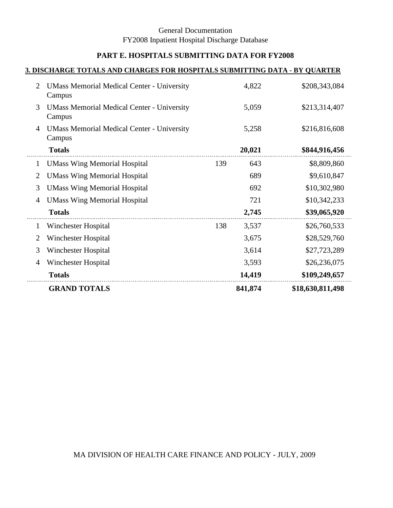# **PART E. HOSPITALS SUBMITTING DATA FOR FY2008**

### **3. DISCHARGE TOTALS AND CHARGES FOR HOSPITALS SUBMITTING DATA - BY QUARTER**

| 2              | <b>UMass Memorial Medical Center - University</b><br>Campus |     | 4,822   | \$208,343,084    |
|----------------|-------------------------------------------------------------|-----|---------|------------------|
| 3              | <b>UMass Memorial Medical Center - University</b><br>Campus |     | 5,059   | \$213,314,407    |
| 4              | <b>UMass Memorial Medical Center - University</b><br>Campus |     | 5,258   | \$216,816,608    |
|                | <b>Totals</b>                                               |     | 20,021  | \$844,916,456    |
| $\mathbf 1$    | <b>UMass Wing Memorial Hospital</b>                         | 139 | 643     | \$8,809,860      |
| $\overline{2}$ | <b>UMass Wing Memorial Hospital</b>                         |     | 689     | \$9,610,847      |
| 3              | <b>UMass Wing Memorial Hospital</b>                         |     | 692     | \$10,302,980     |
| $\overline{4}$ | <b>UMass Wing Memorial Hospital</b>                         |     | 721     | \$10,342,233     |
|                | <b>Totals</b>                                               |     | 2,745   | \$39,065,920     |
| $\mathbf{1}$   | Winchester Hospital                                         | 138 | 3,537   | \$26,760,533     |
| $\overline{2}$ | Winchester Hospital                                         |     | 3,675   | \$28,529,760     |
| 3              | Winchester Hospital                                         |     | 3,614   | \$27,723,289     |
| $\overline{4}$ | Winchester Hospital                                         |     | 3,593   | \$26,236,075     |
|                | <b>Totals</b>                                               |     | 14,419  | \$109,249,657    |
|                | <b>GRAND TOTALS</b>                                         |     | 841,874 | \$18,630,811,498 |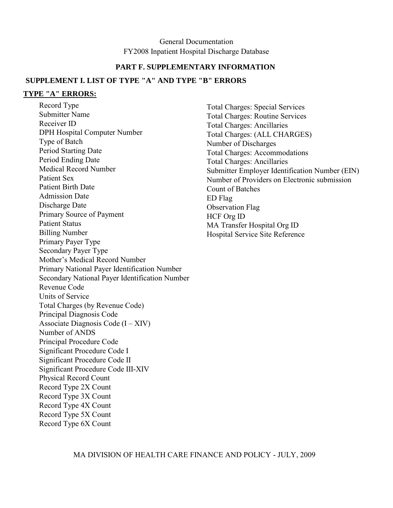### **PART F. SUPPLEMENTARY INFORMATION**

### **SUPPLEMENT I. LIST OF TYPE "A" AND TYPE "B" ERRORS**

#### **TYPE "A" ERRORS:**

Record Type Submitter Name Receiver ID DPH Hospital Computer Number Type of Batch Period Starting Date Period Ending Date Medical Record Number Patient Sex Patient Birth Date Admission Date Discharge Date Primary Source of Payment Patient Status Billing Number Primary Payer Type Secondary Payer Type Mother's Medical Record Number Primary National Payer Identification Number Secondary National Payer Identification Number Revenue Code Units of Service Total Charges (by Revenue Code) Principal Diagnosis Code Associate Diagnosis Code  $(I - XIV)$ Number of ANDS Principal Procedure Code Significant Procedure Code I Significant Procedure Code II Significant Procedure Code III-XIV Physical Record Count Record Type 2X Count Record Type 3X Count Record Type 4X Count Record Type 5X Count Record Type 6X Count

Total Charges: Special Services Total Charges: Routine Services Total Charges: Ancillaries Total Charges: (ALL CHARGES) Number of Discharges Total Charges: Accommodations Total Charges: Ancillaries Submitter Employer Identification Number (EIN) Number of Providers on Electronic submission Count of Batches ED Flag Observation Flag HCF Org ID MA Transfer Hospital Org ID Hospital Service Site Reference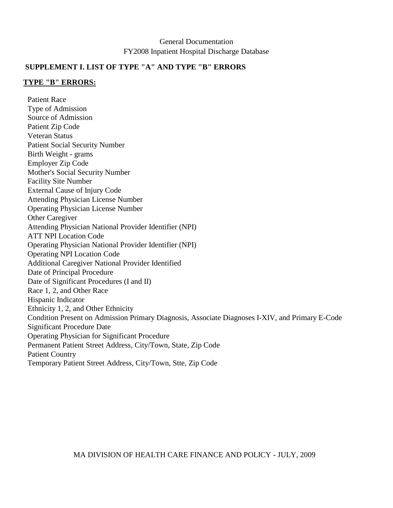## **SUPPLEMENT I. LIST OF TYPE "A" AND TYPE "B" ERRORS**

### **TYPE "B" ERRORS:**

Patient Race Type of Admission Source of Admission Patient Zip Code Veteran Status Patient Social Security Number Birth Weight - grams Employer Zip Code Mother's Social Security Number Facility Site Number External Cause of Injury Code Attending Physician License Number Operating Physician License Number Other Caregiver Attending Physician National Provider Identifier (NPI) ATT NPI Location Code Operating Physician National Provider Identifier (NPI) Operating NPI Location Code Additional Caregiver National Provider Identified Date of Principal Procedure Date of Significant Procedures (I and II) Race 1, 2, and Other Race Hispanic Indicator Ethnicity 1, 2, and Other Ethnicity Condition Present on Admission Primary Diagnosis, Associate Diagnoses I-XIV, and Primary E-Code Significant Procedure Date Operating Physician for Significant Procedure Permanent Patient Street Address, City/Town, State, Zip Code Patient Country Temporary Patient Street Address, City/Town, Stte, Zip Code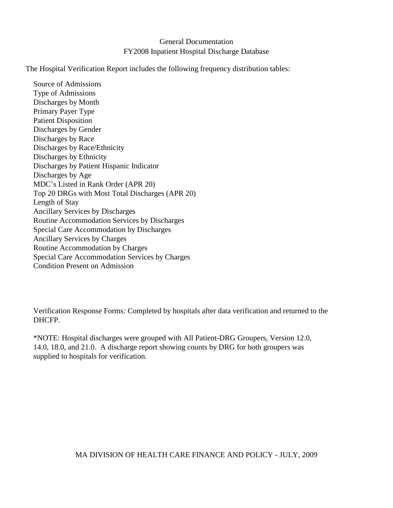The Hospital Verification Report includes the following frequency distribution tables:

Source of Admissions Type of Admissions Discharges by Month Primary Payer Type Patient Disposition Discharges by Gender Discharges by Race Discharges by Race/Ethnicity Discharges by Ethnicity Discharges by Patient Hispanic Indicator Discharges by Age MDC's Listed in Rank Order (APR 20) Top 20 DRGs with Most Total Discharges (APR 20) Length of Stay Ancillary Services by Discharges Routine Accommodation Services by Discharges Special Care Accommodation by Discharges Ancillary Services by Charges Routine Accommodation by Charges Special Care Accommodation Services by Charges Condition Present on Admission

Verification Response Forms: Completed by hospitals after data verification and returned to the DHCFP.

\*NOTE: Hospital discharges were grouped with All Patient-DRG Groupers, Version 12.0, 14.0, 18.0, and 21.0. A discharge report showing counts by DRG for both groupers was supplied to hospitals for verification.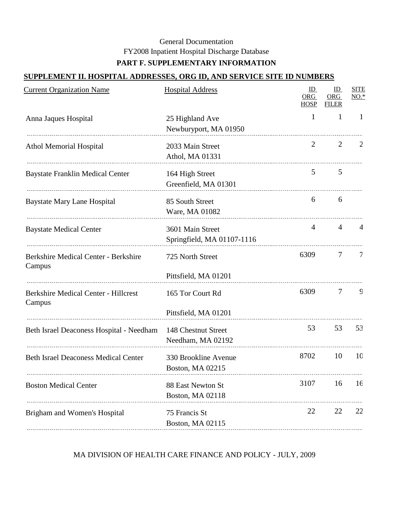# **PART F. SUPPLEMENTARY INFORMATION**

# **SUPPLEMENT II. HOSPITAL ADDRESSES, ORG ID, AND SERVICE SITE ID NUMBERS**

| <b>Current Organization Name</b>                      | <b>Hospital Address</b>                                          | ID<br>ORG<br><b>HOSP</b> | ID<br>ORG<br><b>FILER</b> | <b>SITE</b><br>$NO.$ * |
|-------------------------------------------------------|------------------------------------------------------------------|--------------------------|---------------------------|------------------------|
| Anna Jaques Hospital                                  | 25 Highland Ave<br>Newburyport, MA 01950                         | 1                        | $\mathbf{1}$              | $\mathbf{1}$           |
| <b>Athol Memorial Hospital</b>                        | 2033 Main Street<br>Athol, MA 01331                              | 2                        | $\overline{2}$            | 2                      |
| <b>Baystate Franklin Medical Center</b>               | 164 High Street<br>Greenfield, MA 01301                          | 5                        | 5                         |                        |
| Baystate Mary Lane Hospital                           | 85 South Street<br>Ware, MA 01082                                | 6                        | 6                         |                        |
| <b>Baystate Medical Center</b>                        | 3601 Main Street<br>Springfield, MA 01107-1116                   | $\overline{4}$           | $\overline{4}$            | 4                      |
| Berkshire Medical Center - Berkshire<br>Campus        | 725 North Street<br>Pittsfield, MA 01201                         | 6309                     | 7                         | 7                      |
| <b>Berkshire Medical Center - Hillcrest</b><br>Campus | 165 Tor Court Rd                                                 | 6309                     | $\overline{7}$            | $\mathcal{G}$          |
| Beth Israel Deaconess Hospital - Needham              | Pittsfield, MA 01201<br>148 Chestnut Street<br>Needham, MA 02192 | 53                       | 53                        | 53                     |
| <b>Beth Israel Deaconess Medical Center</b>           | 330 Brookline Avenue<br>Boston, MA 02215                         | 8702                     | 10                        | 10                     |
| <b>Boston Medical Center</b>                          | 88 East Newton St<br>Boston, MA 02118                            | 3107                     | 16                        | 16                     |
| Brigham and Women's Hospital                          | 75 Francis St<br>Boston, MA 02115                                | 22                       | 22                        | 22                     |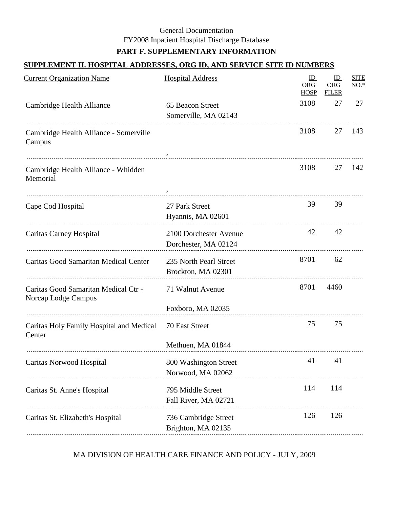## **SUPPLEMENT II. HOSPITAL ADDRESSES, ORG ID, AND SERVICE SITE ID NUMBERS**

| <b>Current Organization Name</b>                            | <b>Hospital Address</b>                        | ID<br>ORG<br><b>HOSP</b> | ID<br><b>ORG</b><br><b>FILER</b> | <b>SITE</b><br>$NO.*$ |
|-------------------------------------------------------------|------------------------------------------------|--------------------------|----------------------------------|-----------------------|
| Cambridge Health Alliance                                   | 65 Beacon Street<br>Somerville, MA 02143       | 3108                     | 27                               | 27                    |
| Cambridge Health Alliance - Somerville<br>Campus            |                                                | 3108                     | 27                               | 143                   |
| Cambridge Health Alliance - Whidden<br>Memorial             |                                                | 3108                     | 27                               | 142                   |
| Cape Cod Hospital                                           | 27 Park Street<br>Hyannis, MA 02601            | 39                       | 39                               |                       |
| Caritas Carney Hospital                                     | 2100 Dorchester Avenue<br>Dorchester, MA 02124 | 42                       | 42                               |                       |
| Caritas Good Samaritan Medical Center                       | 235 North Pearl Street<br>Brockton, MA 02301   | 8701                     | 62                               |                       |
| Caritas Good Samaritan Medical Ctr -<br>Norcap Lodge Campus | 71 Walnut Avenue<br>Foxboro, MA 02035          | 8701                     | 4460                             |                       |
| Caritas Holy Family Hospital and Medical<br>Center          | 70 East Street<br>Methuen, MA 01844            | 75                       | 75                               |                       |
| <b>Caritas Norwood Hospital</b>                             | 800 Washington Street<br>Norwood, MA 02062     | 41                       | 41                               |                       |
| Caritas St. Anne's Hospital                                 | 795 Middle Street<br>Fall River, MA 02721      | 114                      | 114                              |                       |
| Caritas St. Elizabeth's Hospital                            | 736 Cambridge Street<br>Brighton, MA 02135     | 126                      | 126                              |                       |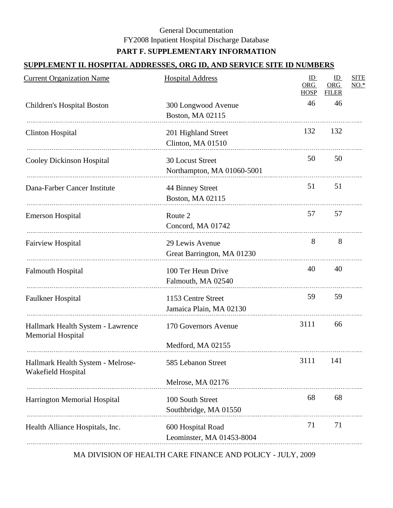## **SUPPLEMENT II. HOSPITAL ADDRESSES, ORG ID, AND SERVICE SITE ID NUMBERS**

| <b>Current Organization Name</b>                        | <b>Hospital Address</b>                               | ID<br>ORG<br><b>HOSP</b> | ID<br><b>ORG</b><br><b>FILER</b> | <b>SITE</b><br>$NO.*$ |
|---------------------------------------------------------|-------------------------------------------------------|--------------------------|----------------------------------|-----------------------|
| Children's Hospital Boston                              | 300 Longwood Avenue<br>Boston, MA 02115               | 46                       | 46                               |                       |
| <b>Clinton Hospital</b>                                 | 201 Highland Street<br>Clinton, MA 01510              | 132                      | 132                              |                       |
| <b>Cooley Dickinson Hospital</b>                        | <b>30 Locust Street</b><br>Northampton, MA 01060-5001 | 50                       | 50                               |                       |
| Dana-Farber Cancer Institute                            | 44 Binney Street<br>Boston, MA 02115                  | 51                       | 51                               |                       |
| <b>Emerson Hospital</b>                                 | Route 2<br>Concord, MA 01742                          | 57                       | 57                               |                       |
| <b>Fairview Hospital</b>                                | 29 Lewis Avenue<br>Great Barrington, MA 01230         | 8                        | 8                                |                       |
| <b>Falmouth Hospital</b>                                | 100 Ter Heun Drive<br>Falmouth, MA 02540              | 40                       | 40                               |                       |
| <b>Faulkner Hospital</b>                                | 1153 Centre Street<br>Jamaica Plain, MA 02130         | 59                       | 59                               |                       |
| Hallmark Health System - Lawrence<br>Memorial Hospital  | 170 Governors Avenue<br>Medford, MA 02155             | 3111                     | 66                               |                       |
| Hallmark Health System - Melrose-<br>Wakefield Hospital | 585 Lebanon Street                                    | 3111                     | 141                              |                       |
|                                                         | Melrose, MA 02176                                     |                          |                                  |                       |
| Harrington Memorial Hospital                            | 100 South Street<br>Southbridge, MA 01550             | 68                       | 68                               |                       |
| Health Alliance Hospitals, Inc.                         | 600 Hospital Road<br>Leominster, MA 01453-8004        | 71                       | 71                               |                       |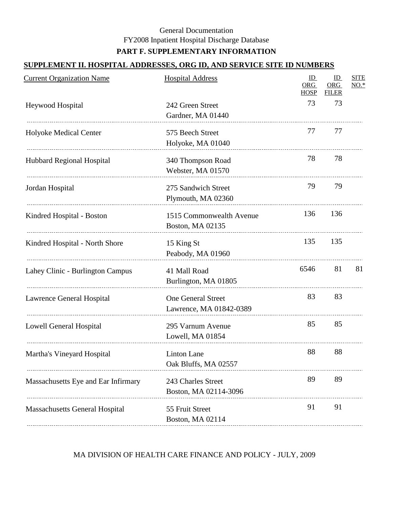## **SUPPLEMENT II. HOSPITAL ADDRESSES, ORG ID, AND SERVICE SITE ID NUMBERS**

| <b>Current Organization Name</b>      | <b>Hospital Address</b>                              | ID<br>ORG<br><b>HOSP</b> | ID<br><b>ORG</b><br><b>FILER</b> | <b>SITE</b><br>$NO.*$ |
|---------------------------------------|------------------------------------------------------|--------------------------|----------------------------------|-----------------------|
| Heywood Hospital                      | 242 Green Street<br>Gardner, MA 01440                | 73                       | 73                               |                       |
| Holyoke Medical Center                | 575 Beech Street<br>Holyoke, MA 01040                | 77                       | 77                               |                       |
| Hubbard Regional Hospital             | 340 Thompson Road<br>Webster, MA 01570               | 78                       | 78                               |                       |
| Jordan Hospital                       | 275 Sandwich Street<br>Plymouth, MA 02360            | 79                       | 79                               |                       |
| Kindred Hospital - Boston             | 1515 Commonwealth Avenue<br>Boston, MA 02135         | 136                      | 136                              |                       |
| Kindred Hospital - North Shore        | 15 King St<br>Peabody, MA 01960                      | 135                      | 135                              |                       |
| Lahey Clinic - Burlington Campus      | 41 Mall Road<br>Burlington, MA 01805                 | 6546                     | 81                               | 81                    |
| Lawrence General Hospital             | <b>One General Street</b><br>Lawrence, MA 01842-0389 | 83                       | 83                               |                       |
| Lowell General Hospital               | 295 Varnum Avenue<br>Lowell, MA 01854                | 85                       | 85                               |                       |
| Martha's Vineyard Hospital            | Linton Lane<br>Oak Bluffs, MA 02557                  | 88                       | 88                               |                       |
| Massachusetts Eye and Ear Infirmary   | 243 Charles Street<br>Boston, MA 02114-3096          | 89                       | 89                               |                       |
| <b>Massachusetts General Hospital</b> | 55 Fruit Street<br>Boston, MA 02114                  | 91                       | 91                               |                       |
|                                       |                                                      |                          |                                  |                       |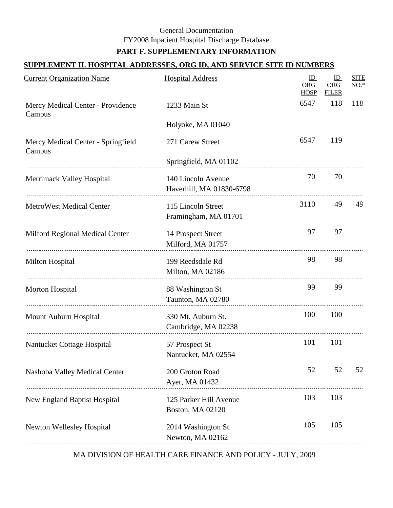## **SUPPLEMENT II. HOSPITAL ADDRESSES, ORG ID, AND SERVICE SITE ID NUMBERS**

| <b>Current Organization Name</b>             | <b>Hospital Address</b>                           | ID<br>ORG<br><b>HOSP</b> | ID<br>ORG<br><b>FILER</b> | <b>SITE</b><br>$NO.*$ |
|----------------------------------------------|---------------------------------------------------|--------------------------|---------------------------|-----------------------|
| Mercy Medical Center - Providence<br>Campus  | 1233 Main St                                      | 6547                     | 118                       | 118                   |
|                                              | Holyoke, MA 01040                                 |                          |                           |                       |
| Mercy Medical Center - Springfield<br>Campus | 271 Carew Street                                  | 6547                     | 119                       |                       |
|                                              | Springfield, MA 01102                             |                          |                           |                       |
| Merrimack Valley Hospital                    | 140 Lincoln Avenue<br>Haverhill, MA 01830-6798    | 70                       | 70                        |                       |
| <b>MetroWest Medical Center</b>              | 115 Lincoln Street<br>Framingham, MA 01701        | 3110                     | 49                        | 49                    |
| Milford Regional Medical Center              | 14 Prospect Street<br>Milford, MA 01757           | 97                       | 97                        |                       |
| Milton Hospital                              | 199 Reedsdale Rd<br>Milton, MA 02186              | 98                       | 98                        |                       |
| Morton Hospital                              | 88 Washington St<br>Taunton, MA 02780             | 99                       | 99                        |                       |
| Mount Auburn Hospital                        | 330 Mt. Auburn St.<br>Cambridge, MA 02238         | 100                      | 100                       |                       |
| Nantucket Cottage Hospital                   | 57 Prospect St<br>Nantucket, MA 02554             | 101                      | 101                       |                       |
| Nashoba Valley Medical Center                | 200 Groton Road<br>Ayer, MA 01432                 | 52                       | 52                        | 52                    |
| New England Baptist Hospital                 | 125 Parker Hill Avenue<br><b>Boston, MA 02120</b> | 103                      | 103                       |                       |
| <b>Newton Wellesley Hospital</b>             | 2014 Washington St<br>Newton, MA 02162            | 105                      | 105                       |                       |
|                                              |                                                   |                          |                           |                       |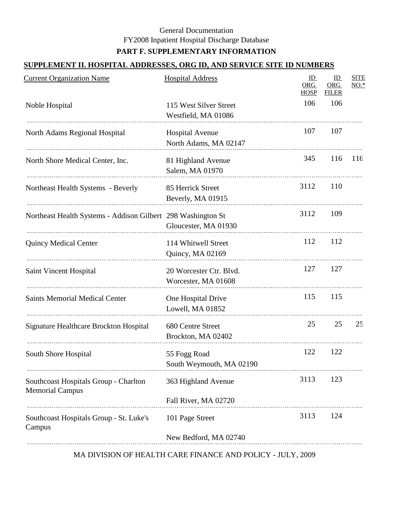## **SUPPLEMENT II. HOSPITAL ADDRESSES, ORG ID, AND SERVICE SITE ID NUMBERS**

| <b>Current Organization Name</b>                                | <b>Hospital Address</b>                         | ID<br>ORG<br><b>HOSP</b> | ID<br><b>ORG</b><br><b>FILER</b> | <b>SITE</b><br>$NO.*$ |
|-----------------------------------------------------------------|-------------------------------------------------|--------------------------|----------------------------------|-----------------------|
| Noble Hospital                                                  | 115 West Silver Street<br>Westfield, MA 01086   | 106                      | 106                              |                       |
| North Adams Regional Hospital                                   | <b>Hospital Avenue</b><br>North Adams, MA 02147 | 107                      | 107                              |                       |
| North Shore Medical Center, Inc.                                | 81 Highland Avenue<br>Salem, MA 01970           | 345                      | 116                              | 116                   |
| Northeast Health Systems - Beverly                              | 85 Herrick Street<br>Beverly, MA 01915          | 3112                     | 110                              |                       |
| Northeast Health Systems - Addison Gilbert 298 Washington St    | Gloucester, MA 01930                            | 3112                     | 109                              |                       |
| <b>Quincy Medical Center</b>                                    | 114 Whitwell Street<br>Quincy, MA 02169         | 112                      | 112                              |                       |
| Saint Vincent Hospital                                          | 20 Worcester Ctr. Blvd.<br>Worcester, MA 01608  | 127                      | 127                              |                       |
| <b>Saints Memorial Medical Center</b>                           | One Hospital Drive<br>Lowell, MA 01852          | 115                      | 115                              |                       |
| <b>Signature Healthcare Brockton Hospital</b>                   | 680 Centre Street<br>Brockton, MA 02402         | 25                       | 25                               | 25                    |
| South Shore Hospital                                            | 55 Fogg Road<br>South Weymouth, MA 02190        | 122                      | 122                              |                       |
| Southcoast Hospitals Group - Charlton<br><b>Memorial Campus</b> | 363 Highland Avenue                             | 3113                     | 123                              |                       |
|                                                                 | Fall River, MA 02720                            |                          |                                  |                       |
| Southcoast Hospitals Group - St. Luke's<br>Campus               | 101 Page Street                                 | 3113                     | 124                              |                       |
|                                                                 | New Bedford, MA 02740                           |                          |                                  |                       |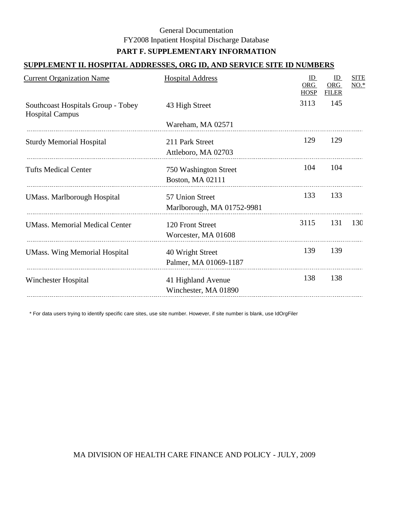### **SUPPLEMENT II. HOSPITAL ADDRESSES, ORG ID, AND SERVICE SITE ID NUMBERS**

| <b>Current Organization Name</b>                             | <b>Hospital Address</b>                       | ID<br>ORG<br><b>HOSP</b> | ID<br><b>ORG</b><br><b>FILER</b> | <b>SITE</b><br>$NO.*$ |
|--------------------------------------------------------------|-----------------------------------------------|--------------------------|----------------------------------|-----------------------|
| Southcoast Hospitals Group - Tobey<br><b>Hospital Campus</b> | 43 High Street                                | 3113                     | 145                              |                       |
|                                                              | Wareham, MA 02571                             |                          |                                  |                       |
| <b>Sturdy Memorial Hospital</b>                              | 211 Park Street<br>Attleboro, MA 02703        | 129                      | 129                              |                       |
| <b>Tufts Medical Center</b>                                  | 750 Washington Street<br>Boston, MA 02111     | 104                      | 104                              |                       |
| <b>UMass. Marlborough Hospital</b>                           | 57 Union Street<br>Marlborough, MA 01752-9981 | 133                      | 133                              |                       |
| <b>UMass. Memorial Medical Center</b>                        | 120 Front Street<br>Worcester, MA 01608       | 3115                     | 131                              | 130                   |
| <b>UMass. Wing Memorial Hospital</b>                         | 40 Wright Street<br>Palmer, MA 01069-1187     | 139                      | 139                              |                       |
| Winchester Hospital                                          | 41 Highland Avenue<br>Winchester, MA 01890    | 138                      | 138                              |                       |
|                                                              |                                               |                          |                                  |                       |

\* For data users trying to identify specific care sites, use site number. However, if site number is blank, use IdOrgFiler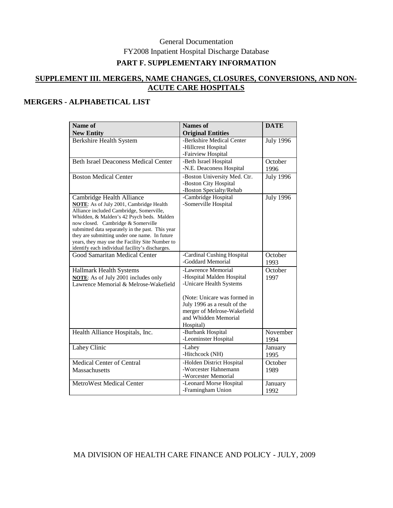# **PART F. SUPPLEMENTARY INFORMATION**

## **SUPPLEMENT III. MERGERS, NAME CHANGES, CLOSURES, CONVERSIONS, AND NON-ACUTE CARE HOSPITALS**

# **MERGERS - ALPHABETICAL LIST**

| Name of<br><b>New Entity</b>                                                                                                                                                                                                                                                                                                                                                                                          | <b>Names</b> of<br><b>Original Entities</b>                                                                                                                                                                    | <b>DATE</b>      |
|-----------------------------------------------------------------------------------------------------------------------------------------------------------------------------------------------------------------------------------------------------------------------------------------------------------------------------------------------------------------------------------------------------------------------|----------------------------------------------------------------------------------------------------------------------------------------------------------------------------------------------------------------|------------------|
| <b>Berkshire Health System</b>                                                                                                                                                                                                                                                                                                                                                                                        | -Berkshire Medical Center<br>-Hillcrest Hospital<br>-Fairview Hospital                                                                                                                                         | <b>July 1996</b> |
| <b>Beth Israel Deaconess Medical Center</b>                                                                                                                                                                                                                                                                                                                                                                           | -Beth Israel Hospital<br>-N.E. Deaconess Hospital                                                                                                                                                              | October<br>1996  |
| <b>Boston Medical Center</b>                                                                                                                                                                                                                                                                                                                                                                                          | -Boston University Med. Ctr.<br>-Boston City Hospital<br>-Boston Specialty/Rehab                                                                                                                               | <b>July 1996</b> |
| Cambridge Health Alliance<br><b>NOTE:</b> As of July 2001, Cambridge Health<br>Alliance included Cambridge, Somerville,<br>Whidden, & Malden's 42 Psych beds. Malden<br>now closed. Cambridge & Somerville<br>submitted data separately in the past. This year<br>they are submitting under one name. In future<br>years, they may use the Facility Site Number to<br>identify each individual facility's discharges. | -Cambridge Hospital<br>-Somerville Hospital                                                                                                                                                                    | <b>July 1996</b> |
| Good Samaritan Medical Center                                                                                                                                                                                                                                                                                                                                                                                         | -Cardinal Cushing Hospital<br>-Goddard Memorial                                                                                                                                                                | October<br>1993  |
| Hallmark Health Systems<br><b>NOTE:</b> As of July 2001 includes only<br>Lawrence Memorial & Melrose-Wakefield                                                                                                                                                                                                                                                                                                        | -Lawrence Memorial<br>-Hospital Malden Hospital<br>-Unicare Health Systems<br>(Note: Unicare was formed in<br>July 1996 as a result of the<br>merger of Melrose-Wakefield<br>and Whidden Memorial<br>Hospital) | October<br>1997  |
| Health Alliance Hospitals, Inc.                                                                                                                                                                                                                                                                                                                                                                                       | -Burbank Hospital<br>-Leominster Hospital                                                                                                                                                                      | November<br>1994 |
| Lahey Clinic                                                                                                                                                                                                                                                                                                                                                                                                          | -Lahey<br>-Hitchcock (NH)                                                                                                                                                                                      | January<br>1995  |
| <b>Medical Center of Central</b><br><b>Massachusetts</b>                                                                                                                                                                                                                                                                                                                                                              | -Holden District Hospital<br>-Worcester Hahnemann<br>-Worcester Memorial                                                                                                                                       | October<br>1989  |
| <b>MetroWest Medical Center</b>                                                                                                                                                                                                                                                                                                                                                                                       | -Leonard Morse Hospital<br>-Framingham Union                                                                                                                                                                   | January<br>1992  |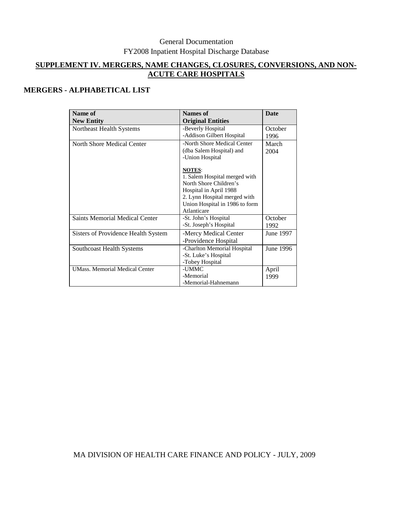# **SUPPLEMENT IV. MERGERS, NAME CHANGES, CLOSURES, CONVERSIONS, AND NON-ACUTE CARE HOSPITALS**

# **MERGERS - ALPHABETICAL LIST**

| Name of                               | Names of                       | <b>Date</b> |
|---------------------------------------|--------------------------------|-------------|
| <b>New Entity</b>                     | <b>Original Entities</b>       |             |
| Northeast Health Systems              | -Beverly Hospital              | October     |
|                                       | -Addison Gilbert Hospital      | 1996        |
| North Shore Medical Center            | -North Shore Medical Center    | March       |
|                                       | (dba Salem Hospital) and       | 2004        |
|                                       | -Union Hospital                |             |
|                                       | <b>NOTES:</b>                  |             |
|                                       | 1. Salem Hospital merged with  |             |
|                                       | North Shore Children's         |             |
|                                       | Hospital in April 1988         |             |
|                                       | 2. Lynn Hospital merged with   |             |
|                                       | Union Hospital in 1986 to form |             |
|                                       | Atlanticare                    |             |
| Saints Memorial Medical Center        | -St. John's Hospital           | October     |
|                                       | -St. Joseph's Hospital         | 1992        |
| Sisters of Providence Health System   | -Mercy Medical Center          | June 1997   |
|                                       | -Providence Hospital           |             |
| Southcoast Health Systems             | -Charlton Memorial Hospital    | June 1996   |
|                                       | -St. Luke's Hospital           |             |
|                                       | -Tobey Hospital                |             |
| <b>UMass. Memorial Medical Center</b> | -UMMC                          | April       |
|                                       | -Memorial                      | 1999        |
|                                       | -Memorial-Hahnemann            |             |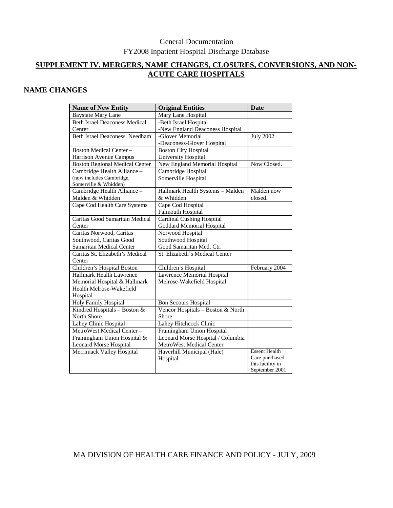# **SUPPLEMENT IV. MERGERS, NAME CHANGES, CLOSURES, CONVERSIONS, AND NON-ACUTE CARE HOSPITALS**

# **NAME CHANGES**

| <b>Name of New Entity</b>             | <b>Original Entities</b>          | <b>Date</b>                        |
|---------------------------------------|-----------------------------------|------------------------------------|
| <b>Baystate Mary Lane</b>             | Mary Lane Hospital                |                                    |
| <b>Beth Israel Deaconess Medical</b>  | -Beth Israel Hospital             |                                    |
| Center                                | -New England Deaconess Hospital   |                                    |
| <b>Beth Israel Deaconess Needham</b>  | -Glover Memorial                  | <b>July 2002</b>                   |
|                                       | -Deaconess-Glover Hospital        |                                    |
| <b>Boston Medical Center -</b>        | <b>Boston City Hospital</b>       |                                    |
| Harrison Avenue Campus                | University Hospital               |                                    |
| <b>Boston Regional Medical Center</b> | New England Memorial Hospital     | Now Closed.                        |
| Cambridge Health Alliance -           | Cambridge Hospital                |                                    |
| (now includes Cambridge,              | Somerville Hospital               |                                    |
| Somerville & Whidden)                 |                                   |                                    |
| Cambridge Health Alliance -           | Hallmark Health Systems - Malden  | Malden now                         |
| Malden & Whidden                      | & Whidden                         | closed.                            |
| Cape Cod Health Care Systems          | Cape Cod Hospital                 |                                    |
|                                       | <b>Falmouth Hospital</b>          |                                    |
| Caritas Good Samaritan Medical        | <b>Cardinal Cushing Hospital</b>  |                                    |
| Center                                | <b>Goddard Memorial Hospital</b>  |                                    |
| Caritas Norwood, Caritas              | Norwood Hospital                  |                                    |
| Southwood, Caritas Good               | Southwood Hospital                |                                    |
| Samaritan Medical Center              | Good Samaritan Med. Ctr.          |                                    |
| Caritas St. Elizabeth's Medical       | St. Elizabeth's Medical Center    |                                    |
| Center                                |                                   |                                    |
| Children's Hospital Boston            | Children's Hospital               | February 2004                      |
| Hallmark Health Lawrence              | Lawrence Memorial Hospital        |                                    |
| Memorial Hospital & Hallmark          | Melrose-Wakefield Hospital        |                                    |
| Health Melrose-Wakefield              |                                   |                                    |
| Hospital                              |                                   |                                    |
| Holy Family Hospital                  | <b>Bon Secours Hospital</b>       |                                    |
| Kindred Hospitals - Boston &          | Vencor Hospitals - Boston & North |                                    |
| North Shore                           | Shore                             |                                    |
| Lahey Clinic Hospital                 | Lahey Hitchcock Clinic            |                                    |
| MetroWest Medical Center-             | Framingham Union Hospital         |                                    |
| Framingham Union Hospital &           | Leonard Morse Hospital / Columbia |                                    |
| <b>Leonard Morse Hospital</b>         | MetroWest Medical Center          |                                    |
| Merrimack Valley Hospital             | Haverhill Municipal (Hale)        | <b>Essent Health</b>               |
|                                       | Hospital                          | Care purchased<br>this facility in |
|                                       |                                   | September 2001                     |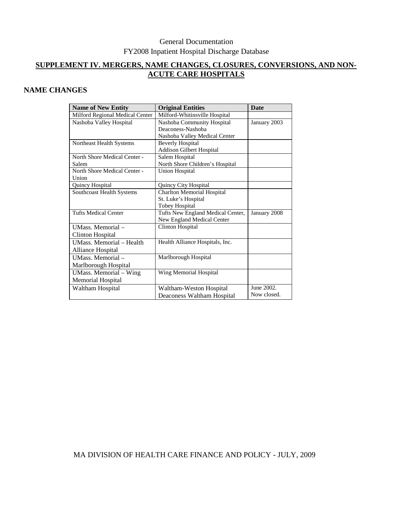# **SUPPLEMENT IV. MERGERS, NAME CHANGES, CLOSURES, CONVERSIONS, AND NON-ACUTE CARE HOSPITALS**

# **NAME CHANGES**

| <b>Name of New Entity</b>       | <b>Original Entities</b>          | <b>Date</b>  |
|---------------------------------|-----------------------------------|--------------|
| Milford Regional Medical Center | Milford-Whitinsville Hospital     |              |
| Nashoba Valley Hospital         | Nashoba Community Hospital        | January 2003 |
|                                 | Deaconess-Nashoba                 |              |
|                                 | Nashoba Valley Medical Center     |              |
| Northeast Health Systems        | <b>Beverly Hospital</b>           |              |
|                                 | <b>Addison Gilbert Hospital</b>   |              |
| North Shore Medical Center -    | Salem Hospital                    |              |
| Salem                           | North Shore Children's Hospital   |              |
| North Shore Medical Center -    | <b>Union Hospital</b>             |              |
| Union                           |                                   |              |
| Quincy Hospital                 | Quincy City Hospital              |              |
| Southcoast Health Systems       | <b>Charlton Memorial Hospital</b> |              |
|                                 | St. Luke's Hospital               |              |
|                                 | <b>Tobey Hospital</b>             |              |
| <b>Tufts Medical Center</b>     | Tufts New England Medical Center, | January 2008 |
|                                 | New England Medical Center        |              |
| UMass. Memorial-                | Clinton Hospital                  |              |
| <b>Clinton Hospital</b>         |                                   |              |
| UMass. Memorial - Health        | Health Alliance Hospitals, Inc.   |              |
| Alliance Hospital               |                                   |              |
| UMass. Memorial-                | Marlborough Hospital              |              |
| Marlborough Hospital            |                                   |              |
| UMass. Memorial - Wing          | Wing Memorial Hospital            |              |
| Memorial Hospital               |                                   |              |
| Waltham Hospital                | Waltham-Weston Hospital           | June 2002.   |
|                                 | Deaconess Waltham Hospital        | Now closed.  |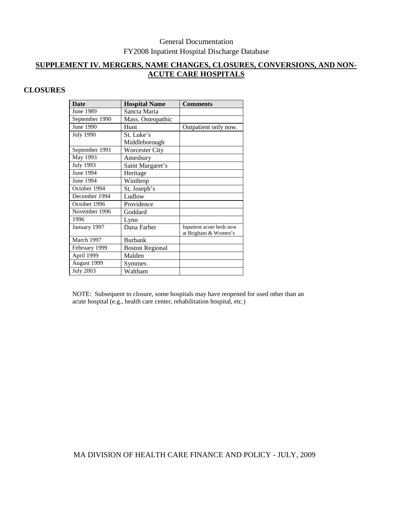## **SUPPLEMENT IV. MERGERS, NAME CHANGES, CLOSURES, CONVERSIONS, AND NON-ACUTE CARE HOSPITALS**

# **CLOSURES**

| <b>Date</b>      | <b>Hospital Name</b>   | <b>Comments</b>          |
|------------------|------------------------|--------------------------|
| June 1989        | Sancta Maria           |                          |
| September 1990   | Mass. Osteopathic      |                          |
| June 1990        | Hunt                   | Outpatient only now.     |
| <b>July 1990</b> | St. Luke's             |                          |
|                  | Middleborough          |                          |
| September 1991   | <b>Worcester City</b>  |                          |
| May 1993         | Amesbury               |                          |
| <b>July 1993</b> | Saint Margaret's       |                          |
| June 1994        | Heritage               |                          |
| June 1994        | Winthrop               |                          |
| October 1994     | St. Joseph's           |                          |
| December 1994    | Ludlow                 |                          |
| October 1996     | Providence             |                          |
| November 1996    | Goddard                |                          |
| 1996             | Lynn                   |                          |
| January 1997     | Dana Farber            | Inpatient acute beds now |
|                  |                        | at Brigham & Women's     |
| March 1997       | <b>Burbank</b>         |                          |
| February 1999    | <b>Boston Regional</b> |                          |
| April 1999       | Malden                 |                          |
| August 1999      | Symmes                 |                          |
| <b>July 2003</b> | Waltham                |                          |

NOTE: Subsequent to closure, some hospitals may have reopened for used other than an acute hospital (e.g., health care center, rehabilitation hospital, etc.)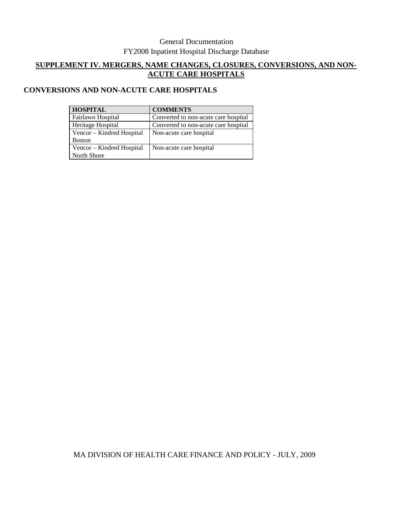# **SUPPLEMENT IV. MERGERS, NAME CHANGES, CLOSURES, CONVERSIONS, AND NON-ACUTE CARE HOSPITALS**

# **CONVERSIONS AND NON-ACUTE CARE HOSPITALS**

| <b>HOSPITAL</b>           | <b>COMMENTS</b>                      |
|---------------------------|--------------------------------------|
| Fairlawn Hospital         | Converted to non-acute care hospital |
| Heritage Hospital         | Converted to non-acute care hospital |
| Vencor – Kindred Hospital | Non-acute care hospital              |
| <b>Boston</b>             |                                      |
| Vencor – Kindred Hospital | Non-acute care hospital              |
| North Shore               |                                      |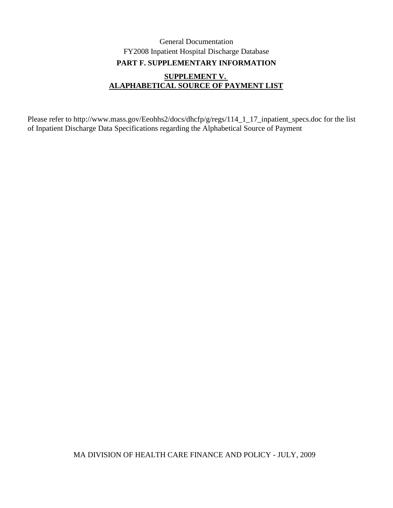# **ALAPHABETICAL SOURCE OF PAYMENT LIST**

Please refer to http://www.mass.gov/Eeohhs2/docs/dhcfp/g/regs/114\_1\_17\_inpatient\_specs.doc for the list of Inpatient Discharge Data Specifications regarding the Alphabetical Source of Payment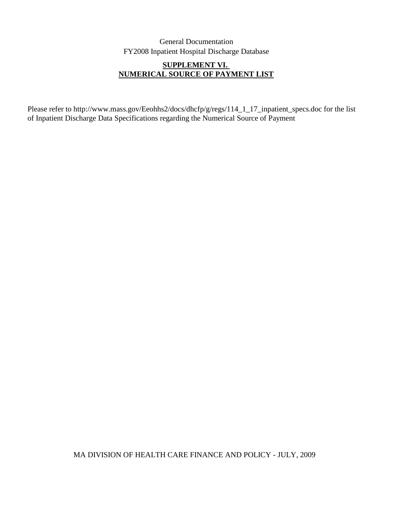# **SUPPLEMENT VI. NUMERICAL SOURCE OF PAYMENT LIST**

Please refer to http://www.mass.gov/Eeohhs2/docs/dhcfp/g/regs/114\_1\_17\_inpatient\_specs.doc for the list of Inpatient Discharge Data Specifications regarding the Numerical Source of Payment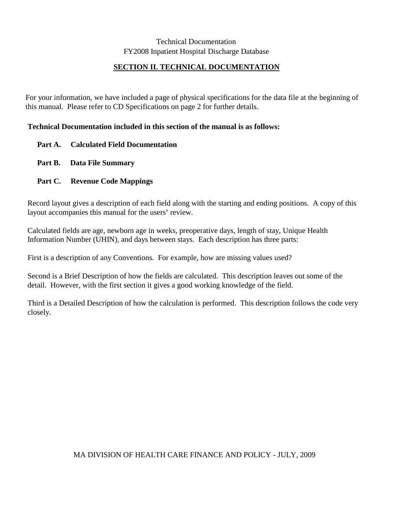# **SECTION II. TECHNICAL DOCUMENTATION**

For your information, we have included a page of physical specifications for the data file at the beginning of this manual. Please refer to CD Specifications on page 2 for further details.

### **Technical Documentation included in this section of the manual is as follows:**

- **Part A. Calculated Field Documentation**
- **Part B. Data File Summary**
- **Part C. Revenue Code Mappings**

Record layout gives a description of each field along with the starting and ending positions. A copy of this layout accompanies this manual for the users' review.

Calculated fields are age, newborn age in weeks, preoperative days, length of stay, Unique Health Information Number (UHIN), and days between stays. Each description has three parts:

First is a description of any Conventions. For example, how are missing values used?

Second is a Brief Description of how the fields are calculated. This description leaves out some of the detail. However, with the first section it gives a good working knowledge of the field.

Third is a Detailed Description of how the calculation is performed. This description follows the code very closely.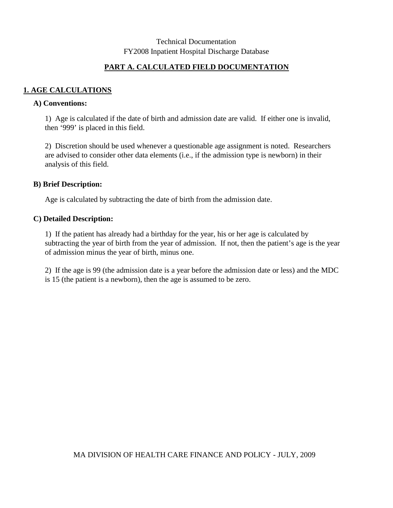# **PART A. CALCULATED FIELD DOCUMENTATION**

## **1. AGE CALCULATIONS**

### **A) Conventions:**

1) Age is calculated if the date of birth and admission date are valid. If either one is invalid, then '999' is placed in this field.

2) Discretion should be used whenever a questionable age assignment is noted. Researchers are advised to consider other data elements (i.e., if the admission type is newborn) in their analysis of this field.

### **B) Brief Description:**

Age is calculated by subtracting the date of birth from the admission date.

### **C) Detailed Description:**

1) If the patient has already had a birthday for the year, his or her age is calculated by subtracting the year of birth from the year of admission. If not, then the patient's age is the year of admission minus the year of birth, minus one.

2) If the age is 99 (the admission date is a year before the admission date or less) and the MDC is 15 (the patient is a newborn), then the age is assumed to be zero.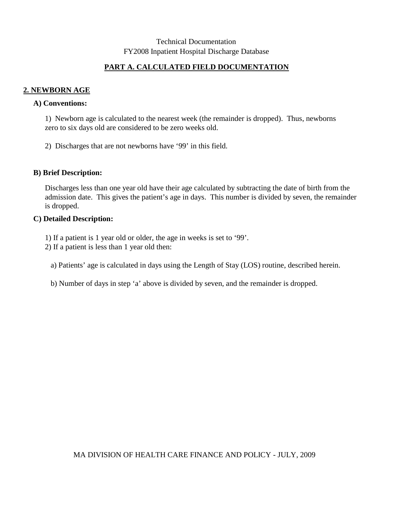## **PART A. CALCULATED FIELD DOCUMENTATION**

### **2. NEWBORN AGE**

### **A) Conventions:**

1) Newborn age is calculated to the nearest week (the remainder is dropped). Thus, newborns zero to six days old are considered to be zero weeks old.

2) Discharges that are not newborns have '99' in this field.

### **B) Brief Description:**

Discharges less than one year old have their age calculated by subtracting the date of birth from the admission date. This gives the patient's age in days. This number is divided by seven, the remainder is dropped.

### **C) Detailed Description:**

- 1) If a patient is 1 year old or older, the age in weeks is set to '99'.
- 2) If a patient is less than 1 year old then:
	- a) Patients' age is calculated in days using the Length of Stay (LOS) routine, described herein.
	- b) Number of days in step 'a' above is divided by seven, and the remainder is dropped.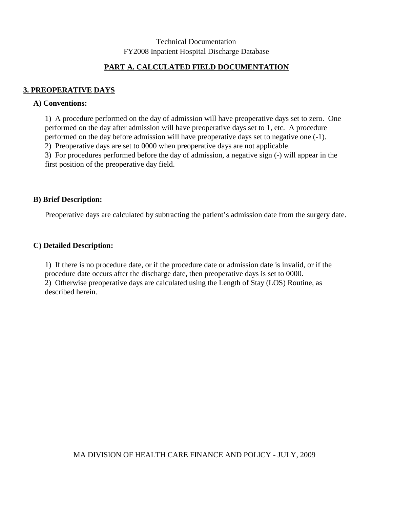## **PART A. CALCULATED FIELD DOCUMENTATION**

### **3. PREOPERATIVE DAYS**

### **A) Conventions:**

1) A procedure performed on the day of admission will have preoperative days set to zero. One performed on the day after admission will have preoperative days set to 1, etc. A procedure performed on the day before admission will have preoperative days set to negative one (-1).

2) Preoperative days are set to 0000 when preoperative days are not applicable.

3) For procedures performed before the day of admission, a negative sign (-) will appear in the first position of the preoperative day field.

### **B) Brief Description:**

Preoperative days are calculated by subtracting the patient's admission date from the surgery date.

### **C) Detailed Description:**

1) If there is no procedure date, or if the procedure date or admission date is invalid, or if the procedure date occurs after the discharge date, then preoperative days is set to 0000. 2) Otherwise preoperative days are calculated using the Length of Stay (LOS) Routine, as described herein.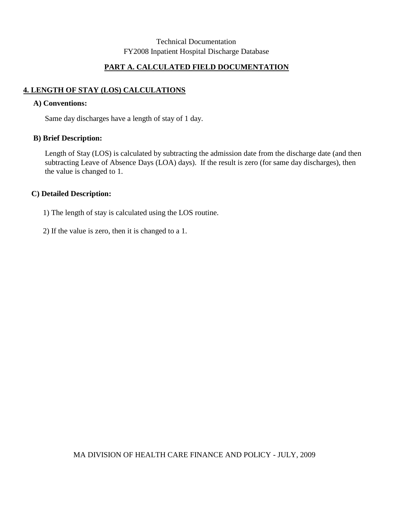### **PART A. CALCULATED FIELD DOCUMENTATION**

# **4. LENGTH OF STAY (LOS) CALCULATIONS**

### **A) Conventions:**

Same day discharges have a length of stay of 1 day.

### **B) Brief Description:**

Length of Stay (LOS) is calculated by subtracting the admission date from the discharge date (and then subtracting Leave of Absence Days (LOA) days). If the result is zero (for same day discharges), then the value is changed to 1.

### **C) Detailed Description:**

1) The length of stay is calculated using the LOS routine.

2) If the value is zero, then it is changed to a 1.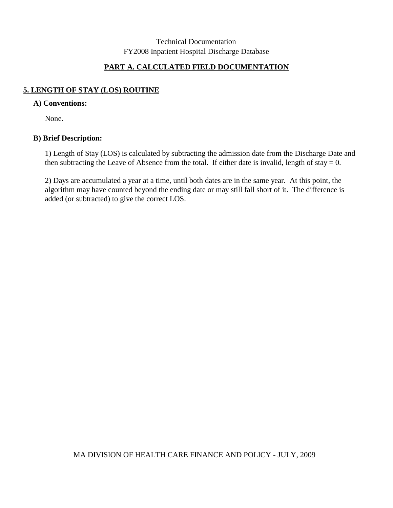### **PART A. CALCULATED FIELD DOCUMENTATION**

# **5. LENGTH OF STAY (LOS) ROUTINE**

### **A) Conventions:**

None.

### **B) Brief Description:**

1) Length of Stay (LOS) is calculated by subtracting the admission date from the Discharge Date and then subtracting the Leave of Absence from the total. If either date is invalid, length of stay  $= 0$ .

2) Days are accumulated a year at a time, until both dates are in the same year. At this point, the algorithm may have counted beyond the ending date or may still fall short of it. The difference is added (or subtracted) to give the correct LOS.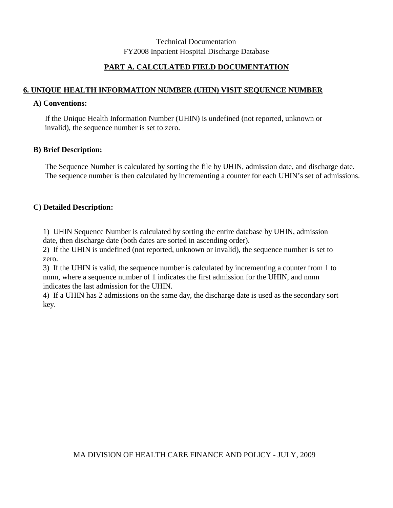# **PART A. CALCULATED FIELD DOCUMENTATION**

### **6. UNIQUE HEALTH INFORMATION NUMBER (UHIN) VISIT SEQUENCE NUMBER**

### **A) Conventions:**

If the Unique Health Information Number (UHIN) is undefined (not reported, unknown or invalid), the sequence number is set to zero.

### **B) Brief Description:**

The Sequence Number is calculated by sorting the file by UHIN, admission date, and discharge date. The sequence number is then calculated by incrementing a counter for each UHIN's set of admissions.

### **C) Detailed Description:**

1) UHIN Sequence Number is calculated by sorting the entire database by UHIN, admission date, then discharge date (both dates are sorted in ascending order).

2) If the UHIN is undefined (not reported, unknown or invalid), the sequence number is set to zero.

3) If the UHIN is valid, the sequence number is calculated by incrementing a counter from 1 to nnnn, where a sequence number of 1 indicates the first admission for the UHIN, and nnnn indicates the last admission for the UHIN.

4) If a UHIN has 2 admissions on the same day, the discharge date is used as the secondary sort key.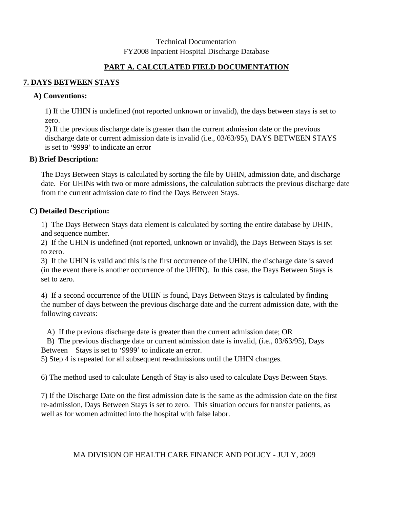# **PART A. CALCULATED FIELD DOCUMENTATION**

### **7. DAYS BETWEEN STAYS**

### **A) Conventions:**

1) If the UHIN is undefined (not reported unknown or invalid), the days between stays is set to zero.

2) If the previous discharge date is greater than the current admission date or the previous discharge date or current admission date is invalid (i.e., 03/63/95), DAYS BETWEEN STAYS is set to '9999' to indicate an error

### **B) Brief Description:**

The Days Between Stays is calculated by sorting the file by UHIN, admission date, and discharge date. For UHINs with two or more admissions, the calculation subtracts the previous discharge date from the current admission date to find the Days Between Stays.

### **C) Detailed Description:**

1) The Days Between Stays data element is calculated by sorting the entire database by UHIN, and sequence number.

2) If the UHIN is undefined (not reported, unknown or invalid), the Days Between Stays is set to zero.

3) If the UHIN is valid and this is the first occurrence of the UHIN, the discharge date is saved (in the event there is another occurrence of the UHIN). In this case, the Days Between Stays is set to zero.

4) If a second occurrence of the UHIN is found, Days Between Stays is calculated by finding the number of days between the previous discharge date and the current admission date, with the following caveats:

A) If the previous discharge date is greater than the current admission date; OR

 B) The previous discharge date or current admission date is invalid, (i.e., 03/63/95), Days Between Stays is set to '9999' to indicate an error.

5) Step 4 is repeated for all subsequent re-admissions until the UHIN changes.

6) The method used to calculate Length of Stay is also used to calculate Days Between Stays.

7) If the Discharge Date on the first admission date is the same as the admission date on the first re-admission, Days Between Stays is set to zero. This situation occurs for transfer patients, as well as for women admitted into the hospital with false labor.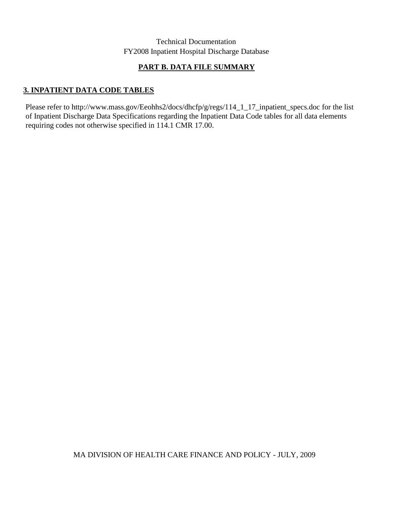# **PART B. DATA FILE SUMMARY**

# **3. INPATIENT DATA CODE TABLES**

Please refer to http://www.mass.gov/Eeohhs2/docs/dhcfp/g/regs/114\_1\_17\_inpatient\_specs.doc for the list of Inpatient Discharge Data Specifications regarding the Inpatient Data Code tables for all data elements requiring codes not otherwise specified in 114.1 CMR 17.00.